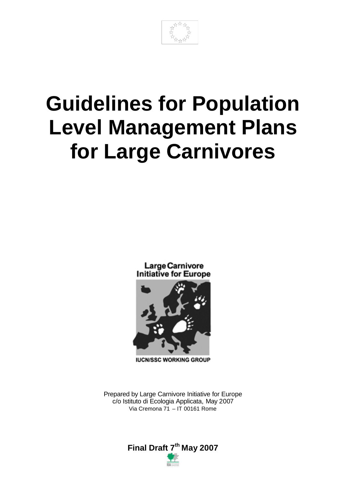# **Guidelines for Population Level Management Plans for Large Carnivores**

Large Carnivore **Initiative for Europe** 



**IUCN/SSC WORKING GROUP** 

Prepared by Large Carnivore Initiative for Europe c/o Istituto di Ecologia Applicata, May 2007 Via Cremona 71 – IT 00161 Rome

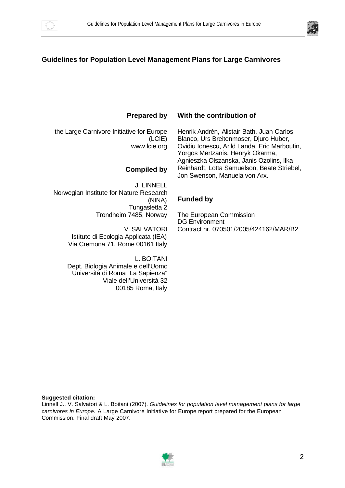



#### **Guidelines for Population Level Management Plans for Large Carnivores**

**Prepared by** 

the Large Carnivore Initiative for Europe (LCIE) www.lcie.org

#### **Compiled by**

J. LINNELL Norwegian Institute for Nature Research (NINA) Tungasletta 2 Trondheim 7485, Norway

> V. SALVATORI Istituto di Ecologia Applicata (IEA) Via Cremona 71, Rome 00161 Italy

L. BOITANI Dept. Biologia Animale e dell'Uomo Università di Roma "La Sapienza" Viale dell'Università 32 00185 Roma, Italy

#### **With the contribution of**

Henrik Andrén, Alistair Bath, Juan Carlos Blanco, Urs Breitenmoser, Djuro Huber, Ovidiu Ionescu, Arild Landa, Eric Marboutin, Yorgos Mertzanis, Henryk Okarma, Agnieszka Olszanska, Janis Ozolins, Ilka Reinhardt, Lotta Samuelson, Beate Striebel, Jon Swenson, Manuela von Arx.

#### **Funded by**

The European Commission DG Environment Contract nr. 070501/2005/424162/MAR/B2

#### **Suggested citation:**

Linnell J., V. Salvatori & L. Boitani (2007). *Guidelines for population level management plans for large carnivores in Europe.* A Large Carnivore Initiative for Europe report prepared for the European Commission. Final draft May 2007.

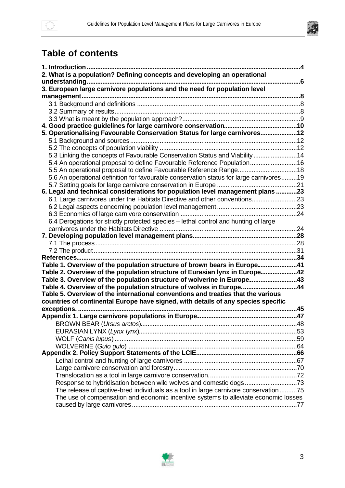

# **Table of contents**

| 1. Introduction                                                                         |  |
|-----------------------------------------------------------------------------------------|--|
| 2. What is a population? Defining concepts and developing an operational                |  |
| 6                                                                                       |  |
| 3. European large carnivore populations and the need for population level               |  |
|                                                                                         |  |
|                                                                                         |  |
|                                                                                         |  |
|                                                                                         |  |
|                                                                                         |  |
| 5. Operationalising Favourable Conservation Status for large carnivores12               |  |
|                                                                                         |  |
|                                                                                         |  |
| 5.3 Linking the concepts of Favourable Conservation Status and Viability14              |  |
| 5.4 An operational proposal to define Favourable Reference Population16                 |  |
| 5.5 An operational proposal to define Favourable Reference Range18                      |  |
| 5.6 An operational definition for favourable conservation status for large carnivores19 |  |
|                                                                                         |  |
| 6. Legal and technical considerations for population level management plans 23          |  |
| 6.1 Large carnivores under the Habitats Directive and other conventions23               |  |
|                                                                                         |  |
|                                                                                         |  |
| 6.4 Derogations for strictly protected species - lethal control and hunting of large    |  |
|                                                                                         |  |
|                                                                                         |  |
|                                                                                         |  |
|                                                                                         |  |
|                                                                                         |  |
| Table 1. Overview of the population structure of brown bears in Europe41                |  |
| Table 2. Overview of the population structure of Eurasian lynx in Europe42              |  |
| Table 3. Overview of the population structure of wolverine in Europe43                  |  |
| Table 4. Overview of the population structure of wolves in Europe44                     |  |
| Table 5. Overview of the international conventions and treaties that the various        |  |
| countries of continental Europe have signed, with details of any species specific       |  |
|                                                                                         |  |
|                                                                                         |  |
|                                                                                         |  |
|                                                                                         |  |
|                                                                                         |  |
|                                                                                         |  |
|                                                                                         |  |
|                                                                                         |  |
|                                                                                         |  |
|                                                                                         |  |
|                                                                                         |  |
| The release of captive-bred individuals as a tool in large carnivore conservation 75    |  |
| The use of compensation and economic incentive systems to alleviate economic losses     |  |
|                                                                                         |  |

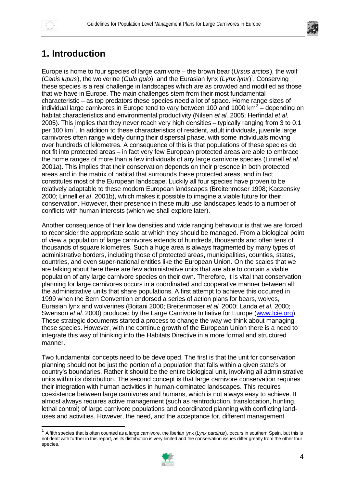

 $\overline{a}$ 



# **1. Introduction**

Europe is home to four species of large carnivore – the brown bear (*Ursus arctos*), the wolf (*Canis lupus*), the wolverine (*Gulo gulo*), and the Eurasian lynx (*Lynx lynx*) 1 . Conserving these species is a real challenge in landscapes which are as crowded and modified as those that we have in Europe. The main challenges stem from their most fundamental characteristic – as top predators these species need a lot of space. Home range sizes of individual large carnivores in Europe tend to vary between 100 and 1000 km<sup>2</sup> – depending on habitat characteristics and environmental productivity (Nilsen *et al.* 2005; Herfindal *et al.* 2005). This implies that they never reach very high densities – typically ranging from 3 to 0.1 per 100 km<sup>2</sup>. In addition to these characteristics of resident, adult individuals, juvenile large carnivores often range widely during their dispersal phase, with some individuals moving over hundreds of kilometres. A consequence of this is that populations of these species do not fit into protected areas – in fact very few European protected areas are able to embrace the home ranges of more than a few individuals of any large carnivore species (Linnell *et al.* 2001a). This implies that their conservation depends on their presence in both protected areas and in the matrix of habitat that surrounds these protected areas, and in fact constitutes most of the European landscape. Luckily all four species have proven to be relatively adaptable to these modern European landscapes (Breitenmoser 1998; Kaczensky 2000; Linnell *et al*. 2001b), which makes it possible to imagine a viable future for their conservation. However, their presence in these multi-use landscapes leads to a number of conflicts with human interests (which we shall explore later).

Another consequence of their low densities and wide ranging behaviour is that we are forced to reconsider the appropriate scale at which they should be managed. From a biological point of view a population of large carnivores extends of hundreds, thousands and often tens of thousands of square kilometres. Such a huge area is always fragmented by many types of administrative borders, including those of protected areas, municipalities, counties, states, countries, and even super-national entities like the European Union. On the scales that we are talking about here there are few administrative units that are able to contain a viable population of any large carnivore species on their own. Therefore, it is vital that conservation planning for large carnivores occurs in a coordinated and cooperative manner between all the administrative units that share populations. A first attempt to achieve this occurred in 1999 when the Bern Convention endorsed a series of action plans for bears, wolves, Eurasian lynx and wolverines (Boitani 2000; Breitenmoser *et al.* 2000; Landa *et al.* 2000; Swenson *et al.* 2000) produced by the Large Carnivore Initiative for Europe (www.lcie.org). These strategic documents started a process to change the way we think about managing these species. However, with the continue growth of the European Union there is a need to integrate this way of thinking into the Habitats Directive in a more formal and structured manner.

Two fundamental concepts need to be developed. The first is that the unit for conservation planning should not be just the portion of a population that falls within a given state's or country's boundaries. Rather it should be the entire biological unit, involving all administrative units within its distribution. The second concept is that large carnivore conservation requires their integration with human activities in human-dominated landscapes. This requires coexistence between large carnivores and humans, which is not always easy to achieve. It almost always requires active management (such as reintroduction, translocation, hunting, lethal control) of large carnivore populations and coordinated planning with conflicting landuses and activities. However, the need, and the acceptance for, different management

<sup>1</sup> A fifth species that is often counted as a large carnivore, the Iberian lynx (*Lynx pardinus*), occurs in southern Spain, but this is not dealt with further in this report, as its distribution is very limited and the conservation issues differ greatly from the other four species.

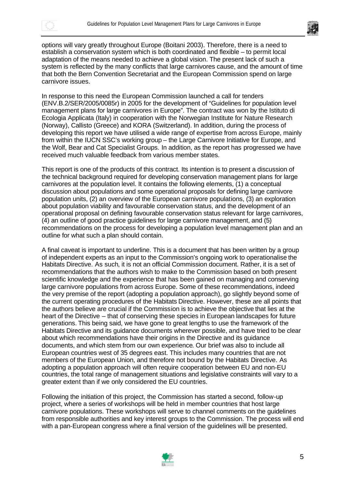



options will vary greatly throughout Europe (Boitani 2003). Therefore, there is a need to establish a conservation system which is both coordinated and flexible – to permit local adaptation of the means needed to achieve a global vision. The present lack of such a system is reflected by the many conflicts that large carnivores cause, and the amount of time that both the Bern Convention Secretariat and the European Commission spend on large carnivore issues.

In response to this need the European Commission launched a call for tenders (ENV.B.2/SER/2005/0085r) in 2005 for the development of "Guidelines for population level management plans for large carnivores in Europe". The contract was won by the Istituto di Ecologia Applicata (Italy) in cooperation with the Norwegian Institute for Nature Research (Norway), Callisto (Greece) and KORA (Switzerland). In addition, during the process of developing this report we have utilised a wide range of expertise from across Europe, mainly from within the IUCN SSC's working group – the Large Carnivore Initiative for Europe, and the Wolf, Bear and Cat Specialist Groups. In addition, as the report has progressed we have received much valuable feedback from various member states.

This report is one of the products of this contract. Its intention is to present a discussion of the technical background required for developing conservation management plans for large carnivores at the population level. It contains the following elements, (1) a conceptual discussion about populations and some operational proposals for defining large carnivore population units, (2) an overview of the European carnivore populations, (3) an exploration about population viability and favourable conservation status, and the development of an operational proposal on defining favourable conservation status relevant for large carnivores, (4) an outline of good practice guidelines for large carnivore management, and (5) recommendations on the process for developing a population level management plan and an outline for what such a plan should contain.

A final caveat is important to underline. This is a document that has been written by a group of independent experts as an input to the Commission's ongoing work to operationalise the Habitats Directive. As such, it is not an official Commission document. Rather, it is a set of recommendations that the authors wish to make to the Commission based on both present scientific knowledge and the experience that has been gained on managing and conserving large carnivore populations from across Europe. Some of these recommendations, indeed the very premise of the report (adopting a population approach), go slightly beyond some of the current operating procedures of the Habitats Directive. However, these are all points that the authors believe are crucial if the Commission is to achieve the objective that lies at the heart of the Directive – that of conserving these species in European landscapes for future generations. This being said, we have gone to great lengths to use the framework of the Habitats Directive and its guidance documents wherever possible, and have tried to be clear about which recommendations have their origins in the Directive and its guidance documents, and which stem from our own experience. Our brief was also to include all European countries west of 35 degrees east. This includes many countries that are not members of the European Union, and therefore not bound by the Habitats Directive. As adopting a population approach will often require cooperation between EU and non-EU countries, the total range of management situations and legislative constraints will vary to a greater extent than if we only considered the EU countries.

Following the initiation of this project, the Commission has started a second, follow-up project, where a series of workshops will be held in member countries that host large carnivore populations. These workshops will serve to channel comments on the guidelines from responsible authorities and key interest groups to the Commission. The process will end with a pan-European congress where a final version of the guidelines will be presented.

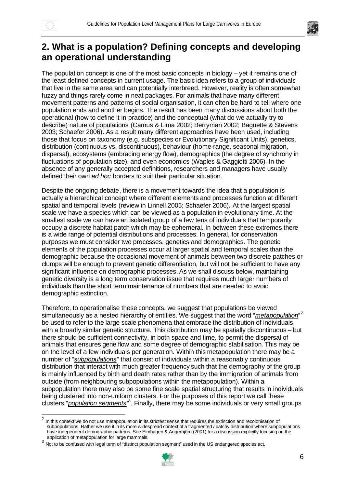



# **2. What is a population? Defining concepts and developing an operational understanding**

The population concept is one of the most basic concepts in biology – yet it remains one of the least defined concepts in current usage. The basic idea refers to a group of individuals that live in the same area and can potentially interbreed. However, reality is often somewhat fuzzy and things rarely come in neat packages. For animals that have many different movement patterns and patterns of social organisation, it can often be hard to tell where one population ends and another begins. The result has been many discussions about both the operational (how to define it in practice) and the conceptual (what do we actually try to describe) nature of populations (Camus & Lima 2002; Berryman 2002; Baguette & Stevens 2003; Schaefer 2006). As a result many different approaches have been used, including those that focus on taxonomy (e.g. subspecies or Evolutionary Significant Units), genetics, distribution (continuous vs. discontinuous), behaviour (home-range, seasonal migration, dispersal), ecosystems (embracing energy flow), demographics (the degree of synchrony in fluctuations of population size), and even economics (Waples & Gaggiotti 2006). In the absence of any generally accepted definitions, researchers and managers have usually defined their own *ad hoc* borders to suit their particular situation.

Despite the ongoing debate, there is a movement towards the idea that a population is actually a hierarchical concept where different elements and processes function at different spatial and temporal levels (review in Linnell 2005; Schaefer 2006). At the largest spatial scale we have a species which can be viewed as a population in evolutionary time. At the smallest scale we can have an isolated group of a few tens of individuals that temporarily occupy a discrete habitat patch which may be ephemeral. In between these extremes there is a wide range of potential distributions and processes. In general, for conservation purposes we must consider two processes, genetics and demographics. The genetic elements of the population processes occur at larger spatial and temporal scales than the demographic because the occasional movement of animals between two discrete patches or clumps will be enough to prevent genetic differentiation, but will not be sufficient to have any significant influence on demographic processes. As we shall discuss below, maintaining genetic diversity is a long term conservation issue that requires much larger numbers of individuals than the short term maintenance of numbers that are needed to avoid demographic extinction.

Therefore, to operationalise these concepts, we suggest that populations be viewed simultaneously as a nested hierarchy of entities. We suggest that the word "*metapopulation*"<sup>2</sup> be used to refer to the large scale phenomena that embrace the distribution of individuals with a broadly similar genetic structure. This distribution may be spatially discontinuous – but there should be sufficient connectivity, in both space and time, to permit the dispersal of animals that ensures gene flow and some degree of demographic stabilisation. This may be on the level of a few individuals per generation. Within this metapopulation there may be a number of "*subpopulations*" that consist of individuals within a reasonably continuous distribution that interact with much greater frequency such that the demography of the group is mainly influenced by birth and death rates rather than by the immigration of animals from outside (from neighbouring subpopulations within the metapopulation). Within a subpopulation there may also be some fine scale spatial structuring that results in individuals being clustered into non-uniform clusters. For the purposes of this report we call these clusters "*population segments*". Finally, there may be some individuals or very small groups

<sup>&</sup>lt;sup>3</sup> Not to be confused with legal term of "distinct population segment" used in the US endangered species act.



 $^2$  In this context we do not use metapopulation in its strictest sense that requires the extinction and recolonisation of subpopulations. Rather we use it in its more widespread context of a fragmented / patchy distribution where subpopulations have independent demographic patterns. See Elmhagen & Angerbjörn (2001) for a discussion explicitly focusing on the application of metapopulation for large mammals.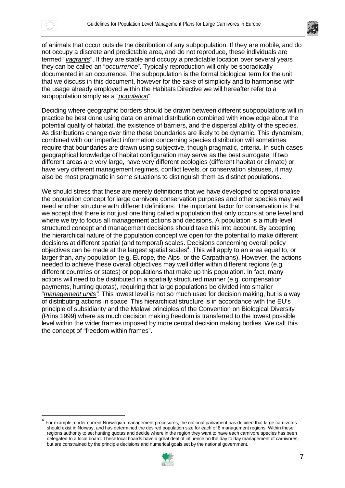



of animals that occur outside the distribution of any subpopulation. If they are mobile, and do not occupy a discrete and predictable area, and do not reproduce, these individuals are termed "*vagrants*". If they are stable and occupy a predictable location over several years they can be called an "*occurrence*". Typically reproduction will only be sporadically documented in an occurrence. The subpopulation is the formal biological term for the unit that we discuss in this document, however for the sake of simplicity and to harmonise with the usage already employed within the Habitats Directive we will hereafter refer to a subpopulation simply as a "*population*".

Deciding where geographic borders should be drawn between different subpopulations will in practice be best done using data on animal distribution combined with knowledge about the potential quality of habitat, the existence of barriers, and the dispersal ability of the species. As distributions change over time these boundaries are likely to be dynamic. This dynamism, combined with our imperfect information concerning species distribution will sometimes require that boundaries are drawn using subjective, though pragmatic, criteria. In such cases geographical knowledge of habitat configuration may serve as the best surrogate. If two different areas are very large, have very different ecologies (different habitat or climate) or have very different management regimes, conflict levels, or conservation statuses, it may also be most pragmatic in some situations to distinguish them as distinct populations.

We should stress that these are merely definitions that we have developed to operationalise the population concept for large carnivore conservation purposes and other species may well need another structure with different definitions. The important factor for conservation is that we accept that there is not just one thing called a population that only occurs at one level and where we try to focus all management actions and decisions. A population is a multi-level structured concept and management decisions should take this into account. By accepting the hierarchical nature of the population concept we open for the potential to make different decisions at different spatial (and temporal) scales. Decisions concerning overall policy objectives can be made at the largest spatial scales<sup>4</sup>. This will apply to an area equal to, or larger than, any population (e.g. Europe, the Alps, or the Carpathians). However, the actions needed to achieve these overall objectives may well differ within different regions (e.g. different countries or states) or populations that make up this population. In fact, many actions will need to be distributed in a spatially structured manner (e.g. compensation payments, hunting quotas), requiring that large populations be divided into smaller "*management units"*. This lowest level is not so much used for decision making, but is a way of distributing actions in space. This hierarchical structure is in accordance with the EU's principle of subsidiarity and the Malawi principles of the Convention on Biological Diversity (Prins 1999) where as much decision making freedom is transferred to the lowest possible level within the wider frames imposed by more central decision making bodies. We call this the concept of "freedom within frames".

<sup>4</sup> For example, under current Norwegian management procesures, the national parliament has decided that large carnivores should exist in Norway, and has determined the desired population size for each of 8 management regions. Within these regions authority to set hunting quotas and decide where in the region they want to have each carnivore species has been delegated to a local board. These local boards have a great deal of influence on the day to day management of carnivores, but are constrained by the principle decisions and numerical goals set by the national government.

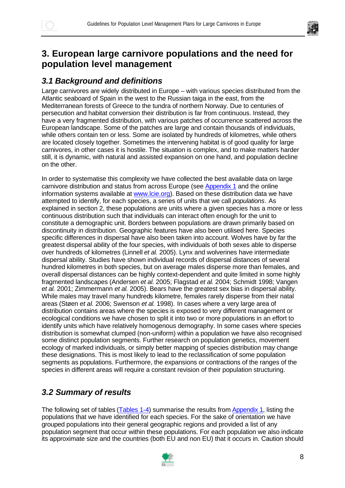



# **3. European large carnivore populations and the need for population level management**

## *3.1 Background and definitions*

Large carnivores are widely distributed in Europe – with various species distributed from the Atlantic seaboard of Spain in the west to the Russian taiga in the east, from the Mediterranean forests of Greece to the tundra of northern Norway. Due to centuries of persecution and habitat conversion their distribution is far from continuous. Instead, they have a very fragmented distribution, with various patches of occurrence scattered across the European landscape. Some of the patches are large and contain thousands of individuals, while others contain ten or less. Some are isolated by hundreds of kilometres, while others are located closely together. Sometimes the intervening habitat is of good quality for large carnivores, in other cases it is hostile. The situation is complex, and to make matters harder still, it is dynamic, with natural and assisted expansion on one hand, and population decline on the other.

In order to systematise this complexity we have collected the best available data on large carnivore distribution and status from across Europe (see Appendix 1 and the online information systems available at www.lcie.org). Based on these distribution data we have attempted to identify, for each species, a series of units that we call *populations*. As explained in section 2, these populations are units where a given species has a more or less continuous distribution such that individuals can interact often enough for the unit to constitute a demographic unit. Borders between populations are drawn primarily based on discontinuity in distribution. Geographic features have also been utilised here. Species specific differences in dispersal have also been taken into account. Wolves have by far the greatest dispersal ability of the four species, with individuals of both sexes able to disperse over hundreds of kilometres (Linnell *et al.* 2005). Lynx and wolverines have intermediate dispersal ability. Studies have shown individual records of dispersal distances of several hundred kilometres in both species, but on average males disperse more than females, and overall dispersal distances can be highly context-dependent and quite limited in some highly fragmented landscapes (Andersen *et al.* 2005; Flagstad *et al.* 2004; Schmidt 1998; Vangen *et al.* 2001; Zimmermann *et al.* 2005). Bears have the greatest sex bias in dispersal ability. While males may travel many hundreds kilometre, females rarely disperse from their natal areas (Støen *et al.* 2006; Swenson *et al.* 1998). In cases where a very large area of distribution contains areas where the species is exposed to very different management or ecological conditions we have chosen to split it into two or more populations in an effort to identify units which have relatively homogenous demography. In some cases where species distribution is somewhat clumped (non-uniform) within a population we have also recognised some distinct population segments. Further research on population genetics, movement ecology of marked individuals, or simply better mapping of species distribution may change these designations. This is most likely to lead to the reclassification of some population segments as populations. Furthermore, the expansions or contractions of the ranges of the species in different areas will require a constant revision of their population structuring.

# *3.2 Summary of results*

The following set of tables (Tables 1-4) summarise the results from Appendix 1, listing the populations that we have identified for each species. For the sake of orientation we have grouped populations into their general geographic regions and provided a list of any population segment that occur within these populations. For each population we also indicate its approximate size and the countries (both EU and non EU) that it occurs in. Caution should

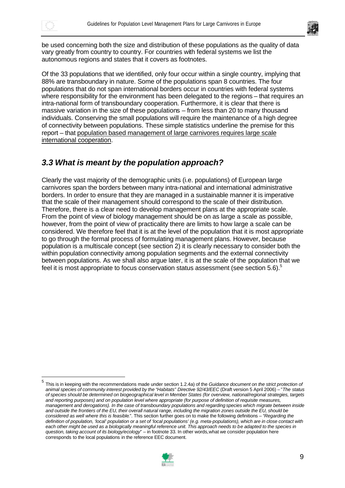



be used concerning both the size and distribution of these populations as the quality of data vary greatly from country to country. For countries with federal systems we list the autonomous regions and states that it covers as footnotes.

Of the 33 populations that we identified, only four occur within a single country, implying that 88% are transboundary in nature. Some of the populations span 8 countries. The four populations that do not span international borders occur in countries with federal systems where responsibility for the environment has been delegated to the regions – that requires an intra-national form of transboundary cooperation. Furthermore, it is clear that there is massive variation in the size of these populations – from less than 20 to many thousand individuals. Conserving the small populations will require the maintenance of a high degree of connectivity between populations. These simple statistics underline the premise for this report – that population based management of large carnivores requires large scale international cooperation.

## *3.3 What is meant by the population approach?*

Clearly the vast majority of the demographic units (i.e. populations) of European large carnivores span the borders between many intra-national and international administrative borders. In order to ensure that they are managed in a sustainable manner it is imperative that the scale of their management should correspond to the scale of their distribution. Therefore, there is a clear need to develop management plans at the appropriate scale. From the point of view of biology management should be on as large a scale as possible, however, from the point of view of practicality there are limits to how large a scale can be considered. We therefore feel that it is at the level of the population that it is most appropriate to go through the formal process of formulating management plans. However, because population is a multiscale concept (see section 2) it is clearly necessary to consider both the within population connectivity among population segments and the external connectivity between populations. As we shall also argue later, it is at the scale of the population that we feel it is most appropriate to focus conservation status assessment (see section 5.6).<sup>5</sup>

<sup>5</sup> This is in keeping with the recommendations made under section 1.2.4a) of the *Guidance document on the strict protection of animal species of community interest provided by the "Habitats" Directive 92/43/EEC* (Draft version 5 April 2006) – "*The status of species should be determined on biogeographical level in Member States (for overview, national/regional strategies, targets and reporting purposes) and on population level where appropriate (for purpose of definition of requisite measures, management and derogations). In the case of transboundary populations and regarding species which migrate between inside and outside the frontiers of the EU, their overall natural range, including the migration zones outside the EU, should be considered as well where this is feasible*.". This section further goes on to make the following definitions – "*Regarding the definition of population, 'local' population or a set of 'local populations' (e.g. meta-populations), which are in close contact with*  each other might be used as a biologically meaningful reference unit. This approach needs to be adapted to the species in *question, taking account of its biology/ecology*" – in footnote 33. In other words, what we consider population here corresponds to the local populations in the reference EEC document.

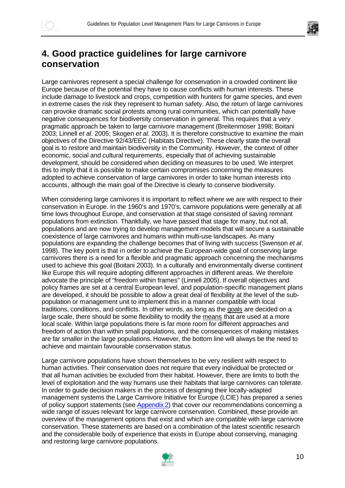

# **4. Good practice guidelines for large carnivore conservation**

Large carnivores represent a special challenge for conservation in a crowded continent like Europe because of the potential they have to cause conflicts with human interests. These include damage to livestock and crops, competition with hunters for game species, and even in extreme cases the risk they represent to human safety. Also, the return of large carnivores can provoke dramatic social protests among rural communities, which can potentially have negative consequences for biodiversity conservation in general. This requires that a very pragmatic approach be taken to large carnivore management (Breitenmoser 1998; Boitani 2003; Linnell *et al*. 2005; Skogen *et al.* 2003). It is therefore constructive to examine the main objectives of the Directive 92/43/EEC (Habitats Directive). These clearly state the overall goal is to restore and maintain biodiversity in the Community. However, the context of other economic, social and cultural requirements, especially that of achieving sustainable development, should be considered when deciding on measures to be used. We interpret this to imply that it is possible to make certain compromises concerning the measures adopted to achieve conservation of large carnivores in order to take human interests into accounts, although the main goal of the Directive is clearly to conserve biodiversity.

When considering large carnivores it is important to reflect where we are with respect to their conservation in Europe. In the 1960's and 1970's, carnivore populations were generally at all time lows throughout Europe, and conservation at that stage consisted of saving remnant populations from extinction. Thankfully, we have passed that stage for many, but not all, populations and are now trying to develop management models that will secure a sustainable coexistence of large carnivores and humans within multi-use landscapes. As many populations are expanding the challenge becomes that of living with success (Swenson *et al*. 1998). The key point is that in order to achieve the European-wide goal of conserving large carnivores there is a need for a flexible and pragmatic approach concerning the mechanisms used to achieve this goal (Boitani 2003). In a culturally and environmentally diverse continent like Europe this will require adopting different approaches in different areas. We therefore advocate the principle of "freedom within frames" (Linnell 2005). If overall objectives and policy frames are set at a central European level, and population-specific management plans are developed, it should be possible to allow a great deal of flexibility at the level of the subpopulation or management unit to implement this in a manner compatible with local traditions, conditions, and conflicts. In other words, as long as the goals are decided on a large scale, there should be some flexibility to modify the means that are used at a more local scale. Within large populations there is far more room for different approaches and freedom of action than within small populations, and the consequences of making mistakes are far smaller in the large populations. However, the bottom line will always be the need to achieve and maintain favourable conservation status.

Large carnivore populations have shown themselves to be very resilient with respect to human activities. Their conservation does not require that every individual be protected or that all human activities be excluded from their habitat. However, there are limits to both the level of exploitation and the way humans use their habitats that large carnivores can tolerate. In order to guide decision makers in the process of designing their locally-adapted management systems the Large Carnivore Initiative for Europe (LCIE) has prepared a series of policy support statements (see Appendix 2) that cover our recommendations concerning a wide range of issues relevant for large carnivore conservation. Combined, these provide an overview of the management options that exist and which are compatible with large carnivore conservation. These statements are based on a combination of the latest scientific research and the considerable body of experience that exists in Europe about conserving, managing and restoring large carnivore populations.

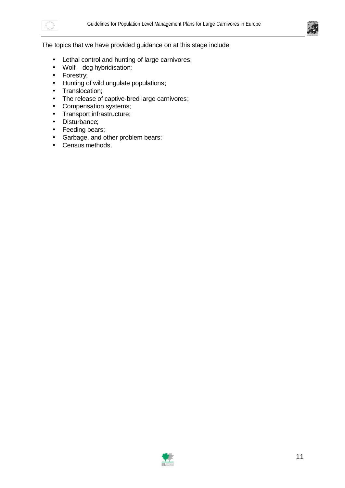



#### The topics that we have provided guidance on at this stage include:

- Lethal control and hunting of large carnivores;
- Wolf dog hybridisation;
- Forestry;
- Hunting of wild ungulate populations;
- Translocation;
- The release of captive-bred large carnivores;
- Compensation systems;
- Transport infrastructure;
- Disturbance;
- Feeding bears;
- Garbage, and other problem bears;
- Census methods.

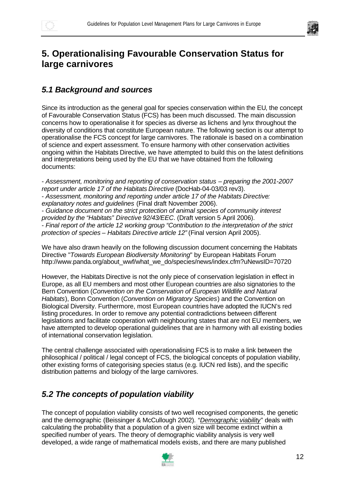

# **5. Operationalising Favourable Conservation Status for large carnivores**

## *5.1 Background and sources*

Since its introduction as the general goal for species conservation within the EU, the concept of Favourable Conservation Status (FCS) has been much discussed. The main discussion concerns how to operationalise it for species as diverse as lichens and lynx throughout the diversity of conditions that constitute European nature. The following section is our attempt to operationalise the FCS concept for large carnivores. The rationale is based on a combination of science and expert assessment. To ensure harmony with other conservation activities ongoing within the Habitats Directive, we have attempted to build this on the latest definitions and interpretations being used by the EU that we have obtained from the following documents:

- *Assessment, monitoring and reporting of conservation status – preparing the 2001-2007 report under article 17 of the Habitats Directive* (DocHab-04-03/03 rev3). - *Assessment, monitoring and reporting under article 17 of the Habitats Directive: explanatory notes and guidelines* (Final draft November 2006). - *Guidance document on the strict protection of animal species of community interest provided by the "Habitats" Directive 92/43/EEC*. (Draft version 5 April 2006). - *Final report of the article 12 working group "Contribution to the interpretation of the strict protection of species – Habitats Directive article 12"* (Final version April 2005).

We have also drawn heavily on the following discussion document concerning the Habitats Directive "*Towards European Biodiversity Monitoring*" by European Habitats Forum http://www.panda.org/about\_wwf/what\_we\_do/species/news/index.cfm?uNewsID=70720

However, the Habitats Directive is not the only piece of conservation legislation in effect in Europe, as all EU members and most other European countries are also signatories to the Bern Convention (*Convention on the Conservation of European Wildlife and Natural Habitats*), Bonn Convention (*Convention on Migratory Species*) and the Convention on Biological Diversity. Furthermore, most European countries have adopted the IUCN's red listing procedures. In order to remove any potential contradictions between different legislations and facilitate cooperation with neighbouring states that are not EU members, we have attempted to develop operational guidelines that are in harmony with all existing bodies of international conservation legislation.

The central challenge associated with operationalising FCS is to make a link between the philosophical / political / legal concept of FCS, the biological concepts of population viability, other existing forms of categorising species status (e.g. IUCN red lists), and the specific distribution patterns and biology of the large carnivores.

# *5.2 The concepts of population viability*

The concept of population viability consists of two well recognised components, the genetic and the demographic (Beissinger & McCullough 2002). "*Demographic viability*" deals with calculating the probability that a population of a given size will become extinct within a specified number of years. The theory of demographic viability analysis is very well developed, a wide range of mathematical models exists, and there are many published

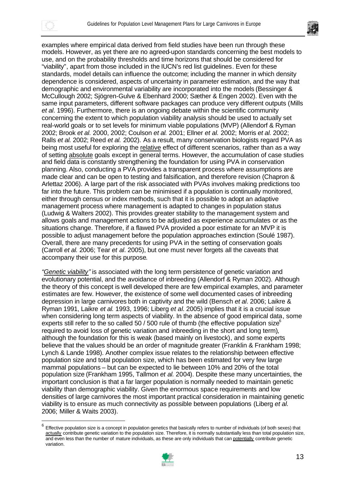



examples where empirical data derived from field studies have been run through these models. However, as yet there are no agreed-upon standards concerning the best models to use, and on the probability thresholds and time horizons that should be considered for "viability", apart from those included in the IUCN's red list guidelines. Even for these standards, model details can influence the outcome; including the manner in which density dependence is considered, aspects of uncertainty in parameter estimation, and the way that demographic and environmental variability are incorporated into the models (Bessinger & McCullough 2002; Sjögren-Gulve & Ebenhard 2000; Sæther & Engen 2002). Even with the same input parameters, different software packages can produce very different outputs (Mills *et al*. 1996). Furthermore, there is an ongoing debate within the scientific community concerning the extent to which population viability analysis should be used to actually set real-world goals or to set levels for minimum viable populations (MVP) (Allendorf & Ryman 2002; Brook *et al.* 2000, 2002; Coulson *et al.* 2001; Ellner *et al.* 2002; Morris *et al.* 2002; Ralls *et al.* 2002; Reed *et al.* 2002). As a result, many conservation biologists regard PVA as being most useful for exploring the relative effect of different scenarios, rather than as a way of setting absolute goals except in general terms. However, the accumulation of case studies and field data is constantly strengthening the foundation for using PVA in conservation planning. Also, conducting a PVA provides a transparent process where assumptions are made clear and can be open to testing and falsification, and therefore revision (Chapron & Arlettaz 2006). A large part of the risk associated with PVAs involves making predictions too far into the future. This problem can be minimised if a population is continually monitored, either through census or index methods, such that it is possible to adopt an adaptive management process where management is adapted to changes in population status (Ludwig & Walters 2002). This provides greater stability to the management system and allows goals and management actions to be adjusted as experience accumulates or as the situations change. Therefore, if a flawed PVA provided a poor estimate for an MVP it is possible to adjust management before the population approaches extinction (Soulé 1987). Overall, there are many precedents for using PVA in the setting of conservation goals (Carroll *et al.* 2006; Tear *et al*. 2005), but one must never forgets all the caveats that accompany their use for this purpose.

*"Genetic viability"* is associated with the long term persistence of genetic variation and evolutionary potential, and the avoidance of inbreeding (Allendorf & Ryman 2002). Although the theory of this concept is well developed there are few empirical examples, and parameter estimates are few. However, the existence of some well documented cases of inbreeding depression in large carnivores both in captivity and the wild (Bensch *et al*. 2006; Laikre & Ryman 1991, Laikre *et al.* 1993, 1996; Liberg *et al.* 2005) implies that it is a crucial issue when considering long term aspects of viability. In the absence of good empirical data, some experts still refer to the so called 50 / 500 rule of thumb (the effective population size<sup>6</sup>) required to avoid loss of genetic variation and inbreeding in the short and long term), although the foundation for this is weak (based mainly on livestock), and some experts believe that the values should be an order of magnitude greater (Franklin & Frankham 1998; Lynch & Lande 1998). Another complex issue relates to the relationship between effective population size and total population size, which has been estimated for very few large mammal populations – but can be expected to lie between 10% and 20% of the total population size (Frankham 1995, Tallmon *et al.* 2004). Despite these many uncertainties, the important conclusion is that a far larger population is normally needed to maintain genetic viability than demographic viability. Given the enormous space requirements and low densities of large carnivores the most important practical consideration in maintaining genetic viability is to ensure as much connectivity as possible between populations (Liberg *et al.* 2006; Miller & Waits 2003).

<sup>6</sup> Effective population size is a concept in population genetics that basically refers to number of individuals (of both sexes) that actually contribute genetic variation to the population size. Therefore, it is normally substantially less than total population size, and even less than the number of mature individuals, as these are only individuals that can potentially contribute genetic variation.

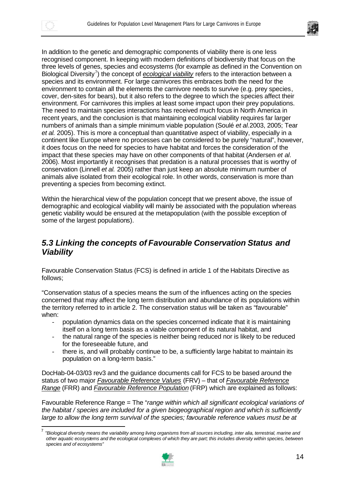

In addition to the genetic and demographic components of viability there is one less recognised component. In keeping with modern definitions of biodiversity that focus on the three levels of genes, species and ecosystems (for example as defined in the Convention on Biological Diversity<sup>7</sup>) the concept of *ecological viability* refers to the interaction between a species and its environment. For large carnivores this embraces both the need for the environment to contain all the elements the carnivore needs to survive (e.g. prey species, cover, den-sites for bears), but it also refers to the degree to which the species affect their environment. For carnivores this implies at least some impact upon their prey populations. The need to maintain species interactions has received much focus in North America in recent years, and the conclusion is that maintaining ecological viability requires far larger numbers of animals than a simple minimum viable population (Soulé *et al.*2003, 2005; Tear *et al.* 2005). This is more a conceptual than quantitative aspect of viability, especially in a continent like Europe where no processes can be considered to be purely "natural", however, it does focus on the need for species to have habitat and forces the consideration of the impact that these species may have on other components of that habitat (Andersen *et al*. 2006). Most importantly it recognises that predation is a natural processes that is worthy of conservation (Linnell *et al.* 2005) rather than just keep an absolute minimum number of animals alive isolated from their ecological role. In other words, conservation is more than preventing a species from becoming extinct.

Within the hierarchical view of the population concept that we present above, the issue of demographic and ecological viability will mainly be associated with the population whereas genetic viability would be ensured at the metapopulation (with the possible exception of some of the largest populations).

#### *5.3 Linking the concepts of Favourable Conservation Status and Viability*

Favourable Conservation Status (FCS) is defined in article 1 of the Habitats Directive as follows;

"Conservation status of a species means the sum of the influences acting on the species concerned that may affect the long term distribution and abundance of its populations within the territory referred to in article 2. The conservation status will be taken as "favourable" when:

- population dynamics data on the species concerned indicate that it is maintaining itself on a long term basis as a viable component of its natural habitat, and
- the natural range of the species is neither being reduced nor is likely to be reduced for the foreseeable future, and
- there is, and will probably continue to be, a sufficiently large habitat to maintain its population on a long-term basis."

DocHab-04-03/03 rev3 and the guidance documents call for FCS to be based around the status of two major *Favourable Reference Values* (FRV) – that of *Favourable Reference Range* (FRR) and *Favourable Reference Population* (FRP) which are explained as follows:

Favourable Reference Range = The "*range within which all significant ecological variations of the habitat / species are included for a given biogeographical region and which is sufficiently large to allow the long term survival of the species; favourable reference values must be at* 

<sup>-&</sup>lt;br>7 *"Biological diversity means the variability among living organisms from all sources including, inter alia, terrestrial, marine and other aquatic ecosystems and the ecological complexes of which they are part; this includes diversity within species, between species and of ecosystems"*

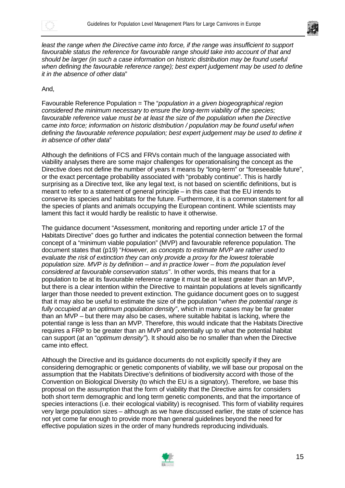



least the range when the Directive came into force, if the range was insufficient to support *favourable status the reference for favourable range should take into account of that and should be larger (in such a case information on historic distribution may be found useful when defining the favourable reference range); best expert judgement may be used to define it in the absence of other data*"

#### And,

Favourable Reference Population = The "*population in a given biogeographical region considered the minimum necessary to ensure the long-term viability of the species; favourable reference value must be at least the size of the population when the Directive came into force; information on historic distribution / population may be found useful when defining the favourable reference population; best expert judgement may be used to define it in absence of other data*"

Although the definitions of FCS and FRVs contain much of the language associated with viability analyses there are some major challenges for operationalising the concept as the Directive does not define the number of years it means by "long-term" or "foreseeable future", or the exact percentage probability associated with "probably continue". This is hardly surprising as a Directive text, like any legal text, is not based on scientific definitions, but is meant to refer to a statement of general principle – in this case that the EU intends to conserve its species and habitats for the future. Furthermore, it is a common statement for all the species of plants and animals occupying the European continent. While scientists may lament this fact it would hardly be realistic to have it otherwise.

The guidance document "Assessment, monitoring and reporting under article 17 of the Habitats Directive" does go further and indicates the potential connection between the formal concept of a "minimum viable population" (MVP) and favourable reference population. The document states that (p19) "*However, as concepts to estimate MVP are rather used to evaluate the risk of extinction they can only provide a proxy for the lowest tolerable population size. MVP is by definition – and in practice lower – from the population level considered at favourable conservation status*". In other words, this means that for a population to be at its favourable reference range it must be at least greater than an MVP, but there is a clear intention within the Directive to maintain populations at levels significantly larger than those needed to prevent extinction. The guidance document goes on to suggest that it may also be useful to estimate the size of the population "*when the potential range is fully occupied at an optimum population density*", which in many cases may be far greater than an MVP – but there may also be cases, where suitable habitat is lacking, where the potential range is less than an MVP. Therefore, this would indicate that the Habitats Directive requires a FRP to be greater than an MVP and potentially up to what the potential habitat can support (at an "*optimum density*"). It should also be no smaller than when the Directive came into effect.

Although the Directive and its guidance documents do not explicitly specify if they are considering demographic or genetic components of viability, we will base our proposal on the assumption that the Habitats Directive's definitions of biodiversity accord with those of the Convention on Biological Diversity (to which the EU is a signatory). Therefore, we base this proposal on the assumption that the form of viability that the Directive aims for considers both short term demographic and long term genetic components, and that the importance of species interactions (i.e. their ecological viability) is recognised. This form of viability requires very large population sizes – although as we have discussed earlier, the state of science has not yet come far enough to provide more than general guidelines beyond the need for effective population sizes in the order of many hundreds reproducing individuals.

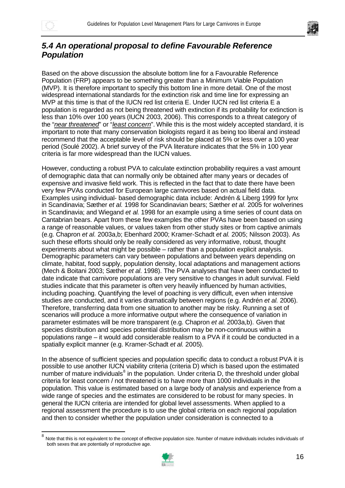



#### *5.4 An operational proposal to define Favourable Reference Population*

Based on the above discussion the absolute bottom line for a Favourable Reference Population (FRP) appears to be something greater than a Minimum Viable Population (MVP). It is therefore important to specify this bottom line in more detail. One of the most widespread international standards for the extinction risk and time line for expressing an MVP at this time is that of the IUCN red list criteria E. Under IUCN red list criteria E a population is regarded as not being threatened with extinction if its probability for extinction is less than 10% over 100 years (IUCN 2003, 2006). This corresponds to a threat category of the "*near threatened*" or "*least concern*". While this is the most widely accepted standard, it is important to note that many conservation biologists regard it as being too liberal and instead recommend that the acceptable level of risk should be placed at 5% or less over a 100 year period (Soulé 2002). A brief survey of the PVA literature indicates that the 5% in 100 year criteria is far more widespread than the IUCN values.

However, conducting a robust PVA to calculate extinction probability requires a vast amount of demographic data that can normally only be obtained after many years or decades of expensive and invasive field work. This is reflected in the fact that to date there have been very few PVAs conducted for European large carnivores based on actual field data. Examples using individual- based demographic data include: Andrén & Liberg 1999 for lynx in Scandinavia; Sæther *et al.* 1998 for Scandinavian bears; Sæther *et al.* 2005 for wolverines in Scandinavia; and Wiegand *et al.* 1998 for an example using a time series of count data on Cantabrian bears. Apart from these few examples the other PVAs have been based on using a range of reasonable values, or values taken from other study sites or from captive animals (e.g. Chapron *et al.* 2003a,b; Ebenhard 2000; Kramer-Schadt *et al.* 2005; Nilsson 2003). As such these efforts should only be really considered as very informative, robust, thought experiments about what might be possible – rather than a population explicit analysis. Demographic parameters can vary between populations and between years depending on climate, habitat, food supply, population density, local adaptations and management actions (Mech & Boitani 2003; Sæther *et al*. 1998). The PVA analyses that have been conducted to date indicate that carnivore populations are very sensitive to changes in adult survival. Field studies indicate that this parameter is often very heavily influenced by human activities, including poaching. Quantifying the level of poaching is very difficult, even when intensive studies are conducted, and it varies dramatically between regions (e.g. Andrén *et al.* 2006). Therefore, transferring data from one situation to another may be risky. Running a set of scenarios will produce a more informative output where the consequence of variation in parameter estimates will be more transparent (e.g. Chapron *et al.* 2003a,b). Given that species distribution and species potential distribution may be non-continuous within a populations range – it would add considerable realism to a PVA if it could be conducted in a spatially explicit manner (e.g. Kramer-Schadt *et al.* 2005).

In the absence of sufficient species and population specific data to conduct a robust PVA it is possible to use another IUCN viability criteria (criteria D) which is based upon the estimated number of mature individuals<sup>8</sup> in the population. Under criteria D, the threshold under global criteria for least concern / not threatened is to have more than 1000 individuals in the population. This value is estimated based on a large body of analysis and experience from a wide range of species and the estimates are considered to be robust for many species. In general the IUCN criteria are intended for global level assessments. When applied to a regional assessment the procedure is to use the global criteria on each regional population and then to consider whether the population under consideration is connected to a

<sup>8&</sup>lt;br><sup>8</sup> Note that this is not equivalent to the concept of effective population size. Number of mature individuals includes individuals of both sexes that are potentially of reproductive age.

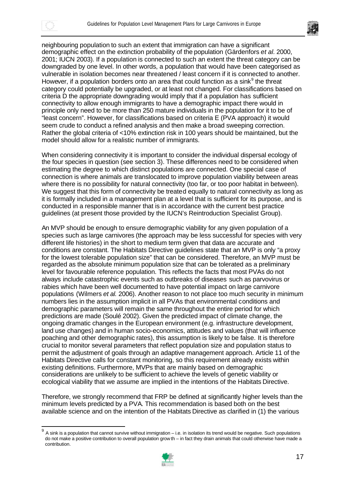



neighbouring population to such an extent that immigration can have a significant demographic effect on the extinction probability of the population (Gärdenfors *et al.* 2000, 2001; IUCN 2003). If a population is connected to such an extent the threat category can be downgraded by one level. In other words, a population that would have been categorised as vulnerable in isolation becomes near threatened / least concern if it is connected to another. However, if a population borders onto an area that could function as a sink $<sup>9</sup>$  the threat</sup> category could potentially be upgraded, or at least not changed. For classifications based on criteria D the appropriate downgrading would imply that if a population has sufficient connectivity to allow enough immigrants to have a demographic impact there would in principle only need to be more than 250 mature individuals in the population for it to be of "least concern". However, for classifications based on criteria E (PVA approach) it would seem crude to conduct a refined analysis and then make a broad sweeping correction. Rather the global criteria of <10% extinction risk in 100 years should be maintained, but the model should allow for a realistic number of immigrants.

When considering connectivity it is important to consider the individual dispersal ecology of the four species in question (see section 3). These differences need to be considered when estimating the degree to which distinct populations are connected. One special case of connection is where animals are translocated to improve population viability between areas where there is no possibility for natural connectivity (too far, or too poor habitat in between). We suggest that this form of connectivity be treated equally to natural connectivity as long as it is formally included in a management plan at a level that is sufficient for its purpose, and is conducted in a responsible manner that is in accordance with the current best practice guidelines (at present those provided by the IUCN's Reintroduction Specialist Group).

An MVP should be enough to ensure demographic viability for any given population of a species such as large carnivores (the approach may be less successful for species with very different life histories) in the short to medium term given that data are accurate and conditions are constant. The Habitats Directive guidelines state that an MVP is only "a proxy for the lowest tolerable population size" that can be considered. Therefore, an MVP must be regarded as the absolute minimum population size that can be tolerated as a preliminary level for favourable reference population. This reflects the facts that most PVAs do not always include catastrophic events such as outbreaks of diseases such as parvovirus or rabies which have been well documented to have potential impact on large carnivore populations (Wilmers *et al.* 2006). Another reason to not place too much security in minimum numbers lies in the assumption implicit in all PVAs that environmental conditions and demographic parameters will remain the same throughout the entire period for which predictions are made (Soulé 2002). Given the predicted impact of climate change, the ongoing dramatic changes in the European environment (e.g. infrastructure development, land use changes) and in human socio-economics, attitudes and values (that will influence poaching and other demographic rates), this assumption is likely to be false. It is therefore crucial to monitor several parameters that reflect population size and population status to permit the adjustment of goals through an adaptive management approach. Article 11 of the Habitats Directive calls for constant monitoring, so this requirement already exists within existing definitions. Furthermore, MVPs that are mainly based on demographic considerations are unlikely to be sufficient to achieve the levels of genetic viability or ecological viability that we assume are implied in the intentions of the Habitats Directive.

Therefore, we strongly recommend that FRP be defined at significantly higher levels than the minimum levels predicted by a PVA. This recommendation is based both on the best available science and on the intention of the Habitats Directive as clarified in (1) the various

<sup>–&</sup>lt;br>9 A sink is a population that cannot survive without immigration – i.e. in isolation its trend would be negative. Such populations do not make a positive contribution to overall population grow th – in fact they drain animals that could otherwise have made a contribution.

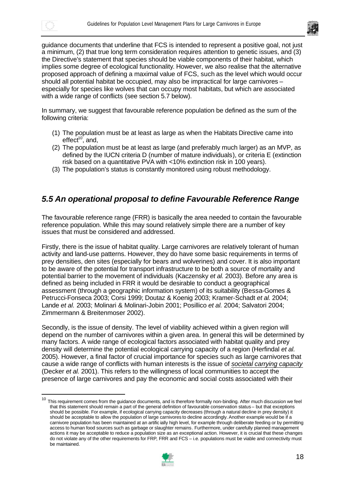

guidance documents that underline that FCS is intended to represent a positive goal, not just a minimum, (2) that true long term consideration requires attention to genetic issues, and (3) the Directive's statement that species should be viable components of their habitat, which implies some degree of ecological functionality. However, we also realise that the alternative proposed approach of defining a maximal value of FCS, such as the level which would occur should all potential habitat be occupied, may also be impractical for large carnivores – especially for species like wolves that can occupy most habitats, but which are associated with a wide range of conflicts (see section 5.7 below).

In summary, we suggest that favourable reference population be defined as the sum of the following criteria:

- (1) The population must be at least as large as when the Habitats Directive came into effect $10$ , and,
- (2) The population must be at least as large (and preferably much larger) as an MVP, as defined by the IUCN criteria D (number of mature individuals), or criteria E (extinction risk based on a quantitative PVA with <10% extinction risk in 100 years).
- (3) The population's status is constantly monitored using robust methodology.

## *5.5 An operational proposal to define Favourable Reference Range*

The favourable reference range (FRR) is basically the area needed to contain the favourable reference population. While this may sound relatively simple there are a number of key issues that must be considered and addressed.

Firstly, there is the issue of habitat quality. Large carnivores are relatively tolerant of human activity and land-use patterns. However, they do have some basic requirements in terms of prey densities, den sites (especially for bears and wolverines) and cover. It is also important to be aware of the potential for transport infrastructure to be both a source of mortality and potential barrier to the movement of individuals (Kaczensky *et al.* 2003). Before any area is defined as being included in FRR it would be desirable to conduct a geographical assessment (through a geographic information system) of its suitability (Bessa-Gomes & Petrucci-Fonseca 2003; Corsi 1999; Doutaz & Koenig 2003; Kramer-Schadt *et al.* 2004; Lande *et al.* 2003; Molinari & Molinari-Jobin 2001; Posillico *et al.* 2004; Salvatori 2004; Zimmermann & Breitenmoser 2002).

Secondly, is the issue of density. The level of viability achieved within a given region will depend on the number of carnivores within a given area. In general this will be determined by many factors. A wide range of ecological factors associated with habitat quality and prey density will determine the potential ecological carrying capacity of a region (Herfindal *et al.* 2005). However, a final factor of crucial importance for species such as large carnivores that cause a wide range of conflicts with human interests is the issue of *societal carrying capacity* (Decker *et al.* 2001). This refers to the willingness of local communities to accept the presence of large carnivores and pay the economic and social costs associated with their

<sup>&</sup>lt;sup>10</sup> This requirement comes from the guidance documents, and is therefore formally non-binding. After much discussion we feel that this statement should remain a part of the general definition of favourable conservation status – but that exceptions should be possible. For example, if ecological carrying capacity decreases (through a natural decline in prey density) it should be acceptable to allow the population of large carnivores to decline accordingly. Another example would be if a carnivore population has been maintained at an artific ially high level, for example through deliberate feeding or by permitting access to human food sources such as garbage or slaughter remains. Furthermore, under carefully planned management actions it may be acceptable to reduce a population size as an exceptional action. However, it is crucial that these changes do not violate any of the other requirements for FRP, FRR and FCS – i.e. populations must be viable and connectivity must be maintained.

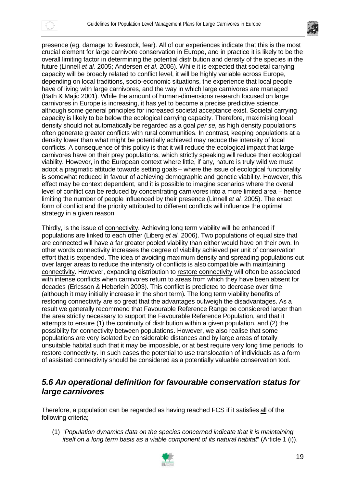



presence (eg, damage to livestock, fear). All of our experiences indicate that this is the most crucial element for large carnivore conservation in Europe, and in practice it is likely to be the overall limiting factor in determining the potential distribution and density of the species in the future (Linnell *et al.* 2005; Andersen *et al*. 2006). While it is expected that societal carrying capacity will be broadly related to conflict level, it will be highly variable across Europe, depending on local traditions, socio-economic situations, the experience that local people have of living with large carnivores, and the way in which large carnivores are managed (Bath & Majic 2001). While the amount of human-dimensions research focused on large carnivores in Europe is increasing, it has yet to become a precise predictive science, although some general principles for increased societal acceptance exist. Societal carrying capacity is likely to be below the ecological carrying capacity. Therefore, maximising local density should not automatically be regarded as a goal *per se*, as high density populations often generate greater conflicts with rural communities. In contrast, keeping populations at a density lower than what might be potentially achieved may reduce the intensity of local conflicts. A consequence of this policy is that it will reduce the ecological impact that large carnivores have on their prey populations, which strictly speaking will reduce their ecological viability. However, in the European context where little, if any, nature is truly wild we must adopt a pragmatic attitude towards setting goals – where the issue of ecological functionality is somewhat reduced in favour of achieving demographic and genetic viability. However, this effect may be context dependent, and it is possible to imagine scenarios where the overall level of conflict can be reduced by concentrating carnivores into a more limited area – hence limiting the number of people influenced by their presence (Linnell *et al.* 2005). The exact form of conflict and the priority attributed to different conflicts will influence the optimal strategy in a given reason.

Thirdly, is the issue of connectivity. Achieving long term viability will be enhanced if populations are linked to each other (Liberg *et al.* 2006). Two populations of equal size that are connected will have a far greater pooled viability than either would have on their own. In other words connectivity increases the degree of viability achieved per unit of conservation effort that is expended. The idea of avoiding maximum density and spreading populations out over larger areas to reduce the intensity of conflicts is also compatible with maintaining connectivity. However, expanding distribution to restore connectivity will often be associated with intense conflicts when carnivores return to areas from which they have been absent for decades (Ericsson & Heberlein 2003). This conflict is predicted to decrease over time (although it may initially increase in the short term). The long term viability benefits of restoring connectivity are so great that the advantages outweigh the disadvantages. As a result we generally recommend that Favourable Reference Range be considered larger than the area strictly necessary to support the Favourable Reference Population, and that it attempts to ensure (1) the continuity of distribution within a given population, and (2) the possibility for connectivity between populations. However, we also realise that some populations are very isolated by considerable distances and by large areas of totally unsuitable habitat such that it may be impossible, or at best require very long time periods, to restore connectivity. In such cases the potential to use translocation of individuals as a form of assisted connectivity should be considered as a potentially valuable conservation tool.

#### *5.6 An operational definition for favourable conservation status for large carnivores*

Therefore, a population can be regarded as having reached FCS if it satisfies all of the following criteria;

(1) "*Population dynamics data on the species concerned indicate that it is maintaining itself on a long term basis as a viable component of its natural habitat*" (Article 1 (i)).

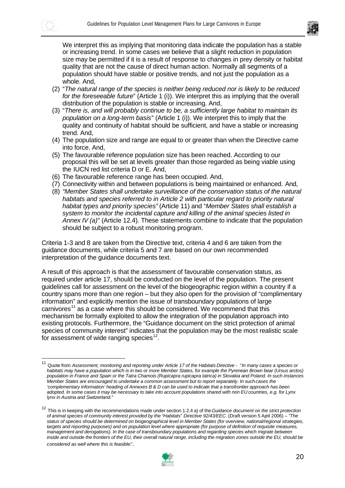



We interpret this as implying that monitoring data indicate the population has a stable or increasing trend. In some cases we believe that a slight reduction in population size may be permitted if it is a result of response to changes in prey density or habitat quality that are not the cause of direct human action. Normally all segments of a population should have stable or positive trends, and not just the population as a whole. And,

- (2) "*The natural range of the species is neither being reduced nor is likely to be reduced for the foreseeable future*" (Article 1 (i)). We interpret this as implying that the overall distribution of the population is stable or increasing. And,
- (3) "*There is, and will probably continue to be, a sufficiently large habitat to maintain its population on a long-term basis*" (Article 1 (i)). We interpret this to imply that the quality and continuity of habitat should be sufficient, and have a stable or increasing trend. And,
- (4) The population size and range are equal to or greater than when the Directive came into force. And,
- (5) The favourable reference population size has been reached. According to our proposal this will be set at levels greater than those regarded as being viable using the IUCN red list criteria D or E. And,
- (6) The favourable reference range has been occupied. And,
- (7) Connectivity within and between populations is being maintained or enhanced. And,
- (8) *"Member States shall undertake surveillance of the conservation status of the natural habitats and species referred to in Article 2 with particular regard to priority natural habitat types and priority species"* (Article 11) and "*Member States shall establish a system to monitor the incidental capture and killing of the animal species listed in Annex IV (a)"* (Article 12.4). These statements combine to indicate that the population should be subject to a robust monitoring program.

Criteria 1-3 and 8 are taken from the Directive text, criteria 4 and 6 are taken from the guidance documents, while criteria 5 and 7 are based on our own recommended interpretation of the guidance documents text.

A result of this approach is that the assessment of favourable conservation status, as required under article 17, should be conducted on the level of the population. The present guidelines call for assessment on the level of the biogeographic region within a country if a country spans more than one region – but they also open for the provision of "complimentary information" and explicitly mention the issue of transboundary populations of large carnivores<sup>11</sup> as a case where this should be considered. We recommend that this mechanism be formally exploited to allow the integration of the population approach into existing protocols. Furthermore, the "Guidance document on the strict protection of animal species of community interest" indicates that the population may be the most realistic scale for assessment of wide ranging species<sup>12</sup>.

<sup>12</sup> This is in keeping with the recommendations made under section 1.2.4 a) of the *Guidance document on the strict protection of animal species of community interest provided by the "Habitats" Directive 92/43/EEC*. (Draft version 5 April 2006) – "*The status of species should be determined on biogeographical level in Member States (for overview, national/regional strategies, targets and reporting purposes) and on population level where appropriate (for purpose of definition of requisite measures, management and derogations). In the case of transboundary populations and regarding species which migrate between*  inside and outside the frontiers of the EU, their overall natural range, including the migration zones outside the EU, should be *considered as well where this is feasible*.".



<sup>11</sup> Quote from *Assessment, monitoring and reporting under Article 17 of the Habitats Directive* - "*In many cases a species or habitats may have a population which is in two or more Member States, for example the Pyrenean Brown bear (Ursus arctos) population in France and Spain or the Tatra Chamois (Rupicapra rupicapra tatrica) in Slovakia and Poland. In such instances Member States are encouraged to undertake a common assessment but to report separately. In such cases the 'complementary information' heading of Annexes B & D can be used to indicate that a transfrontier approach has been adopted. In some cases it may be necessary to take into account populations shared with non EU countries, e.g. for Lynx lynx in Austria and Switzerland*."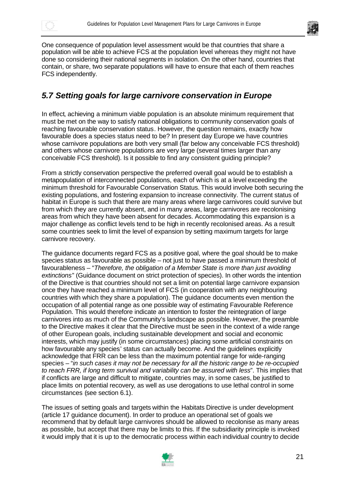



One consequence of population level assessment would be that countries that share a population will be able to achieve FCS at the population level whereas they might not have done so considering their national segments in isolation. On the other hand, countries that contain, or share, two separate populations will have to ensure that each of them reaches FCS independently.

## *5.7 Setting goals for large carnivore conservation in Europe*

In effect, achieving a minimum viable population is an absolute minimum requirement that must be met on the way to satisfy national obligations to community conservation goals of reaching favourable conservation status. However, the question remains, exactly how favourable does a species status need to be? In present day Europe we have countries whose carnivore populations are both very small (far below any conceivable FCS threshold) and others whose carnivore populations are very large (several times larger than any conceivable FCS threshold). Is it possible to find any consistent guiding principle?

From a strictly conservation perspective the preferred overall goal would be to establish a metapopulation of interconnected populations, each of which is at a level exceeding the minimum threshold for Favourable Conservation Status. This would involve both securing the existing populations, and fostering expansion to increase connectivity. The current status of habitat in Europe is such that there are many areas where large carnivores could survive but from which they are currently absent, and in many areas, large carnivores are recolonising areas from which they have been absent for decades. Accommodating this expansion is a major challenge as conflict levels tend to be high in recently recolonised areas. As a result some countries seek to limit the level of expansion by setting maximum targets for large carnivore recovery.

The guidance documents regard FCS as a positive goal, where the goal should be to make species status as favourable as possible – not just to have passed a minimum threshold of favourableness – "*Therefore, the obligation of a Member State is more than just avoiding extinctions*" (Guidance document on strict protection of species). In other words the intention of the Directive is that countries should not set a limit on potential large carnivore expansion once they have reached a minimum level of FCS (in cooperation with any neighbouring countries with which they share a population). The guidance documents even mention the occupation of all potential range as one possible way of estimating Favourable Reference Population. This would therefore indicate an intention to foster the reintegration of large carnivores into as much of the Community's landscape as possible. However, the preamble to the Directive makes it clear that the Directive must be seen in the context of a wide range of other European goals, including sustainable development and social and economic interests, which may justify (in some circumstances) placing some artificial constraints on how favourable any species' status can actually become. And the guidelines explicitly acknowledge that FRR can be less than the maximum potential range for wide-ranging species – "*in such cases it may not be necessary for all the historic range to be re-occupied to reach FRR, if long term survival and variability can be assured with less*". This implies that if conflicts are large and difficult to mitigate, countries may, in some cases, be justified to place limits on potential recovery, as well as use derogations to use lethal control in some circumstances (see section 6.1).

The issues of setting goals and targets within the Habitats Directive is under development (article 17 guidance document). In order to produce an operational set of goals we recommend that by default large carnivores should be allowed to recolonise as many areas as possible, but accept that there may be limits to this. If the subsidiarity principle is invoked it would imply that it is up to the democratic process within each individual country to decide

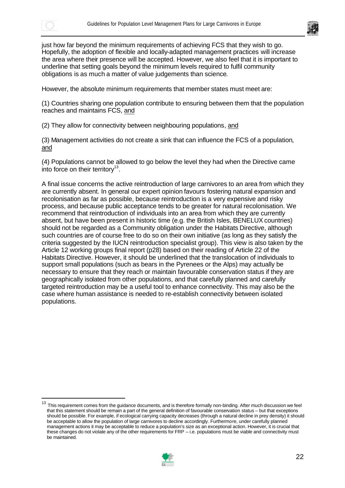



just how far beyond the minimum requirements of achieving FCS that they wish to go. Hopefully, the adoption of flexible and locally-adapted management practices will increase the area where their presence will be accepted. However, we also feel that it is important to underline that setting goals beyond the minimum levels required to fulfil community obligations is as much a matter of value judgements than science.

However, the absolute minimum requirements that member states must meet are:

(1) Countries sharing one population contribute to ensuring between them that the population reaches and maintains FCS, and

(2) They allow for connectivity between neighbouring populations, and

(3) Management activities do not create a sink that can influence the FCS of a population, and

(4) Populations cannot be allowed to go below the level they had when the Directive came into force on their territory $13$ .

A final issue concerns the active reintroduction of large carnivores to an area from which they are currently absent. In general our expert opinion favours fostering natural expansion and recolonisation as far as possible, because reintroduction is a very expensive and risky process, and because public acceptance tends to be greater for natural recolonisation. We recommend that reintroduction of individuals into an area from which they are currently absent, but have been present in historic time (e.g. the British Isles, BENELUX countries) should not be regarded as a Community obligation under the Habitats Directive, although such countries are of course free to do so on their own initiative (as long as they satisfy the criteria suggested by the IUCN reintroduction specialist group). This view is also taken by the Article 12 working groups final report (p28) based on their reading of Article 22 of the Habitats Directive. However, it should be underlined that the translocation of individuals to support small populations (such as bears in the Pyrenees or the Alps) may actually be necessary to ensure that they reach or maintain favourable conservation status if they are geographically isolated from other populations, and that carefully planned and carefully targeted reintroduction may be a useful tool to enhance connectivity. This may also be the case where human assistance is needed to re-establish connectivity between isolated populations.

<sup>&</sup>lt;sup>13</sup> This requirement comes from the quidance documents, and is therefore formally non-binding. After much discussion we feel that this statement should be remain a part of the general definition of favourable conservation status – but that exceptions should be possible. For example, if ecological carrying capacity decreases (through a natural decline in prey density) it should be acceptable to allow the population of large carnivores to decline accordingly. Furthermore, under carefully planned management actions it may be acceptable to reduce a population's size as an exceptional action. However, it is crucial that these changes do not violate any of the other requirements for FRP – i.e. populations must be viable and connectivity must be maintained.

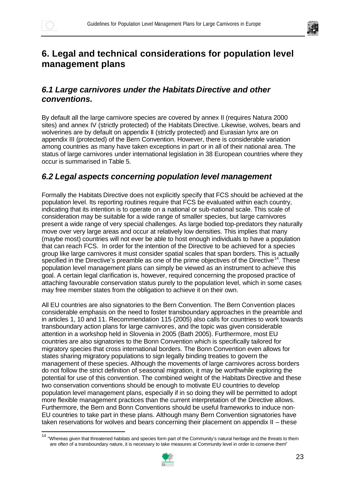$\overline{a}$ 



# **6. Legal and technical considerations for population level management plans**

## *6.1 Large carnivores under the Habitats Directive and other conventions.*

By default all the large carnivore species are covered by annex II (requires Natura 2000 sites) and annex IV (strictly protected) of the Habitats Directive. Likewise, wolves, bears and wolverines are by default on appendix II (strictly protected) and Eurasian lynx are on appendix III (protected) of the Bern Convention. However, there is considerable variation among countries as many have taken exceptions in part or in all of their national area. The status of large carnivores under international legislation in 38 European countries where they occur is summarised in Table 5.

## *6.2 Legal aspects concerning population level management*

Formally the Habitats Directive does not explicitly specify that FCS should be achieved at the population level. Its reporting routines require that FCS be evaluated within each country, indicating that its intention is to operate on a national or sub-national scale. This scale of consideration may be suitable for a wide range of smaller species, but large carnivores present a wide range of very special challenges. As large bodied top-predators they naturally move over very large areas and occur at relatively low densities. This implies that many (maybe most) countries will not ever be able to host enough individuals to have a population that can reach FCS. In order for the intention of the Directive to be achieved for a species group like large carnivores it must consider spatial scales that span borders. This is actually specified in the Directive's preamble as one of the prime objectives of the Directive<sup>14</sup>. These population level management plans can simply be viewed as an instrument to achieve this goal. A certain legal clarification is, however, required concerning the proposed practice of attaching favourable conservation status purely to the population level, which in some cases may free member states from the obligation to achieve it on their own.

All EU countries are also signatories to the Bern Convention. The Bern Convention places considerable emphasis on the need to foster transboundary approaches in the preamble and in articles 1, 10 and 11. Recommendation 115 (2005) also calls for countries to work towards transboundary action plans for large carnivores, and the topic was given considerable attention in a workshop held in Slovenia in 2005 (Bath 2005). Furthermore, most EU countries are also signatories to the Bonn Convention which is specifically tailored for migratory species that cross international borders. The Bonn Convention even allows for states sharing migratory populations to sign legally binding treaties to govern the management of these species. Although the movements of large carnivores across borders do not follow the strict definition of seasonal migration, it may be worthwhile exploring the potential for use of this convention. The combined weight of the Habitats Directive and these two conservation conventions should be enough to motivate EU countries to develop population level management plans, especially if in so doing they will be permitted to adopt more flexible management practices than the current interpretation of the Directive allows. Furthermore, the Bern and Bonn Conventions should be useful frameworks to induce non-EU countries to take part in these plans. Although many Bern Convention signatories have taken reservations for wolves and bears concerning their placement on appendix II – these

<sup>&</sup>lt;sup>14</sup> "Whereas given that threatened habitats and species form part of the Community's natural heritage and the threats to them are often of a transboundary nature, it is necessary to take measures at Community level in order to conserve them"

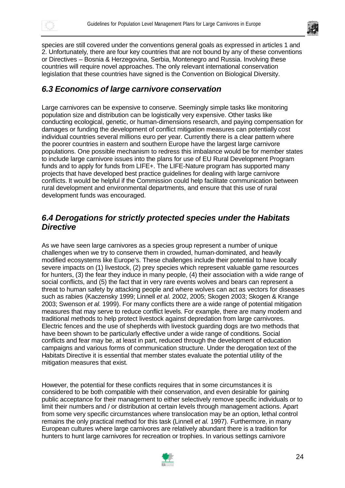



species are still covered under the conventions general goals as expressed in articles 1 and 2. Unfortunately, there are four key countries that are not bound by any of these conventions or Directives – Bosnia & Herzegovina, Serbia, Montenegro and Russia. Involving these countries will require novel approaches. The only relevant international conservation legislation that these countries have signed is the Convention on Biological Diversity.

#### *6.3 Economics of large carnivore conservation*

Large carnivores can be expensive to conserve. Seemingly simple tasks like monitoring population size and distribution can be logistically very expensive. Other tasks like conducting ecological, genetic, or human-dimensions research, and paying compensation for damages or funding the development of conflict mitigation measures can potentially cost individual countries several millions euro per year. Currently there is a clear pattern where the poorer countries in eastern and southern Europe have the largest large carnivore populations. One possible mechanism to redress this imbalance would be for member states to include large carnivore issues into the plans for use of EU Rural Development Program funds and to apply for funds from LIFE+. The LIFE-Nature program has supported many projects that have developed best practice guidelines for dealing with large carnivore conflicts. It would be helpful if the Commission could help facilitate communication between rural development and environmental departments, and ensure that this use of rural development funds was encouraged.

#### *6.4 Derogations for strictly protected species under the Habitats Directive*

As we have seen large carnivores as a species group represent a number of unique challenges when we try to conserve them in crowded, human-dominated, and heavily modified ecosystems like Europe's. These challenges include their potential to have locally severe impacts on (1) livestock, (2) prey species which represent valuable game resources for hunters, (3) the fear they induce in many people, (4) their association with a wide range of social conflicts, and (5) the fact that in very rare events wolves and bears can represent a threat to human safety by attacking people and where wolves can act as vectors for diseases such as rabies (Kaczensky 1999; Linnell *et al.* 2002, 2005; Skogen 2003; Skogen & Krange 2003; Swenson *et al.* 1999). For many conflicts there are a wide range of potential mitigation measures that may serve to reduce conflict levels. For example, there are many modern and traditional methods to help protect livestock against depredation from large carnivores. Electric fences and the use of shepherds with livestock guarding dogs are two methods that have been shown to be particularly effective under a wide range of conditions. Social conflicts and fear may be, at least in part, reduced through the development of education campaigns and various forms of communication structure. Under the derogation text of the Habitats Directive it is essential that member states evaluate the potential utility of the mitigation measures that exist.

However, the potential for these conflicts requires that in some circumstances it is considered to be both compatible with their conservation, and even desirable for gaining public acceptance for their management to either selectively remove specific individuals or to limit their numbers and / or distribution at certain levels through management actions. Apart from some very specific circumstances where translocation may be an option, lethal control remains the only practical method for this task (Linnell *et al.* 1997). Furthermore, in many European cultures where large carnivores are relatively abundant there is a tradition for hunters to hunt large carnivores for recreation or trophies. In various settings carnivore

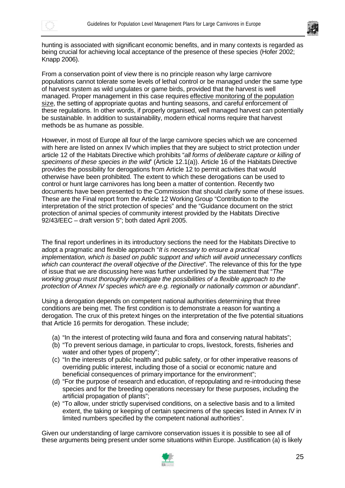



hunting is associated with significant economic benefits, and in many contexts is regarded as being crucial for achieving local acceptance of the presence of these species (Hofer 2002; Knapp 2006).

From a conservation point of view there is no principle reason why large carnivore populations cannot tolerate some levels of lethal control or be managed under the same type of harvest system as wild ungulates or game birds, provided that the harvest is well managed. Proper management in this case requires effective monitoring of the population size, the setting of appropriate quotas and hunting seasons, and careful enforcement of these regulations. In other words, if properly organised, well managed harvest can potentially be sustainable. In addition to sustainability, modern ethical norms require that harvest methods be as humane as possible.

However, in most of Europe all four of the large carnivore species which we are concerned with here are listed on annex IV which implies that they are subject to strict protection under article 12 of the Habitats Directive which prohibits "*all forms of deliberate capture or killing of specimens of these species in the wild*" (Article 12.1(a)). Article 16 of the Habitats Directive provides the possibility for derogations from Article 12 to permit activities that would otherwise have been prohibited. The extent to which these derogations can be used to control or hunt large carnivores has long been a matter of contention. Recently two documents have been presented to the Commission that should clarify some of these issues. These are the Final report from the Article 12 Working Group "Contribution to the interpretation of the strict protection of species" and the "Guidance document on the strict protection of animal species of community interest provided by the Habitats Directive 92/43/EEC – draft version 5"; both dated April 2005.

The final report underlines in its introductory sections the need for the Habitats Directive to adopt a pragmatic and flexible approach "*It is necessary to ensure a practical implementation, which is based on public support and which will avoid unnecessary conflicts which can counteract the overall objective of the Directive*". The relevance of this for the type of issue that we are discussing here was further underlined by the statement that "*The working group must thoroughly investigate the possibilities of a flexible approach to the protection of Annex IV species which are e.g. regionally or nationally common or abundant*".

Using a derogation depends on competent national authorities determining that three conditions are being met. The first condition is to demonstrate a reason for wanting a derogation. The crux of this pretext hinges on the interpretation of the five potential situations that Article 16 permits for derogation. These include;

- (a) "In the interest of protecting wild fauna and flora and conserving natural habitats";
- (b) "To prevent serious damage, in particular to crops, livestock, forests, fisheries and water and other types of property";
- (c) "In the interests of public health and public safety, or for other imperative reasons of overriding public interest, including those of a social or economic nature and beneficial consequences of primary importance for the environment";
- (d) "For the purpose of research and education, of repopulating and re-introducing these species and for the breeding operations necessary for these purposes, including the artificial propagation of plants";
- (e) "To allow, under strictly supervised conditions, on a selective basis and to a limited extent, the taking or keeping of certain specimens of the species listed in Annex IV in limited numbers specified by the competent national authorities".

Given our understanding of large carnivore conservation issues it is possible to see all of these arguments being present under some situations within Europe. Justification (a) is likely

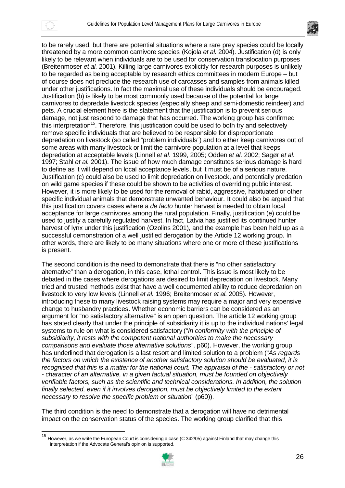

 $\overline{a}$ 



to be rarely used, but there are potential situations where a rare prey species could be locally threatened by a more common carnivore species (Kojola *et al.* 2004). Justification (d) is only likely to be relevant when individuals are to be used for conservation translocation purposes (Breitenmoser *et al.* 2001). Killing large carnivores explicitly for research purposes is unlikely to be regarded as being acceptable by research ethics committees in modern Europe – but of course does not preclude the research use of carcasses and samples from animals killed under other justifications. In fact the maximal use of these individuals should be encouraged. Justification (b) is likely to be most commonly used because of the potential for large carnivores to depredate livestock species (especially sheep and semi-domestic reindeer) and pets. A crucial element here is the statement that the justification is to prevent serious damage, not just respond to damage that has occurred. The working group has confirmed this interpretation<sup>15</sup>. Therefore, this justification could be used to both try and selectively remove specific individuals that are believed to be responsible for disproportionate depredation on livestock (so called "problem individuals") and to either keep carnivores out of some areas with many livestock or limit the carnivore population at a level that keeps depredation at acceptable levels (Linnell *et al.* 1999, 2005; Odden *et al*. 2002; Sagør *et al.* 1997; Stahl *et al.* 2001). The issue of how much damage constitutes serious damage is hard to define as it will depend on local acceptance levels, but it must be of a serious nature. Justification (c) could also be used to limit depredation on livestock, and potentially predation on wild game species if these could be shown to be activities of overriding public interest. However, it is more likely to be used for the removal of rabid, aggressive, habituated or other specific individual animals that demonstrate unwanted behaviour. It could also be argued that this justification covers cases where a *de facto* hunter harvest is needed to obtain local acceptance for large carnivores among the rural population. Finally, justification (e) could be used to justify a carefully regulated harvest. In fact, Latvia has justified its continued hunter harvest of lynx under this justification (Ozolins 2001), and the example has been held up as a successful demonstration of a well justified derogation by the Article 12 working group. In other words, there are likely to be many situations where one or more of these justifications is present.

The second condition is the need to demonstrate that there is "no other satisfactory alternative" than a derogation, in this case, lethal control. This issue is most likely to be debated in the cases where derogations are desired to limit depredation on livestock. Many tried and trusted methods exist that have a well documented ability to reduce depredation on livestock to very low levels (Linnell *et al.* 1996; Breitenmoser *et al.* 2005). However, introducing these to many livestock raising systems may require a major and very expensive change to husbandry practices. Whether economic barriers can be considered as an argument for "no satisfactory alternative" is an open question. The article 12 working group has stated clearly that under the principle of subsidiarity it is up to the individual nations' legal systems to rule on what is considered satisfactory ("*In conformity with the principle of subsidiarity, it rests with the competent national authorities to make the necessary comparisons and evaluate those alternative solutions*". p60). However, the working group has underlined that derogation is a last resort and limited solution to a problem ("*As regards the factors on which the existence of another satisfactory solution should be evaluated, it is recognised that this is a matter for the national court. The appraisal of the - satisfactory or not - character of an alternative, in a given factual situation, must be founded on objectively verifiable factors, such as the scientific and technical considerations. In addition, the solution finally selected, even if it involves derogation, must be objectively limited to the extent necessary to resolve the specific problem or situation*" (p60)).

The third condition is the need to demonstrate that a derogation will have no detrimental impact on the conservation status of the species. The working group clarified that this

<sup>&</sup>lt;sup>15</sup> However, as we write the European Court is considering a case (C 342/05) against Finland that may change this interpretation if the Advocate General's opinion is supported.

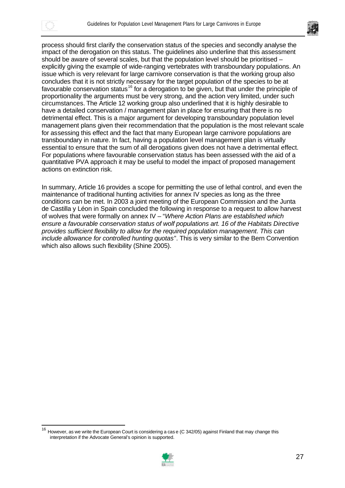

 $\overline{a}$ 



process should first clarify the conservation status of the species and secondly analyse the impact of the derogation on this status. The guidelines also underline that this assessment should be aware of several scales, but that the population level should be prioritised – explicitly giving the example of wide-ranging vertebrates with transboundary populations. An issue which is very relevant for large carnivore conservation is that the working group also concludes that it is not strictly necessary for the target population of the species to be at favourable conservation status<sup>16</sup> for a derogation to be given, but that under the principle of proportionality the arguments must be very strong, and the action very limited, under such circumstances. The Article 12 working group also underlined that it is highly desirable to have a detailed conservation / management plan in place for ensuring that there is no detrimental effect. This is a major argument for developing transboundary population level management plans given their recommendation that the population is the most relevant scale for assessing this effect and the fact that many European large carnivore populations are transboundary in nature. In fact, having a population level management plan is virtually essential to ensure that the sum of all derogations given does not have a detrimental effect. For populations where favourable conservation status has been assessed with the aid of a quantitative PVA approach it may be useful to model the impact of proposed management actions on extinction risk.

In summary, Article 16 provides a scope for permitting the use of lethal control, and even the maintenance of traditional hunting activities for annex IV species as long as the three conditions can be met. In 2003 a joint meeting of the European Commission and the Junta de Castilla y Léon in Spain concluded the following in response to a request to allow harvest of wolves that were formally on annex IV – "*Where Action Plans are established which ensure a favourable conservation status of wolf populations art. 16 of the Habitats Directive provides sufficient flexibility to allow for the required population management*. *This can include allowance for controlled hunting quotas*". This is very similar to the Bern Convention which also allows such flexibility (Shine 2005).

However, as we write the European Court is considering a cas e (C 342/05) against Finland that may change this interpretation if the Advocate General's opinion is supported.

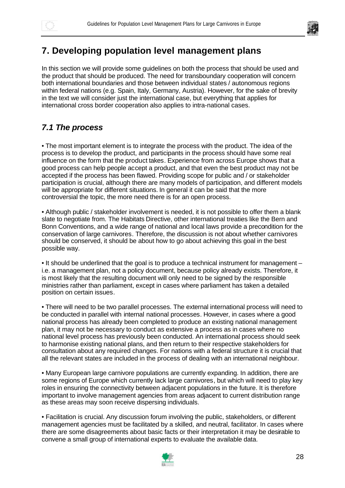

# **7. Developing population level management plans**

In this section we will provide some guidelines on both the process that should be used and the product that should be produced. The need for transboundary cooperation will concern both international boundaries and those between individual states / autonomous regions within federal nations (e.g. Spain, Italy, Germany, Austria). However, for the sake of brevity in the text we will consider just the international case, but everything that applies for international cross border cooperation also applies to intra-national cases.

## *7.1 The process*

• The most important element is to integrate the process with the product. The idea of the process is to develop the product, and participants in the process should have some real influence on the form that the product takes. Experience from across Europe shows that a good process can help people accept a product, and that even the best product may not be accepted if the process has been flawed. Providing scope for public and / or stakeholder participation is crucial, although there are many models of participation, and different models will be appropriate for different situations. In general it can be said that the more controversial the topic, the more need there is for an open process.

• Although public / stakeholder involvement is needed, it is not possible to offer them a blank slate to negotiate from. The Habitats Directive, other international treaties like the Bern and Bonn Conventions, and a wide range of national and local laws provide a precondition for the conservation of large carnivores. Therefore, the discussion is not about whether carnivores should be conserved, it should be about how to go about achieving this goal in the best possible way.

• It should be underlined that the goal is to produce a technical instrument for management – i.e. a management plan, not a policy document, because policy already exists. Therefore, it is most likely that the resulting document will only need to be signed by the responsible ministries rather than parliament, except in cases where parliament has taken a detailed position on certain issues.

• There will need to be two parallel processes. The external international process will need to be conducted in parallel with internal national processes. However, in cases where a good national process has already been completed to produce an existing national management plan, it may not be necessary to conduct as extensive a process as in cases where no national level process has previously been conducted. An international process should seek to harmonise existing national plans, and then return to their respective stakeholders for consultation about any required changes. For nations with a federal structure it is crucial that all the relevant states are included in the process of dealing with an international neighbour.

• Many European large carnivore populations are currently expanding. In addition, there are some regions of Europe which currently lack large carnivores, but which will need to play key roles in ensuring the connectivity between adjacent populations in the future. It is therefore important to involve management agencies from areas adjacent to current distribution range as these areas may soon receive dispersing individuals.

• Facilitation is crucial. Any discussion forum involving the public, stakeholders, or different management agencies must be facilitated by a skilled, and neutral, facilitator. In cases where there are some disagreements about basic facts or their interpretation it may be desirable to convene a small group of international experts to evaluate the available data.

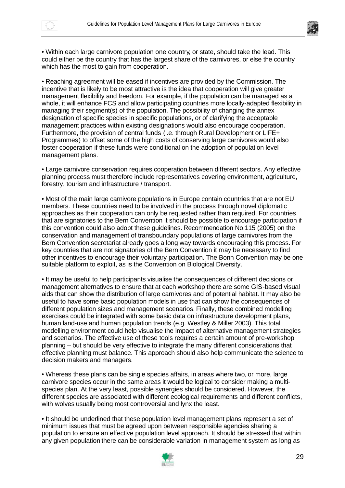

• Within each large carnivore population one country, or state, should take the lead. This could either be the country that has the largest share of the carnivores, or else the country which has the most to gain from cooperation.

• Reaching agreement will be eased if incentives are provided by the Commission. The incentive that is likely to be most attractive is the idea that cooperation will give greater management flexibility and freedom. For example, if the population can be managed as a whole, it will enhance FCS and allow participating countries more locally-adapted flexibility in managing their segment(s) of the population. The possibility of changing the annex designation of specific species in specific populations, or of clarifying the acceptable management practices within existing designations would also encourage cooperation. Furthermore, the provision of central funds (i.e. through Rural Development or LIFE+ Programmes) to offset some of the high costs of conserving large carnivores would also foster cooperation if these funds were conditional on the adoption of population level management plans.

• Large carnivore conservation requires cooperation between different sectors. Any effective planning process must therefore include representatives covering environment, agriculture, forestry, tourism and infrastructure / transport.

• Most of the main large carnivore populations in Europe contain countries that are not EU members. These countries need to be involved in the process through novel diplomatic approaches as their cooperation can only be requested rather than required. For countries that are signatories to the Bern Convention it should be possible to encourage participation if this convention could also adopt these guidelines. Recommendation No.115 (2005) on the conservation and management of transboundary populations of large carnivores from the Bern Convention secretariat already goes a long way towards encouraging this process. For key countries that are not signatories of the Bern Convention it may be necessary to find other incentives to encourage their voluntary participation. The Bonn Convention may be one suitable platform to exploit, as is the Convention on Biological Diversity.

• It may be useful to help participants visualise the consequences of different decisions or management alternatives to ensure that at each workshop there are some GIS-based visual aids that can show the distribution of large carnivores and of potential habitat. It may also be useful to have some basic population models in use that can show the consequences of different population sizes and management scenarios. Finally, these combined modelling exercises could be integrated with some basic data on infrastructure development plans, human land-use and human population trends (e.g. Westley & Miller 2003). This total modelling environment could help visualise the impact of alternative management strategies and scenarios. The effective use of these tools requires a certain amount of pre-workshop planning – but should be very effective to integrate the many different considerations that effective planning must balance. This approach should also help communicate the science to decision makers and managers.

• Whereas these plans can be single species affairs, in areas where two, or more, large carnivore species occur in the same areas it would be logical to consider making a multispecies plan. At the very least, possible synergies should be considered. However, the different species are associated with different ecological requirements and different conflicts, with wolves usually being most controversial and lynx the least.

• It should be underlined that these population level management plans represent a set of minimum issues that must be agreed upon between responsible agencies sharing a population to ensure an effective population level approach. It should be stressed that within any given population there can be considerable variation in management system as long as

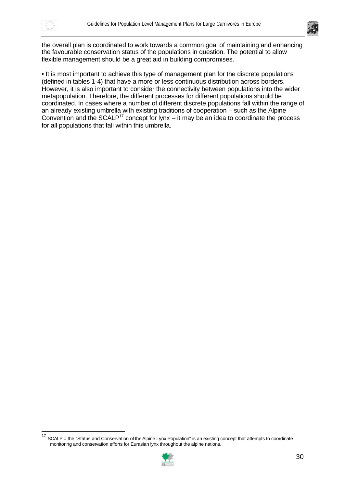

 $\overline{a}$ 



the overall plan is coordinated to work towards a common goal of maintaining and enhancing the favourable conservation status of the populations in question. The potential to allow flexible management should be a great aid in building compromises.

• It is most important to achieve this type of management plan for the discrete populations (defined in tables 1-4) that have a more or less continuous distribution across borders. However, it is also important to consider the connectivity between populations into the wider metapopulation. Therefore, the different processes for different populations should be coordinated. In cases where a number of different discrete populations fall within the range of an already existing umbrella with existing traditions of cooperation – such as the Alpine Convention and the SCALP<sup>17</sup> concept for lynx – it may be an idea to coordinate the process for all populations that fall within this umbrella.

<sup>&</sup>lt;sup>17</sup> SCALP = the "Status and Conservation of the Alpine Lynx Population" is an existing concept that attempts to coordinate monitoring and conservation efforts for Eurasian lynx throughout the alpine nations.

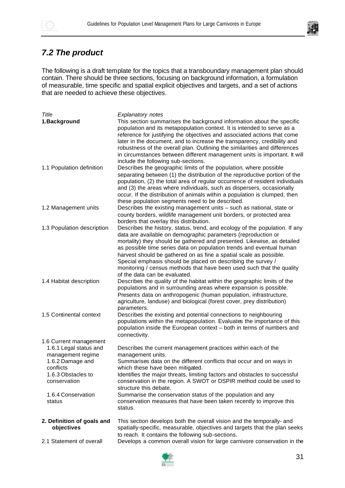



## *7.2 The product*

The following is a draft template for the topics that a transboundary management plan should contain. There should be three sections, focusing on background information, a formulation of measurable, time specific and spatial explicit objectives and targets, and a set of actions that are needed to achieve these objectives.

| Title                                                                                                                                                                        | <b>Explanatory notes</b>                                                                                                                                                                                                                                                                                                                                                                                                                                                                                                                        |
|------------------------------------------------------------------------------------------------------------------------------------------------------------------------------|-------------------------------------------------------------------------------------------------------------------------------------------------------------------------------------------------------------------------------------------------------------------------------------------------------------------------------------------------------------------------------------------------------------------------------------------------------------------------------------------------------------------------------------------------|
| 1.Background                                                                                                                                                                 | This section summarises the background information about the specific<br>population and its metapopulation context. It is intended to serve as a<br>reference for justifying the objectives and associated actions that come<br>later in the document, and to increase the transparency, credibility and<br>robustness of the overall plan. Outlining the similarities and differences<br>in circumstances between different management units is important. It will<br>include the following sub-sections.                                      |
| 1.1 Population definition                                                                                                                                                    | Describes the geographic limits of the population, where possible<br>separating between (1) the distribution of the reproductive portion of the<br>population, (2) the total area of regular occurrence of resident individuals<br>and (3) the areas where individuals, such as dispersers, occasionally<br>occur. If the distribution of animals within a population is clumped, then<br>these population segments need to be described.                                                                                                       |
| 1.2 Management units                                                                                                                                                         | Describes the existing management units - such as national, state or<br>county borders, wildlife management unit borders, or protected area<br>borders that overlay this distribution.                                                                                                                                                                                                                                                                                                                                                          |
| 1.3 Population description                                                                                                                                                   | Describes the history, status, trend, and ecology of the population. If any<br>data are available on demographic parameters (reproduction or<br>mortality) they should be gathered and presented. Likewise, as detailed<br>as possible time series data on population trends and eventual human<br>harvest should be gathered on as fine a spatial scale as possible.<br>Special emphasis should be placed on describing the survey /<br>monitoring / census methods that have been used such that the quality<br>of the data can be evaluated. |
| 1.4 Habitat description                                                                                                                                                      | Describes the quality of the habitat within the geographic limits of the<br>populations and in surrounding areas where expansion is possible.<br>Presents data on anthropogenic (human population, infrastructure,<br>agriculture, landuse) and biological (forest cover, prey distribution)<br>parameters.                                                                                                                                                                                                                                     |
| 1.5 Continental context                                                                                                                                                      | Describes the existing and potential connections to neighbouring<br>populations within the metapopulation. Evaluates the importance of this<br>population inside the European context - both in terms of numbers and<br>connectivity.                                                                                                                                                                                                                                                                                                           |
| 1.6 Current management<br>1.6.1 Legal status and<br>management regime<br>1.6.2 Damage and<br>conflicts<br>1.6.3 Obstacles to<br>conservation<br>1.6.4 Conservation<br>status | Describes the current management practices within each of the<br>management units.<br>Summarises data on the different conflicts that occur and on ways in<br>which these have been mitigated.<br>Identifies the major threats, limiting factors and obstacles to successful<br>conservation in the region. A SWOT or DSPIR method could be used to<br>structure this debate.<br>Summarise the conservation status of the population and any<br>conservation measures that have been taken recently to improve this<br>status.                  |
| 2. Definition of goals and<br>objectives                                                                                                                                     | This section develops both the overall vision and the temporally- and<br>spatially-specific, measurable, objectives and targets that the plan seeks<br>to reach. It contains the following sub-sections.                                                                                                                                                                                                                                                                                                                                        |
| 2.1 Statement of overall                                                                                                                                                     | Develops a common overall vision for large carnivore conservation in the                                                                                                                                                                                                                                                                                                                                                                                                                                                                        |

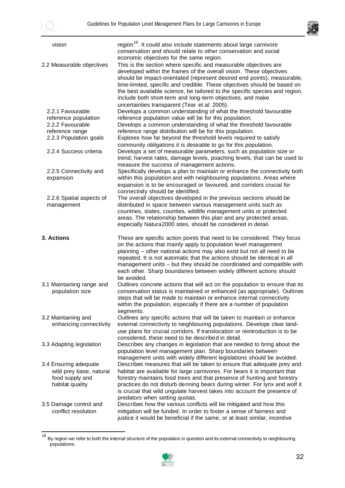$\overline{a}$ 



| vision                                                                                 | region <sup>18</sup> . It could also include statements about large carnivore<br>conservation and should relate to other conservation and social<br>economic objectives for the same region.                                                                                                                                                                                                                                                                                                          |
|----------------------------------------------------------------------------------------|-------------------------------------------------------------------------------------------------------------------------------------------------------------------------------------------------------------------------------------------------------------------------------------------------------------------------------------------------------------------------------------------------------------------------------------------------------------------------------------------------------|
| 2.2 Measurable objectives                                                              | This is the section where specific and measurable objectives are<br>developed within the frames of the overall vision. These objectives<br>should be impact-orientated (represent desired end points), measurable,<br>time-limited, specific and credible. These objectives should be based on<br>the best available science, be tailored to the specific species and region,<br>include both short-term and long-term objectives, and make<br>uncertainties transparent (Tear et al. 2005).          |
| 2.2.1 Favourable<br>reference population<br>2.2.2 Favourable                           | Develops a common understanding of what the threshold favourable<br>reference population value will be for this population.<br>Develops a common understanding of what the threshold favourable                                                                                                                                                                                                                                                                                                       |
| reference range<br>2.2.3 Population goals                                              | reference range distribution will be for this population.<br>Explores how far beyond the threshold levels required to satisfy<br>community obligations it is desirable to go for this population.                                                                                                                                                                                                                                                                                                     |
| 2.2.4 Success criteria                                                                 | Develops a set of measurable parameters, such as population size or<br>trend, harvest rates, damage levels, poaching levels, that can be used to                                                                                                                                                                                                                                                                                                                                                      |
| 2.2.5 Connectivity and<br>expansion                                                    | measure the success of management actions.<br>Specifically develops a plan to maintain or enhance the connectivity both<br>within this population and with neighbouring populations. Areas where<br>expansion is to be encouraged or favoured, and corridors crucial for<br>connectivity should be identified.                                                                                                                                                                                        |
| 2.2.6 Spatial aspects of<br>management                                                 | The overall objectives developed in the previous sections should be<br>distributed in space between various management units such as<br>countries, states, counties, wildlife management units or protected<br>areas. The relationship between this plan and any protected areas,<br>especially Natura2000 sites, should be considered in detail.                                                                                                                                                     |
|                                                                                        |                                                                                                                                                                                                                                                                                                                                                                                                                                                                                                       |
| 3. Actions                                                                             | These are specific action points that need to be considered. They focus<br>on the actions that mainly apply to population level management<br>planning – other national actions may also exist but not all need to be<br>repeated. It is not automatic that the actions should be identical in all<br>management units - but they should be coordinated and compatible with<br>each other. Sharp boundaries between widely different actions should                                                   |
| 3.1 Maintaining range and<br>population size                                           | be avoided.<br>Outlines concrete actions that will act on the population to ensure that its<br>conservation status is maintained or enhanced (as appropriate). Outlines<br>steps that will be made to maintain or enhance internal connectivity<br>within the population, especially if there are a number of population                                                                                                                                                                              |
| 3.2 Maintaining and<br>enhancing connectivity                                          | segments.<br>Outlines any specific actions that will be taken to maintain or enhance<br>external connectivity to neighbouring populations. Develops clear land-<br>use plans for crucial corridors. If translocation or reintroduction is to be                                                                                                                                                                                                                                                       |
| 3.3 Adapting legislation                                                               | considered, these need to be described in detail.<br>Describes any changes in legislation that are needed to bring about the<br>population level management plan. Sharp boundaries between                                                                                                                                                                                                                                                                                                            |
| 3.4 Ensuring adequate<br>wild prey base, natural<br>food supply and<br>habitat quality | management units with widely different legislations should be avoided.<br>Describes measures that will be taken to ensure that adequate prey and<br>habitat are available for large carnivores. For bears it is important that<br>forestry maintains food trees and that presence of hunting and forestry<br>practices do not disturb denning bears during winter. For lynx and wolf it<br>is crucial that wild ungulate harvest takes into account the presence of<br>predators when setting quotas. |

<sup>&</sup>lt;sup>18</sup> By region we refer to both the internal structure of the population in question and its external connectivity to neighbouring populations.

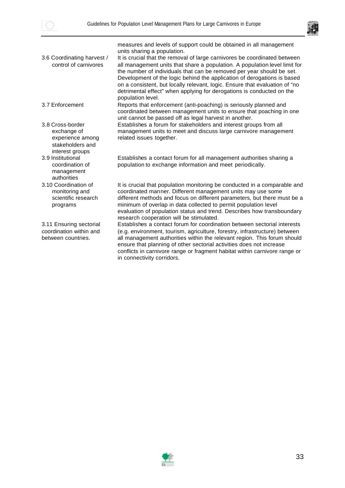



|                                                                                            | measures and levels of support could be obtained in all management<br>units sharing a population.                                                                                                                                                                                                                                                                                                                                                                                        |
|--------------------------------------------------------------------------------------------|------------------------------------------------------------------------------------------------------------------------------------------------------------------------------------------------------------------------------------------------------------------------------------------------------------------------------------------------------------------------------------------------------------------------------------------------------------------------------------------|
| 3.6 Coordinating harvest /<br>control of carnivores                                        | It is crucial that the removal of large carnivores be coordinated between<br>all management units that share a population. A population level limit for<br>the number of individuals that can be removed per year should be set.<br>Development of the logic behind the application of derogations is based<br>on a consistent, but locally relevant, logic. Ensure that evaluation of "no<br>detrimental effect" when applying for derogations is conducted on the<br>population level. |
| 3.7 Enforcement                                                                            | Reports that enforcement (anti-poaching) is seriously planned and<br>coordinated between management units to ensure that poaching in one<br>unit cannot be passed off as legal harvest in another.                                                                                                                                                                                                                                                                                       |
| 3.8 Cross-border<br>exchange of<br>experience among<br>stakeholders and<br>interest groups | Establishes a forum for stakeholders and interest groups from all<br>management units to meet and discuss large carnivore management<br>related issues together.                                                                                                                                                                                                                                                                                                                         |
| 3.9 Institutional<br>coordination of<br>management<br>authorities                          | Establishes a contact forum for all management authorities sharing a<br>population to exchange information and meet periodically.                                                                                                                                                                                                                                                                                                                                                        |
| 3.10 Coordination of<br>monitoring and<br>scientific research<br>programs                  | It is crucial that population monitoring be conducted in a comparable and<br>coordinated manner. Different management units may use some<br>different methods and focus on different parameters, but there must be a<br>minimum of overlap in data collected to permit population level<br>evaluation of population status and trend. Describes how transboundary<br>research cooperation will be stimulated.                                                                            |
| 3.11 Ensuring sectorial<br>coordination within and<br>between countries.                   | Establishes a contact forum for coordination between sectorial interests<br>(e.g. environment, tourism, agriculture, forestry, infrastructure) between<br>all management authorities within the relevant region. This forum should<br>ensure that planning of other sectorial activities does not increase<br>conflicts in carnivore range or fragment habitat within carnivore range or<br>in connectivity corridors.                                                                   |

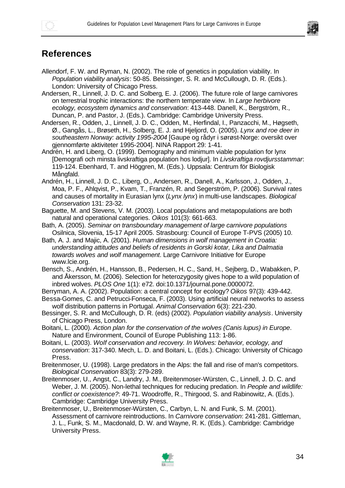

# **References**

- Allendorf, F. W. and Ryman, N. (2002). The role of genetics in population viability. In *Population viability analysis*: 50-85. Beissinger, S. R. and McCullough, D. R. (Eds.). London: University of Chicago Press.
- Andersen, R., Linnell, J. D. C. and Solberg, E. J. (2006). The future role of large carnivores on terrestrial trophic interactions: the northern temperate view. In *Large herbivore ecology, ecosystem dynamics and conservation*: 413-448. Danell, K., Bergström, R., Duncan, P. and Pastor, J. (Eds.). Cambridge: Cambridge University Press.
- Andersen, R., Odden, J., Linnell, J. D. C., Odden, M., Herfindal, I., Panzacchi, M., Høgseth, Ø., Gangås, L., Brøseth, H., Solberg, E. J. and Hjeljord, O. (2005). *Lynx and roe deer in southeastern Norway: activity 1995-2004* [Gaupe og rådyr i sørøst-Norge: oversikt over gjennomførte aktiviteter 1995-2004]. NINA Rapport 29: 1-41.
- Andrén, H. and Liberg, O. (1999). Demography and minimum viable population for lynx [Demografi och minsta livskraftiga population hos lodjur]. In *Livskraftiga rovdjursstammar*: 119-124. Ebenhard, T. and Höggren, M. (Eds.). Uppsala: Centrum för Biologisk Mångfald.
- Andrén, H., Linnell, J. D. C., Liberg, O., Andersen, R., Danell, A., Karlsson, J., Odden, J., Moa, P. F., Ahlqvist, P., Kvam, T., Franzén, R. and Segerström, P. (2006). Survival rates and causes of mortality in Eurasian lynx (*Lynx lynx*) in multi-use landscapes. *Biological Conservation* 131: 23-32.
- Baguette, M. and Stevens, V. M. (2003). Local populations and metapopulations are both natural and operational categories. *Oikos* 101(3): 661-663.
- Bath, A. (2005). *Seminar on transboundary management of large carnivore populations* Osilnica, Slovenia, 15-17 April 2005. Strasbourg: Council of Europe T-PVS (2005) 10.
- Bath, A. J. and Majic, A. (2001). *Human dimensions in wolf management in Croatia: understanding attitudes and beliefs of residents in Gorski kotar, Lika and Dalmatia towards wolves and wolf management*. Large Carnivore Initiative for Europe www.lcie.org.
- Bensch, S., Andrén, H., Hansson, B., Pedersen, H. C., Sand, H., Sejberg, D., Wabakken, P. and Åkersson, M. (2006). Selection for heterozygosity gives hope to a wild population of inbred wolves. *PLOS One* 1(1): e72. doi:10.1371/journal.pone.0000072.
- Berryman, A. A. (2002). Population: a central concept for ecology? *Oikos* 97(3): 439-442.
- Bessa-Gomes, C. and Petrucci-Fonseca, F. (2003). Using artificial neural networks to assess wolf distribution patterns in Portugal. *Animal Conservation* 6(3): 221-230.
- Bessinger, S. R. and McCullough, D. R. (eds) (2002). *Population viability analysis*. University of Chicago Press, London.
- Boitani, L. (2000). *Action plan for the conservation of the wolves (Canis lupus) in Europe*. Nature and Environment, Council of Europe Publishing 113: 1-86.
- Boitani, L. (2003). *Wolf conservation and recovery. In Wolves: behavior, ecology, and conservation*: 317-340. Mech, L. D. and Boitani, L. (Eds.). Chicago: University of Chicago Press.
- Breitenmoser, U. (1998). Large predators in the Alps: the fall and rise of man's competitors. *Biological Conservation* 83(3): 279-289.
- Breitenmoser, U., Angst, C., Landry, J. M., Breitenmoser-Würsten, C., Linnell, J. D. C. and Weber, J. M. (2005). Non-lethal techniques for reducing predation. In *People and wildlife: conflict or coexistence?*: 49-71. Woodroffe, R., Thirgood, S. and Rabinowitz, A. (Eds.). Cambridge: Cambridge University Press.
- Breitenmoser, U., Breitenmoser-Würsten, C., Carbyn, L. N. and Funk, S. M. (2001). Assessment of carnivore reintroductions. In *Carnivore conservation*: 241-281. Gittleman, J. L., Funk, S. M., Macdonald, D. W. and Wayne, R. K. (Eds.). Cambridge: Cambridge University Press.

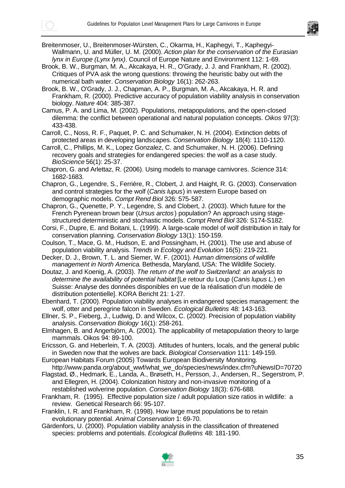



Breitenmoser, U., Breitenmoser-Würsten, C., Okarma, H., Kaphegyi, T., Kaphegyi-Wallmann, U. and Müller, U. M. (2000). *Action plan for the conservation of the Eurasian lynx in Europe (Lynx lynx)*. Council of Europe Nature and Environment 112: 1-69.

- Brook, B. W., Burgman, M. A., Akcakaya, H. R., O'Grady, J. J. and Frankham, R. (2002). Critiques of PVA ask the wrong questions: throwing the heuristic baby out with the numerical bath water. *Conservation Biology* 16(1): 262-263.
- Brook, B. W., O'Grady, J. J., Chapman, A. P., Burgman, M. A., Akcakaya, H. R. and Frankham, R. (2000). Predictive accuracy of population viability analysis in conservation biology. *Nature* 404: 385-387.

Camus, P. A. and Lima, M. (2002). Populations, metapopulations, and the open-closed dilemma: the conflict between operational and natural population concepts. *Oikos* 97(3): 433-438.

Carroll, C., Noss, R. F., Paquet, P. C. and Schumaker, N. H. (2004). Extinction debts of protected areas in developing landscapes. *Conservation Biology* 18(4): 1110-1120.

Carroll, C., Phillips, M. K., Lopez Gonzalez, C. and Schumaker, N. H. (2006). Defining recovery goals and strategies for endangered species: the wolf as a case study. *BioScience* 56(1): 25-37.

Chapron, G. and Arlettaz, R. (2006). Using models to manage carnivores. *Science* 314: 1682-1683.

Chapron, G., Legendre, S., Ferrière, R., Clobert, J. and Haight, R. G. (2003). Conservation and control strategies for the wolf (*Canis lupus*) in western Europe based on demographic models. *Compt Rend Biol* 326: 575-587.

Chapron, G., Quenette, P. Y., Legendre, S. and Clobert, J. (2003). Which future for the French Pyrenean brown bear (*Ursus arctos*) population? An approach using stagestructured deterministic and stochastic models. *Compt Rend Biol* 326: S174-S182.

- Corsi, F., Dupre, E. and Boitani, L. (1999). A large-scale model of wolf distribution in Italy for conservation planning. *Conservation Biology* 13(1): 150-159.
- Coulson, T., Mace, G. M., Hudson, E. and Possingham, H. (2001). The use and abuse of population viability analysis. *Trends in Ecology and Evolution* 16(5): 219-221.
- Decker, D. J., Brown, T. L. and Siemer, W. F. (2001). *Human dimensions of wildlife management in North America*. Bethesda, Maryland, USA: The Wildlife Society.

Doutaz, J. and Koenig, A. (2003). *The return of the wolf to Switzerland: an analysis to determine the availability of potential habitat* [Le retour du Loup (*Canis lupus L.*) en Suisse: Analyse des données disponibles en vue de la réalisation d'un modèle de distribution potentielle]. KORA Bericht 21: 1-27.

Ebenhard, T. (2000). Population viability analyses in endangered species management: the wolf, otter and peregrine falcon in Sweden. *Ecological Bulletins* 48: 143-163.

Ellner, S. P., Fieberg, J., Ludwig, D. and Wilcox, C. (2002). Precision of population viability analysis. *Conservation Biology* 16(1): 258-261.

Elmhagen, B. and Angerbjörn, A. (2001). The applicability of metapopulation theory to large mammals. Oikos 94: 89-100.

Ericsson, G. and Heberlein, T. A. (2003). Attitudes of hunters, locals, and the general public in Sweden now that the wolves are back. *Biological Conservation* 111: 149-159.

- European Habitats Forum (2005) Towards European Biodiversity Monitoring. http://www.panda.org/about\_wwf/what\_we\_do/species/news/index.cfm?uNewsID=70720
- Flagstad, Ø., Hedmark, E., Landa, A., Brøseth, H., Persson, J., Andersen, R., Segerstrom, P. and Ellegren, H. (2004). Colonization history and non-invasive monitoring of a restablished wolverine population. *Conservation Biology* 18(3): 676-688.
- Frankham, R. (1995). Effective population size / adult population size ratios in wildlife: a review. Genetical Research 66: 95-107.

Franklin, I. R. and Frankham, R. (1998). How large must populations be to retain evolutionary potential. *Animal Conservation* 1: 69-70.

Gärdenfors, U. (2000). Population viability analysis in the classification of threatened species: problems and potentials. *Ecological Bulletins* 48: 181-190.

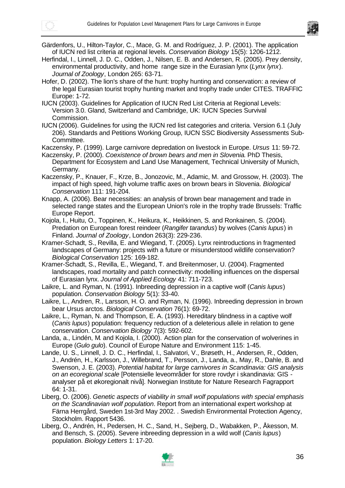

- Gärdenfors, U., Hilton-Taylor, C., Mace, G. M. and Rodríguez, J. P. (2001). The application of IUCN red list criteria at regional levels. *Conservation Biology* 15(5): 1206-1212.
- Herfindal, I., Linnell, J. D. C., Odden, J., Nilsen, E. B. and Andersen, R. (2005). Prey density, environmental productivity, and home range size in the Eurasian lynx (*Lynx lynx*). *Journal of Zoology*, London 265: 63-71.
- Hofer, D. (2002). The lion's share of the hunt: trophy hunting and conservation: a review of the legal Eurasian tourist trophy hunting market and trophy trade under CITES. TRAFFIC Europe: 1-72.
- IUCN (2003). Guidelines for Application of IUCN Red List Criteria at Regional Levels: Version 3.0. Gland, Switzerland and Cambridge, UK: IUCN Species Survival Commission.
- IUCN (2006). Guidelines for using the IUCN red list categories and criteria. Version 6.1 (July 206). Standards and Petitions Working Group, IUCN SSC Biodiversity Assessments Sub-Committee.
- Kaczensky, P. (1999). Large carnivore depredation on livestock in Europe. *Ursus* 11: 59-72.
- Kaczensky, P. (2000). *Coexistence of brown bears and men in Slovenia*. PhD Thesis, Department for Ecosystem and Land Use Management, Technical University of Munich, Germany.
- Kaczensky, P., Knauer, F., Krze, B., Jonozovic, M., Adamic, M. and Grossow, H. (2003). The impact of high speed, high volume traffic axes on brown bears in Slovenia. *Biological Conservation* 111: 191-204.
- Knapp, A. (2006). Bear necessities: an analysis of brown bear management and trade in selected range states and the European Union's role in the trophy trade Brussels: Traffic Europe Report.
- Kojola, I., Huitu, O., Toppinen, K., Heikura, K., Heikkinen, S. and Ronkainen, S. (2004). Predation on European forest reindeer (*Rangifer tarandus*) by wolves (*Canis lupus*) in Finland. *Journal of Zoology*, London 263(3): 229-236.
- Kramer-Schadt, S., Revilla, E. and Wiegand, T. (2005). Lynx reintroductions in fragmented landscapes of Germany: projects with a future or misunderstood wildlife conservation? *Biological Conservation* 125: 169-182.
- Kramer-Schadt, S., Revilla, E., Wiegand, T. and Breitenmoser, U. (2004). Fragmented landscapes, road mortality and patch connectivity: modelling influences on the dispersal of Eurasian lynx. *Journal of Applied Ecology* 41: 711-723.
- Laikre, L. and Ryman, N. (1991). Inbreeding depression in a captive wolf (*Canis lupus*) population. *Conservation Biology* 5(1): 33-40.
- Laikre, L., Andren, R., Larsson, H. O. and Ryman, N. (1996). Inbreeding depression in brown bear Ursus arctos. *Biological Conservation* 76(1): 69-72.
- Laikre, L., Ryman, N. and Thompson, E. A. (1993). Hereditary blindness in a captive wolf (*Canis lupus*) population: frequency reduction of a deleterious allele in relation to gene conservation. *Conservation Biology* 7(3): 592-602.
- Landa, a., Lindén, M. and Kojola, I. (2000). Action plan for the conservation of wolverines in Europe (*Gulo gulo*). Council of Europe Nature and Environment 115: 1-45.
- Lande, U. S., Linnell, J. D. C., Herfindal, I., Salvatori, V., Brøseth, H., Andersen, R., Odden, J., Andrén, H., Karlsson, J., Willebrand, T., Persson, J., Landa, a., May, R., Dahle, B. and Swenson, J. E. (2003). *Potential habitat for large carnivores in Scandinavia: GIS analysis on an ecoregional scale* [Potensielle leveområder for store rovdyr i skandinavia: GIS analyser på et økoregionalt nivå]. Norwegian Institute for Nature Research Fagrapport 64: 1-31.
- Liberg, O. (2006). *Genetic aspects of viability in small wolf populations with special emphasis on the Scandinavian wolf population*. Report from an international expert workshop at Färna Herrgård, Sweden 1st-3rd May 2002. . Swedish Environmental Protection Agency, Stockholm. Rapport 5436.
- Liberg, O., Andrén, H., Pedersen, H. C., Sand, H., Sejberg, D., Wabakken, P., Åkesson, M. and Bensch, S. (2005). Severe inbreeding depression in a wild wolf (*Canis lupus*) population. *Biology Letters* 1: 17-20.

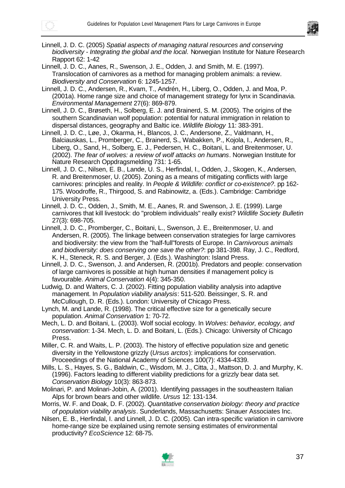

- Linnell, J. D. C. (2005) *Spatial aspects of managing natural resources and conserving biodiversity - Integrating the global and the local*. Norwegian Institute for Nature Research Rapport 62: 1-42
- Linnell, J. D. C., Aanes, R., Swenson, J. E., Odden, J. and Smith, M. E. (1997). Translocation of carnivores as a method for managing problem animals: a review. *Biodiversity and Conservation* 6: 1245-1257.
- Linnell, J. D. C., Andersen, R., Kvam, T., Andrén, H., Liberg, O., Odden, J. and Moa, P. (2001a). Home range size and choice of management strategy for lynx in Scandinavia. *Environmental Management* 27(6): 869-879.
- Linnell, J. D. C., Brøseth, H., Solberg, E. J. and Brainerd, S. M. (2005). The origins of the southern Scandinavian wolf population: potential for natural immigration in relation to dispersal distances, geography and Baltic ice. *Wildlife Biology* 11: 383-391.
- Linnell, J. D. C., Løe, J., Okarma, H., Blancos, J. C., Andersone, Z., Valdmann, H., Balciauskas, L., Promberger, C., Brainerd, S., Wabakken, P., Kojola, I., Andersen, R., Liberg, O., Sand, H., Solberg, E. J., Pedersen, H. C., Boitani, L. and Breitenmoser, U. (2002). *The fear of wolves: a review of wolf attacks on humans*. Norwegian Institute for Nature Research Oppdragsmelding 731: 1-65.
- Linnell, J. D. C., Nilsen, E. B., Lande, U. S., Herfindal, I., Odden, J., Skogen, K., Andersen, R. and Breitenmoser, U. (2005). Zoning as a means of mitigating conflicts with large carnivores: principles and reality. In *People & Wildlife: conflict or co-existence?*. pp 162- 175. Woodroffe, R., Thirgood, S. and Rabinowitz, a. (Eds.). Cambridge: Cambridge University Press.
- Linnell, J. D. C., Odden, J., Smith, M. E., Aanes, R. and Swenson, J. E. (1999). Large carnivores that kill livestock: do "problem individuals" really exist? *Wildlife Society Bulletin* 27(3): 698-705.
- Linnell, J. D. C., Promberger, C., Boitani, L., Swenson, J. E., Breitenmoser, U. and Andersen, R. (2005). The linkage between conservation strategies for large carnivores and biodiversity: the view from the "half-full"forests of Europe. In *Carnivorous animals and biodiversity: does conserving one save the other?*: pp 381-398. Ray, J. C., Redford, K. H., Steneck, R. S. and Berger, J. (Eds.). Washington: Island Press.
- Linnell, J. D. C., Swenson, J. and Andersen, R. (2001b). Predators and people: conservation of large carnivores is possible at high human densities if management policy is favourable. *Animal Conservation* 4(4): 345-350.
- Ludwig, D. and Walters, C. J. (2002). Fitting population viability analysis into adaptive management. In *Population viability analysis*: 511-520. Beissinger, S. R. and McCullough, D. R. (Eds.). London: University of Chicago Press.
- Lynch, M. and Lande, R. (1998). The critical effective size for a genetically secure population. *Animal Conservation* 1: 70-72.
- Mech, L. D. and Boitani, L. (2003). Wolf social ecology. In *Wolves: behavior, ecology, and conservation*: 1-34. Mech, L. D. and Boitani, L. (Eds.). Chicago: University of Chicago Press.
- Miller, C. R. and Waits, L. P. (2003). The history of effective population size and genetic diversity in the Yellowstone grizzly (*Ursus arctos*): implications for conservation. Proceedings of the National Academy of Sciences 100(7): 4334-4339.
- Mills, L. S., Hayes, S. G., Baldwin, C., Wisdom, M. J., Citta, J., Mattson, D. J. and Murphy, K. (1996). Factors leading to different viability predictions for a grizzly bear data set. *Conservation Biology* 10(3): 863-873.
- Molinari, P. and Molinari-Jobin, A. (2001). Identifying passages in the southeastern Italian Alps for brown bears and other wildlife. *Ursus* 12: 131-134.
- Morris, W. F. and Doak, D. F. (2002). *Quantitative conservation biology: theory and practice of population viability analysis*. Sunderlands, Massachusetts: Sinauer Associates Inc.
- Nilsen, E. B., Herfindal, I. and Linnell, J. D. C. (2005). Can intra-specific variation in carnivore home-range size be explained using remote sensing estimates of environmental productivity? *EcoScience* 12: 68-75.

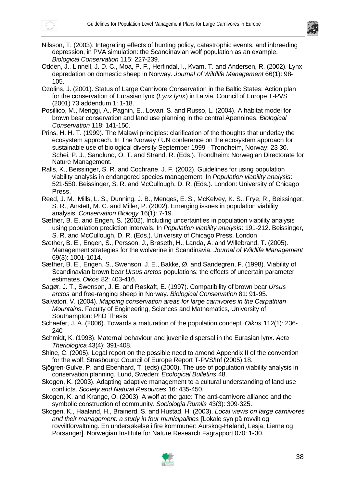



- Nilsson, T. (2003). Integrating effects of hunting policy, catastrophic events, and inbreeding depression, in PVA simulation: the Scandinavian wolf population as an example. *Biological Conservation* 115: 227-239.
- Odden, J., Linnell, J. D. C., Moa, P. F., Herfindal, I., Kvam, T. and Andersen, R. (2002). Lynx depredation on domestic sheep in Norway. *Journal of Wildlife Management* 66(1): 98- 105.
- Ozolins, J. (2001). Status of Large Carnivore Conservation in the Baltic States: Action plan for the conservation of Eurasian lynx (*Lynx lynx*) in Latvia. Council of Europe T-PVS (2001) 73 addendum 1: 1-18.
- Posillico, M., Meriggi, A., Pagnin, E., Lovari, S. and Russo, L. (2004). A habitat model for brown bear conservation and land use planning in the central Apennines. *Biological Conservation* 118: 141-150.
- Prins, H. H. T. (1999). The Malawi principles: clarification of the thoughts that underlay the ecosystem approach. In The Norway / UN conference on the ecosystem approach for sustainable use of biological diversity September 1999 - Trondheim, Norway: 23-30. Schei, P. J., Sandlund, O. T. and Strand, R. (Eds.). Trondheim: Norwegian Directorate for Nature Management.
- Ralls, K., Beissinger, S. R. and Cochrane, J. F. (2002). Guidelines for using population viability analysis in endangered species management. In *Population viability analysis*: 521-550. Beissinger, S. R. and McCullough, D. R. (Eds.). London: University of Chicago Press.
- Reed, J. M., Mills, L. S., Dunning, J. B., Menges, E. S., McKelvey, K. S., Frye, R., Beissinger, S. R., Anstett, M. C. and Miller, P. (2002). Emerging issues in population viability analysis. *Conservation Biology* 16(1): 7-19.
- Sæther, B. E. and Engen, S. (2002). Including uncertainties in population viability analysis using population prediction intervals. In *Population viability analysis*: 191-212. Beissinger, S. R. and McCullough, D. R. (Eds.). University of Chicago Press, London
- Sæther, B. E., Engen, S., Persson, J., Brøseth, H., Landa, A. and Willebrand, T. (2005). Management strategies for the wolverine in Scandinavia. *Journal of Wildlife Management* 69(3): 1001-1014.
- Sæther, B. E., Engen, S., Swenson, J. E., Bakke, Ø. and Sandegren, F. (1998). Viability of Scandinavian brown bear *Ursus arctos* populations: the effects of uncertain parameter estimates. *Oikos* 82: 403-416.
- Sagør, J. T., Swenson, J. E. and Røskaft, E. (1997). Compatibility of brown bear *Ursus arctos* and free-ranging sheep in Norway. *Biological Conservation* 81: 91-95.
- Salvatori, V. (2004). *Mapping conservation areas for large carnivores in the Carpathian Mountains*. Faculty of Engineering, Sciences and Mathematics, University of Southampton: PhD Thesis.
- Schaefer, J. A. (2006). Towards a maturation of the population concept. *Oikos* 112(1): 236- 240
- Schmidt, K. (1998). Maternal behaviour and juvenile dispersal in the Eurasian lynx. *Acta Theriologica* 43(4): 391-408.
- Shine, C. (2005). Legal report on the possible need to amend Appendix II of the convention for the wolf. Strasbourg: Council of Europe Report T-PVS/Inf (2005) 18.
- Sjögren-Gulve, P. and Ebenhard, T. (eds) (2000). The use of population viability analysis in conservation planning. Lund, Sweden: *Ecological Bulletins* 48.
- Skogen, K. (2003). Adapting adaptive management to a cultural understanding of land use conflicts. *Society and Natural Resources* 16: 435-450.
- Skogen, K. and Krange, O. (2003). A wolf at the gate: The anti-carnivore alliance and the symbolic construction of community. *Sociologia Ruralis* 43(3): 309-325.
- Skogen, K., Haaland, H., Brainerd, S. and Hustad, H. (2003). *Local views on large carnivores and their management: a study in four municipalities* [Lokale syn på rovvilt og rovviltforvaltning. En undersøkelse i fire kommuner: Aurskog-Høland, Lesja, Lierne og Porsanger]. Norwegian Institute for Nature Research Fagrapport 070: 1-30.

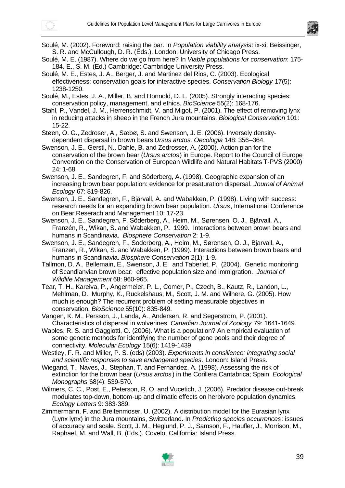

Soulé, M. (2002). Foreword: raising the bar. In *Population viability analysis*: ix-xi. Beissinger, S. R. and McCullough, D. R. (Eds.). London: University of Chicago Press.

Soulé, M. E. (1987). Where do we go from here? In *Viable populations for conservation*: 175- 184. E., S. M. (Ed.) Cambridge: Cambridge University Press.

Soulé, M. E., Estes, J. A., Berger, J. and Martinez del Rios, C. (2003). Ecological effectiveness: conservation goals for interactive species. *Conservation Biology* 17(5): 1238-1250.

Soulé, M., Estes, J. A., Miller, B. and Honnold, D. L. (2005). Strongly interacting species: conservation policy, management, and ethics. *BioScience* 55(2): 168-176.

Stahl, P., Vandel, J. M., Herrenschmidt, V. and Migot, P. (2001). The effect of removing lynx in reducing attacks in sheep in the French Jura mountains. *Biological Conservation* 101: 15-22.

Støen, O. G., Zedroser, A., Sæbø, S. and Swenson, J. E. (2006). Inversely densitydependent dispersal in brown bears *Ursus arctos*. *Oecologia* 148: 356–364.

Swenson, J. E., Gerstl, N., Dahle, B. and Zedrosser, A. (2000). Action plan for the conservation of the brown bear (*Ursus arctos*) in Europe. Report to the Council of Europe Convention on the Conservation of European Wildlife and Natural Habitats T-PVS (2000) 24: 1-68.

Swenson, J. E., Sandegren, F. and Söderberg, A. (1998). Geographic expansion of an increasing brown bear population: evidence for presaturation dispersal. *Journal of Animal Ecology* 67: 819-826.

- Swenson, J. E., Sandegren, F., Bjärvall, A. and Wabakken, P. (1998). Living with success: research needs for an expanding brown bear population. *Ursus*, International Conference on Bear Reserach and Management 10: 17-23.
- Swenson, J. E., Sandegren, F. Söderberg, A., Heim, M., Sørensen, O. J., Bjärvall, A., Franzén, R., Wikan, S. and Wabakken, P. 1999. Interactions between brown bears and humans in Scandinavia. *Biosphere Conservation* 2: 1-9.
- Swenson, J. E., Sandegren, F., Soderberg, A., Heim, M., Sørensen, O. J., Bjarvall, A., Franzen, R., Wikan, S. and Wabakken, P. (1999). Interactions between brown bears and humans in Scandinavia. *Biosphere Conservation* 2(1): 1-9.

Tallmon, D. A., Bellemain, E., Swenson, J. E. and Taberlet, P. (2004). Genetic monitoring of Scandianvian brown bear: effective population size and immigration. *Journal of Wildlife Management* 68: 960-965.

Tear, T. H., Kareiva, P., Angermeier, P. L., Comer, P., Czech, B., Kautz, R., Landon, L., Mehlman, D., Murphy, K., Ruckelshaus, M., Scott, J. M. and Wilhere, G. (2005). How much is enough? The recurrent problem of setting measurable objectives in conservation. *BioScience* 55(10): 835-849.

Vangen, K. M., Persson, J., Landa, A., Andersen, R. and Segerstrom, P. (2001). Characteristics of dispersal in wolverines. *Canadian Journal of Zoology* 79: 1641-1649.

Waples, R. S. and Gaggiotti, O. (2006). What is a population? An empirical evaluation of some genetic methods for identifying the number of gene pools and their degree of connectivity. *Molecular Ecology* 15(6): 1419-1439

Westley, F. R. and Miller, P. S. (eds) (2003). *Experiments in consilience: integrating social and scientific responses to save endangered species*. London: Island Press.

- Wiegand, T., Naves, J., Stephan, T. and Fernandez, A. (1998). Assessing the risk of extinction for the brown bear (*Ursus arctos*) in the Corillera Cantabrica; Spain. *Ecological Monographs* 68(4): 539-570.
- Wilmers, C. C., Post, E., Peterson, R. O. and Vucetich, J. (2006). Predator disease out-break modulates top-down, bottom-up and climatic effects on herbivore population dynamics. *Ecology Letters* 9: 383-389.
- Zimmermann, F. and Breitenmoser, U. (2002). A distribution model for the Eurasian lynx (Lynx lynx) in the Jura mountains, Switzerland. In *Predicting species occurrences*: issues of accuracy and scale. Scott, J. M., Heglund, P. J., Samson, F., Haufler, J., Morrison, M., Raphael, M. and Wall, B. (Eds.). Covelo, California: Island Press.

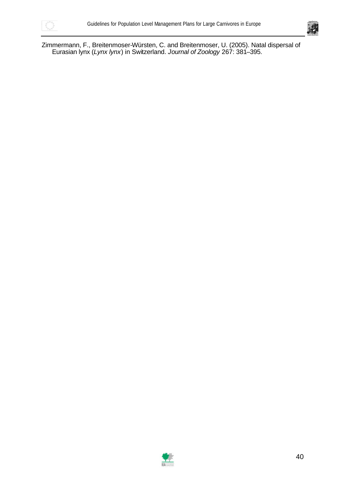



Zimmermann, F., Breitenmoser-Würsten, C. and Breitenmoser, U. (2005). Natal dispersal of Eurasian lynx (*Lynx lynx*) in Switzerland. *Journal of Zoology* 267: 381–395.

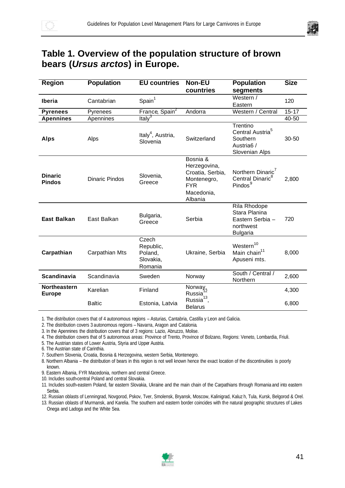

## **Table 1. Overview of the population structure of brown bears (***Ursus arctos***) in Europe.**

| <b>Region</b>                   | <b>Population</b>     | <b>EU countries</b>                                   | <b>Non-EU</b>                                                                                      | <b>Population</b>                                                                                | <b>Size</b> |
|---------------------------------|-----------------------|-------------------------------------------------------|----------------------------------------------------------------------------------------------------|--------------------------------------------------------------------------------------------------|-------------|
|                                 |                       |                                                       | countries                                                                                          | segments                                                                                         |             |
| Iberia                          | Cantabrian            | Spain <sup>1</sup>                                    |                                                                                                    | Western /<br>Eastern                                                                             | 120         |
| <b>Pyrenees</b>                 | Pyrenees              | France, Spain <sup>2</sup>                            | Andorra                                                                                            | Western / Central                                                                                | $15 - 17$   |
| <b>Apennines</b>                | Apennines             | Italy <sup>3</sup>                                    |                                                                                                    |                                                                                                  | 40-50       |
| <b>Alps</b>                     | Alps                  | Italy <sup>4</sup> , Austria,<br>Slovenia             | Switzerland                                                                                        | Trentino<br>Central Austria <sup>5</sup><br>Southern<br>Austria <sub>6</sub> /<br>Slovenian Alps | 30-50       |
| <b>Dinaric</b><br><b>Pindos</b> | <b>Dinaric Pindos</b> | Slovenia,<br>Greece                                   | Bosnia &<br>Herzegovina,<br>Croatia, Serbia,<br>Montenegro,<br><b>FYR</b><br>Macedonia,<br>Albania | Northern Dinaric <sup>7</sup><br>Central Dinaric <sup>8</sup><br>Pindos <sup>9</sup>             | 2,800       |
| <b>East Balkan</b>              | East Balkan           | Bulgaria,<br>Greece                                   | Serbia                                                                                             | Rila Rhodope<br>Stara Planina<br>Eastern Serbia -<br>northwest<br><b>Bulgaria</b>                | 720         |
| Carpathian                      | Carpathian Mts        | Czech<br>Republic,<br>Poland,<br>Slovakia,<br>Romania | Ukraine, Serbia                                                                                    | Western <sup>10</sup><br>Main chain <sup>11</sup><br>Apuseni mts.                                | 8,000       |
| <b>Scandinavia</b>              | Scandinavia           | Sweden                                                | Norway                                                                                             | South / Central /<br>Northern                                                                    | 2,600       |
| Northeastern<br><b>Europe</b>   | Karelian              | Finland                                               | Norway,<br>Russia <sup>1</sup>                                                                     |                                                                                                  | 4,300       |
|                                 | <b>Baltic</b>         | Estonia, Latvia                                       | Russia <sup>13</sup> ,<br><b>Belarus</b>                                                           |                                                                                                  | 6,800       |

1. The distribution covers that of 4 autonomous regions – Asturias, Cantabria, Castilla y Leon and Galicia.

2. The distribution covers 3 autonomous regions – Navarra, Aragon and Catalonia.

3. In the Apennines the distribution covers that of 3 regions: Lazio, Abruzzo, Molise.

4. The distribution covers that of 5 autonomous areas: Province of Trento, Province of Bolzano, Regions: Veneto, Lombardia, Friuli.

5. The Austrian states of Lower Austria, Styria and Upper Austria.

6. The Austrian state of Carinthia.

7. Southern Slovenia, Croatia, Bosnia & Herzegovina, western Serbia, Montenegro.

8. Northern Albania – the distribution of bears in this region is not well known hence the exact location of the discontinuities is poorly known.

9. Eastern Albania, FYR Macedonia, northern and central Greece.

10. Includes south-central Poland and central Slovakia.

11. Includes south-eastern Poland, far eastern Slovakia, Ukraine and the main chain of the Carpathians through Romania and into eastern Serbia.

12. Russian oblasts of Lenningrad, Novgorod, Pskov, Tver, Smolensk, Bryansk, Moscow, Kalinigrad, Kaluz h, Tula, Kursk, Belgorod & Orel.

13. Russian oblasts of Murmansk, and Karelia. The southern and eastern border coincides with the natural geographic structures of Lakes Onega and Ladoga and the White Sea.

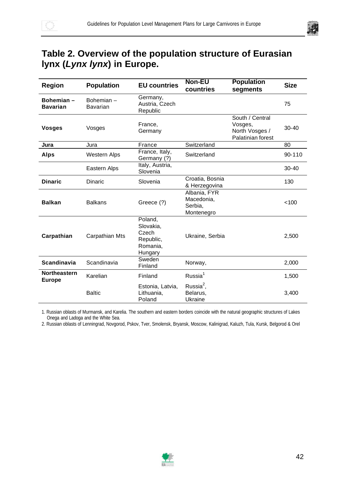

## **Table 2. Overview of the population structure of Eurasian lynx (***Lynx lynx***) in Europe.**

| <b>Region</b>                 | <b>Population</b>     | <b>EU countries</b>                                               | <b>Non-EU</b><br>countries                          | <b>Population</b><br>segments                                     | <b>Size</b> |
|-------------------------------|-----------------------|-------------------------------------------------------------------|-----------------------------------------------------|-------------------------------------------------------------------|-------------|
| Bohemian-<br><b>Bavarian</b>  | Bohemian-<br>Bavarian | Germany,<br>Austria, Czech<br>Republic                            |                                                     |                                                                   | 75          |
| <b>Vosges</b>                 | Vosges                | France,<br>Germany                                                |                                                     | South / Central<br>Vosges,<br>North Vosges /<br>Palatinian forest | $30 - 40$   |
| Jura                          | Jura                  | France                                                            | Switzerland                                         |                                                                   | 80          |
| <b>Alps</b>                   | <b>Western Alps</b>   | France, Italy,<br>Germany (?)                                     | Switzerland                                         |                                                                   | 90-110      |
|                               | Eastern Alps          | Italy, Austria,<br>Slovenia                                       |                                                     |                                                                   | $30 - 40$   |
| <b>Dinaric</b>                | Dinaric               | Slovenia                                                          | Croatia, Bosnia<br>& Herzegovina                    |                                                                   | 130         |
| <b>Balkan</b>                 | <b>Balkans</b>        | Greece (?)                                                        | Albania, FYR<br>Macedonia,<br>Serbia,<br>Montenegro |                                                                   | < 100       |
| Carpathian                    | Carpathian Mts        | Poland,<br>Slovakia,<br>Czech<br>Republic,<br>Romania,<br>Hungary | Ukraine, Serbia                                     |                                                                   | 2,500       |
| <b>Scandinavia</b>            | Scandinavia           | Sweden<br>Finland                                                 | Norway,                                             |                                                                   | 2,000       |
| Northeastern<br><b>Europe</b> | Karelian              | Finland                                                           | Russia <sup>1</sup>                                 |                                                                   | 1,500       |
|                               | <b>Baltic</b>         | Estonia, Latvia,<br>Lithuania,<br>Poland                          | Russia $2$ ,<br>Belarus,<br>Ukraine                 |                                                                   | 3,400       |

1. Russian oblasts of Murmansk, and Karelia. The southern and eastern borders coincide with the natural geographic structures of Lakes Onega and Ladoga and the White Sea.

2. Russian oblasts of Lenningrad, Novgorod, Pskov, Tver, Smolensk, Bryansk, Moscow, Kalinigrad, Kaluzh, Tula, Kursk, Belgorod & Orel

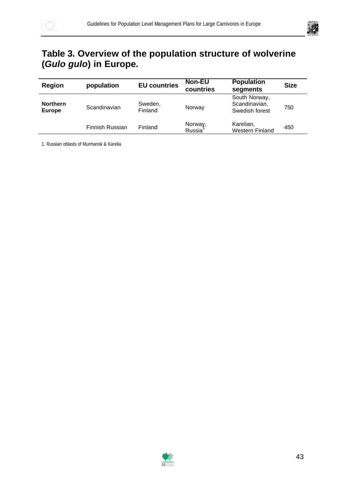

## **Table 3. Overview of the population structure of wolverine (***Gulo gulo***) in Europe.**

| <b>Region</b>                    | population      | <b>EU countries</b> | <b>Non-EU</b><br>countries     | <b>Population</b><br>segments                    | <b>Size</b> |
|----------------------------------|-----------------|---------------------|--------------------------------|--------------------------------------------------|-------------|
| <b>Northern</b><br><b>Europe</b> | Scandinavian    | Sweden,<br>Finland  | Norway                         | South Norway,<br>Scandinavian,<br>Swedish forest | 750         |
|                                  | Finnish Russian | Finland             | Norway,<br>Russia <sup>1</sup> | Karelian,<br><b>Western Finland</b>              | 450         |

1. Russian oblasts of Murmansk & Karelia

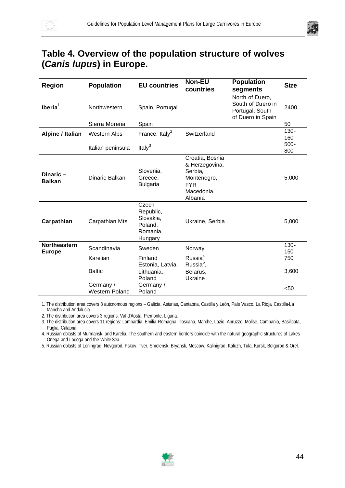

## **Table 4. Overview of the population structure of wolves (***Canis lupus***) in Europe.**

| Region                        | <b>Population</b>                  | <b>EU countries</b>                                               | Non-EU<br>countries                                                                                | <b>Population</b><br>segments                                                | <b>Size</b>    |
|-------------------------------|------------------------------------|-------------------------------------------------------------------|----------------------------------------------------------------------------------------------------|------------------------------------------------------------------------------|----------------|
| Iberia $1$                    | Northwestern                       | Spain, Portugal                                                   |                                                                                                    | North of Duero,<br>South of Duero in<br>Portugal, South<br>of Duero in Spain | 2400           |
|                               | Sierra Morena                      | Spain                                                             |                                                                                                    |                                                                              | 50             |
| Alpine / Italian              | <b>Western Alps</b>                | France, Italy <sup>2</sup>                                        | Switzerland                                                                                        |                                                                              | $130 -$<br>160 |
|                               | Italian peninsula                  | Italy $3$                                                         |                                                                                                    |                                                                              | $500 -$<br>800 |
| Dinaric-<br><b>Balkan</b>     | Dinaric Balkan                     | Slovenia,<br>Greece,<br><b>Bulgaria</b>                           | Croatia, Bosnia<br>& Herzegovina,<br>Serbia,<br>Montenegro,<br><b>FYR</b><br>Macedonia,<br>Albania |                                                                              | 5,000          |
| Carpathian                    | Carpathian Mts                     | Czech<br>Republic,<br>Slovakia,<br>Poland,<br>Romania,<br>Hungary | Ukraine, Serbia                                                                                    |                                                                              | 5,000          |
| Northeastern<br><b>Europe</b> | Scandinavia                        | Sweden                                                            | Norway                                                                                             |                                                                              | $130 -$<br>150 |
|                               | Karelian                           | Finland<br>Estonia, Latvia,                                       | Russia <sup>4</sup><br>Russia <sup>5</sup> ,                                                       |                                                                              | 750            |
|                               | <b>Baltic</b>                      | Lithuania,<br>Poland                                              | Belarus,<br>Ukraine                                                                                |                                                                              | 3,600          |
|                               | Germany /<br><b>Western Poland</b> | Germany /<br>Poland                                               |                                                                                                    |                                                                              | $50$           |

1. The distribution area covers 8 autonomous regions – Galicia, Asturias, Cantabria, Castilla y León, País Vasco, La Rioja, Castilla-La Mancha and Andalucia.

2. The distribution area covers 3 regions: Val d'Aosta, Piemonte, Liguria.

3. The distribution area covers 11 regions: Lombardia, Emilia-Romagna, Toscana, Marche, Lazio, Abruzzo, Molise, Campania, Basilicata, Puglia, Calabria.

4. Russian oblasts of Murmansk, and Karelia. The southern and eastern borders coincide with the natural geographic structures of Lakes Onega and Ladoga and the White Sea.

5. Russian oblasts of Leningrad, Novgorod, Pskov, Tver, Smolensk, Bryansk, Moscow, Kalinigrad, Kaluzh, Tula, Kursk, Belgorod & Orel.

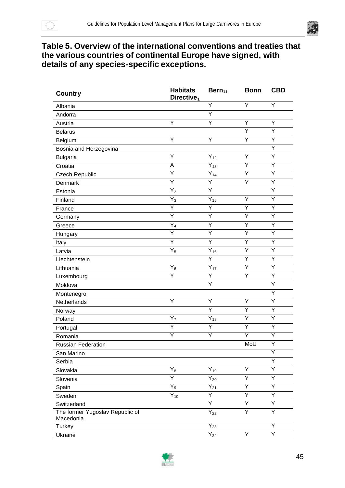



### **Table 5. Overview of the international conventions and treaties that the various countries of continental Europe have signed, with details of any species-specific exceptions.**

| <b>Country</b>                  | <b>Habitats</b><br>Directive <sub>1</sub> | $Bern_{11}$         | <b>Bonn</b> | <b>CBD</b> |
|---------------------------------|-------------------------------------------|---------------------|-------------|------------|
| Albania                         |                                           | Υ                   | Y           | Υ          |
| Andorra                         |                                           | Ÿ                   |             |            |
| Austria                         | Υ                                         | Υ                   | Υ           | Υ          |
| <b>Belarus</b>                  |                                           |                     | Ÿ           | Ÿ          |
| Belgium                         | Y                                         | Υ                   | Y           | Υ          |
| Bosnia and Herzegovina          |                                           |                     |             | Υ          |
| <b>Bulgaria</b>                 | Υ                                         | $Y_{12}$            | Υ           | Υ          |
| Croatia                         | A                                         | $Y_{13}$            | Y           | Y          |
| Czech Republic                  | Ÿ                                         | $\overline{Y}_{14}$ | Y           | Y          |
| Denmark                         | Ÿ                                         | Y                   | Υ           | Υ          |
| Estonia                         | $Y_2$                                     | Y                   |             | Υ          |
| Finland                         | $Y_3$                                     | $Y_{15}$            | Υ           | Υ          |
| France                          | Y                                         | Y                   | Υ           | Υ          |
| Germany                         | Y                                         | Y                   | Υ           | Υ          |
| Greece                          | $Y_4$                                     | Y                   | Y           | Y          |
| Hungary                         | Ÿ                                         | Y                   | Υ           | Υ          |
| Italy                           | $\overline{Y}$                            | $\overline{Y}$      | Y           | Y          |
| Latvia                          | $Y_5$                                     | $\overline{Y}_{16}$ | Υ           | Υ          |
| Liechtenstein                   |                                           | Ÿ                   | Υ           | Υ          |
| Lithuania                       | $Y_6$                                     | $Y_{17}$            | Υ           | Y          |
| Luxembourg                      | Y                                         | Y                   | Υ           | Υ          |
| Moldova                         |                                           | Y                   |             | Υ          |
| Montenegro                      |                                           |                     |             | Υ          |
| Netherlands                     | Ÿ                                         | Ÿ                   | Υ           | Y          |
| Norway                          |                                           | Y                   | Υ           | Υ          |
| Poland                          | $Y_7$                                     | $\overline{Y}_{18}$ | Y           | Y          |
| Portugal                        | Υ                                         | Υ                   | Υ           | Υ          |
| Romania                         | Ÿ                                         | Ÿ                   | Y           | Υ          |
| <b>Russian Federation</b>       |                                           |                     | MoU         | Y          |
| San Marino                      |                                           |                     |             | Υ          |
| Serbia                          |                                           |                     |             | Υ          |
| Slovakia                        | $\mathsf{Y}_8$                            | $Y_{19}$            | Υ           | Υ          |
| Slovenia                        | Y                                         | $\bar{Y}_{20}$      | Y           | Υ          |
| Spain                           | $Y_9$                                     | $Y_{21}$            | Υ           | Υ          |
| Sweden                          | $Y_{10}$                                  | Ÿ                   | Ÿ           | Υ          |
| Switzerland                     |                                           | $\overline{Y}$      | Y           | Y          |
| The former Yugoslav Republic of |                                           | $\overline{Y}_{22}$ | Ÿ           | Y          |
| Macedonia                       |                                           |                     |             |            |
| Turkey                          |                                           | $Y_{23}$            |             | Y          |
| Ukraine                         |                                           | $Y_{24}$            | Y           | Ÿ          |

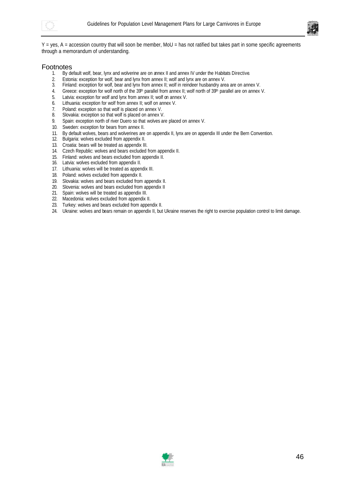



Y = yes, A = accession country that will soon be member, MoU = has not ratified but takes part in some specific agreements through a memorandum of understanding.

# Footnotes<br> $1.$  By degree

- By default wolf, bear, lynx and wolverine are on annex II and annex IV under the Habitats Directive.
- 2. Estonia: exception for wolf, bear and lynx from annex II; wolf and lynx are on annex V.
- Finland: exception for wolf, bear and lynx from annex II; wolf in reindeer husbandry area are on annex V.
- 4. Greece: exception for wolf north of the 39<sup>th</sup> parallel from annex II; wolf north of 39<sup>th</sup> parallel are on annex V.
- 5. Latvia: exception for wolf and lynx from annex II; wolf on annex V.
- 6. Lithuania: exception for wolf from annex II; wolf on annex V.
- 7. Poland: exception so that wolf is placed on annex V.
- 8. Slovakia: exception so that wolf is placed on annex V.
- 9. Spain: exception north of river Duero so that wolves are placed on annex V.
- 10. Sweden: exception for bears from annex II.
- 11. By default wolves, bears and wolverines are on appendix II, lynx are on appendix III under the Bern Convention.
- 12. Bulgaria: wolves excluded from appendix II.
- 13. Croatia: bears will be treated as appendix III.
- 14. Czech Republic: wolves and bears excluded from appendix II.
- 15. Finland: wolves and bears excluded from appendix II.
- 16. Latvia: wolves excluded from appendix II.
- 17. Lithuania: wolves will be treated as appendix III.
- 18. Poland: wolves excluded from appendix II.
- 19. Slovakia: wolves and bears excluded from appendix II.
- 20. Slovenia: wolves and bears excluded from appendix II
- 21. Spain: wolves will be treated as appendix III.
- 22. Macedonia: wolves excluded from appendix II.
- 23. Turkey: wolves and bears excluded from appendix II.
- 24. Ukraine: wolves and bears remain on appendix II, but Ukraine reserves the right to exercise population control to limit damage.

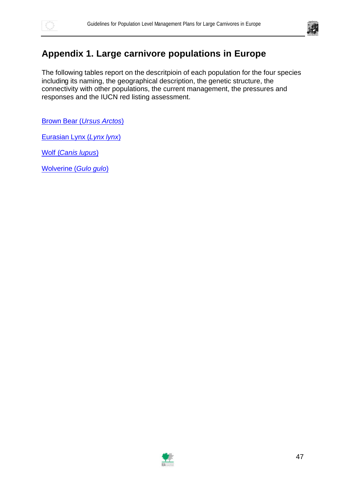



### **Appendix 1. Large carnivore populations in Europe**

The following tables report on the descritpioin of each population for the four species including its naming, the geographical description, the genetic structure, the connectivity with other populations, the current management, the pressures and responses and the IUCN red listing assessment.

Brown Bear (*Ursus Arctos*)

Eurasian Lynx (*Lynx lynx*)

Wolf (*Canis lupus*)

Wolverine (*Gulo gulo*)

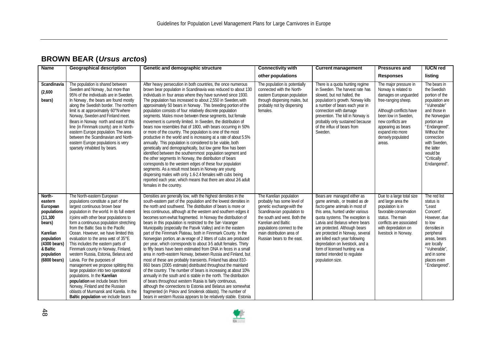### **BROWN BEAR (***Ursus arctos***)**

| <b>Name</b>                                                                                                                                             | <b>Geographical description</b>                                                                                                                                                                                                                                                                                                                                                                                                                                                                                                                                                                                                                                                                                                                                                             | Genetic and demographic structure                                                                                                                                                                                                                                                                                                                                                                                                                                                                                                                                                                                                                                                                                                                                                                                                                                                                                                                                                                                                                                                                                                                                                                                                                                                                                                                     | <b>Connectivity with</b>                                                                                                                                                                                                                                         | <b>Current management</b>                                                                                                                                                                                                                                                                                                                                                                                                           | <b>Pressures and</b>                                                                                                                                                                                                                         | <b>IUCN red</b>                                                                                                                                                                                                                                        |
|---------------------------------------------------------------------------------------------------------------------------------------------------------|---------------------------------------------------------------------------------------------------------------------------------------------------------------------------------------------------------------------------------------------------------------------------------------------------------------------------------------------------------------------------------------------------------------------------------------------------------------------------------------------------------------------------------------------------------------------------------------------------------------------------------------------------------------------------------------------------------------------------------------------------------------------------------------------|-------------------------------------------------------------------------------------------------------------------------------------------------------------------------------------------------------------------------------------------------------------------------------------------------------------------------------------------------------------------------------------------------------------------------------------------------------------------------------------------------------------------------------------------------------------------------------------------------------------------------------------------------------------------------------------------------------------------------------------------------------------------------------------------------------------------------------------------------------------------------------------------------------------------------------------------------------------------------------------------------------------------------------------------------------------------------------------------------------------------------------------------------------------------------------------------------------------------------------------------------------------------------------------------------------------------------------------------------------|------------------------------------------------------------------------------------------------------------------------------------------------------------------------------------------------------------------------------------------------------------------|-------------------------------------------------------------------------------------------------------------------------------------------------------------------------------------------------------------------------------------------------------------------------------------------------------------------------------------------------------------------------------------------------------------------------------------|----------------------------------------------------------------------------------------------------------------------------------------------------------------------------------------------------------------------------------------------|--------------------------------------------------------------------------------------------------------------------------------------------------------------------------------------------------------------------------------------------------------|
|                                                                                                                                                         |                                                                                                                                                                                                                                                                                                                                                                                                                                                                                                                                                                                                                                                                                                                                                                                             |                                                                                                                                                                                                                                                                                                                                                                                                                                                                                                                                                                                                                                                                                                                                                                                                                                                                                                                                                                                                                                                                                                                                                                                                                                                                                                                                                       | other populations                                                                                                                                                                                                                                                |                                                                                                                                                                                                                                                                                                                                                                                                                                     | <b>Responses</b>                                                                                                                                                                                                                             | listing                                                                                                                                                                                                                                                |
| Scandinavia<br>(2,600)<br>bears)                                                                                                                        | The population is shared between<br>Sweden and Norway, but more than<br>95% of the individuals are in Sweden.<br>In Norway, the bears are found mostly<br>along the Swedish border. The northern<br>limit is at approximately 60°N where<br>Norway, Sweden and Finland meet.<br>Bears in Norway north and east of this<br>line (in Finnmark county) are in North-<br>eastern Europe population. The area<br>between the Scandinavian and North-<br>eastern Europe populations is very<br>sparsely inhabited by bears.                                                                                                                                                                                                                                                                       | After heavy persecution in both countries, the once numerous<br>brown bear population in Scandinavia was reduced to about 130<br>individuals in four areas where they have survived since 1930.<br>The population has increased to about 2,550 in Sweden, with<br>approximately 50 bears in Norway. This breeding portion of the<br>population consists of four relatively discrete population<br>segments. Males move between these segments, but female<br>movement is currently limited. In Sweden, the distribution of<br>bears now resembles that of 1800, with bears occurring in 50%<br>or more of the country. The population is one of the most<br>productive in the world and is increasing at a rate of about 5.5%<br>annually. This population is considered to be viable, both<br>genetically and demographically, but low gene flow has been<br>identified between the southernmost population segment and<br>the other segments In Norway, the distribution of bears<br>corresponds to the western edges of these four population<br>segments. As a result most bears in Norway are young<br>dispersing males with only 1.6-2.4 females with cubs being<br>reported each year, which means that there are about 26 adult<br>females in the country.                                                                                    | The population is potentially<br>connected with the North-<br>eastern European population<br>through dispersing males, but<br>probably not by dispersing<br>females.                                                                                             | There is a guota hunting regime<br>in Sweden. The harvest rate has<br>slowed, but not halted, the<br>population's growth. Norway kills<br>a number of bears each year in<br>connection with damage<br>prevention. The kill in Norway is<br>probably only sustained because<br>of the influx of bears from<br>Sweden.                                                                                                                | The major pressure in<br>Norway is related to<br>damages on unquarded<br>free-ranging sheep.<br>Although conflicts have<br>been low in Sweden,<br>new conflicts are<br>appearing as bears<br>expand into more<br>densely populated<br>areas. | The bears in<br>the Swedish<br>portion of the<br>population are<br>"Vulnerable"<br>and those in<br>the Norwegian<br>portion are<br>"Endangered".<br>Without the<br>connection<br>with Sweden,<br>the latter<br>would be<br>"Critically<br>Endangered". |
| North-<br>eastern<br>European<br>populations<br>(11, 100)<br>bears)<br>Karelian<br>population<br>(4300 bears)<br>& Baltic<br>population<br>(6800 bears) | The North-eastern European<br>populations constitute a part of the<br>largest continuous brown bear<br>population in the world. In its full extent<br>it joins with other bear populations to<br>form a continuous population stretching<br>from the Baltic Sea to the Pacific<br>Ocean. However, we have limited this<br>evaluation to the area west of 35°E.<br>This includes the eastern parts of<br>Finnmark county in Norway, Finland,<br>western Russia, Estonia, Belarus and<br>Latvia. For the purposes of<br>management we propose splitting this<br>large population into two operational<br>populations. In the Karelian<br>population we include bears from<br>Norway, Finland and the Russian<br>oblasts of Murmansk and Karelia. In the<br>Baltic population we include bears | Densities are generally low, with the highest densities in the<br>south-eastern part of the population and the lowest densities in<br>the north and southwest. The distribution of bears is more or<br>less continuous, although at the western and southern edges it<br>becomes som ewhat fragmented. In Norway the distribution of<br>bears in this population is restricted to the Sør-Varanger<br>Municipality (especially the Pasvik Valley) and in the eastern<br>part of the Finnmark Plateau, both in Finnmark County. In the<br>Norwegian portion, an average of 2 litters of cubs are produced<br>per year, which corresponds to about 3-5 adult females. Thirty<br>to fifty bears have been estimated from DNA in feces in a small<br>area in north-eastern Norway, between Russia and Finland, but<br>most of these are probably transients. Finland has about 810-<br>860 bears (2005 estimate) distributed throughout the mainland<br>of the country. The number of bears is increasing at about 10%<br>annually in the south and is stable in the north. The distribution<br>of bears throughout western Russia is fairly continuous,<br>although the connections to Estonia and Belarus are somewhat<br>fragmented (in Pskov and Smolensk oblasts). The number of<br>bears in western Russia appears to be relatively stable. Estonia | The Karelian population<br>probably has some level of<br>genetic exchange with the<br>Scandinavian population to<br>the south and west. Both the<br>Karelian and Baltic<br>populations connect to the<br>main distribution area of<br>Russian bears to the east. | Bears are managed either as<br>game animals, or treated as de<br>factogame animals in most of<br>this area, hunted under various<br>quota systems. The exception is<br>Latvia and Belarus where bears<br>are protected. Although bears<br>are protected in Norway, several<br>are killed each year following<br>depredation on livestock, and a<br>form of licensed hunting was<br>started intended to regulate<br>population size. | Due to a large total size<br>and large area the<br>population is in<br>favorable conservation<br>status. The main<br>conflicts are associated<br>with depredation on<br>livestock in Norway.                                                 | The red list<br>status is<br>"Least<br>Concern".<br>However, due<br>to low<br>densities in<br>peripheral<br>areas, bears<br>are locally<br>"Vulnerable",<br>and in some<br>places even<br>"Endangered".                                                |

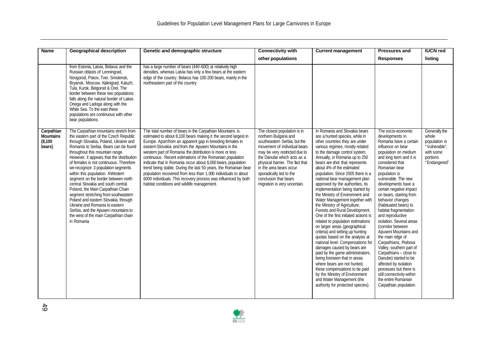| <b>Name</b>                                          | <b>Geographical description</b>                                                                                                                                                                                                                                                                                                                                                                                                                                                                                                                                                                                                                                                                           | Genetic and demographic structure                                                                                                                                                                                                                                                                                                                                                                                                                                                                                                                                                                                                                                                               | <b>Connectivity with</b>                                                                                                                                                                                                                                                                                                               | <b>Current management</b>                                                                                                                                                                                                                                                                                                                                                                                                                                                                                                                                                                                                                                                                                                                                                                                                                                                                                                                                                                                                                                     | <b>Pressures and</b>                                                                                                                                                                                                                                                                                                                                                                                                                                                                                                                                                                                                                                                                                                              | <b>IUCN red</b>                                                                                    |
|------------------------------------------------------|-----------------------------------------------------------------------------------------------------------------------------------------------------------------------------------------------------------------------------------------------------------------------------------------------------------------------------------------------------------------------------------------------------------------------------------------------------------------------------------------------------------------------------------------------------------------------------------------------------------------------------------------------------------------------------------------------------------|-------------------------------------------------------------------------------------------------------------------------------------------------------------------------------------------------------------------------------------------------------------------------------------------------------------------------------------------------------------------------------------------------------------------------------------------------------------------------------------------------------------------------------------------------------------------------------------------------------------------------------------------------------------------------------------------------|----------------------------------------------------------------------------------------------------------------------------------------------------------------------------------------------------------------------------------------------------------------------------------------------------------------------------------------|---------------------------------------------------------------------------------------------------------------------------------------------------------------------------------------------------------------------------------------------------------------------------------------------------------------------------------------------------------------------------------------------------------------------------------------------------------------------------------------------------------------------------------------------------------------------------------------------------------------------------------------------------------------------------------------------------------------------------------------------------------------------------------------------------------------------------------------------------------------------------------------------------------------------------------------------------------------------------------------------------------------------------------------------------------------|-----------------------------------------------------------------------------------------------------------------------------------------------------------------------------------------------------------------------------------------------------------------------------------------------------------------------------------------------------------------------------------------------------------------------------------------------------------------------------------------------------------------------------------------------------------------------------------------------------------------------------------------------------------------------------------------------------------------------------------|----------------------------------------------------------------------------------------------------|
|                                                      |                                                                                                                                                                                                                                                                                                                                                                                                                                                                                                                                                                                                                                                                                                           |                                                                                                                                                                                                                                                                                                                                                                                                                                                                                                                                                                                                                                                                                                 | other populations                                                                                                                                                                                                                                                                                                                      |                                                                                                                                                                                                                                                                                                                                                                                                                                                                                                                                                                                                                                                                                                                                                                                                                                                                                                                                                                                                                                                               | <b>Responses</b>                                                                                                                                                                                                                                                                                                                                                                                                                                                                                                                                                                                                                                                                                                                  | listing                                                                                            |
|                                                      | from Estonia, Latvia, Belarus and the<br>Russian oblasts of Lenningrad,<br>Novgorod, Pskov, Tver, Smolensk,<br>Bryansk, Moscow, Kalinigrad, Kaluzh,<br>Tula, Kursk, Belgorod & Orel. The<br>border between these two populations<br>falls along the natural border of Lakes<br>Onega and Ladoga along with the<br>White Sea. To the east these<br>populations are continuous with other<br>bear populations.                                                                                                                                                                                                                                                                                              | has a large number of bears (440-600) at relatively high<br>densities, whereas Latvia has only a few bears at the eastern<br>edge of the country. Belarus has 100-200 bears, mainly in the<br>northeastern part of the country.                                                                                                                                                                                                                                                                                                                                                                                                                                                                 |                                                                                                                                                                                                                                                                                                                                        |                                                                                                                                                                                                                                                                                                                                                                                                                                                                                                                                                                                                                                                                                                                                                                                                                                                                                                                                                                                                                                                               |                                                                                                                                                                                                                                                                                                                                                                                                                                                                                                                                                                                                                                                                                                                                   |                                                                                                    |
| Carpathian<br><b>Mountains</b><br>(8, 100)<br>bears) | The Carpathian mountains stretch from<br>the eastern part of the Czech Republic<br>through Slovakia, Poland, Ukraine and<br>Romania to Serbia. Bears can be found<br>throughout this mountain range.<br>However, it appears that the distribution<br>of females is not continuous. Therefore<br>we recognize 3 population segments<br>within this population. AWestern<br>segment on the border between north<br>central Slovakia and south central<br>Poland, the Main Carpathian Chain<br>segment stretching from southeastern<br>Poland and eastern Slovakia, through<br>Ukraine and Romania to eastern<br>Serbia, and the Apuseni mountains to<br>the west of the main Carpathian chain<br>in Romania | The total number of bears in the Carpathian Mountains is<br>estimated to about 8,100 bears making it the second largest in<br>Europe. Apartfrom an apparent gap in breeding females in<br>eastern Slovakia and from the Apuseni Mountains in the<br>western part of Romania the distribution is more or less<br>continuous. Recent estimations of the Romanian population<br>indicate that in Romania occur about 6,000 bears, population<br>trend being stable. During the last 50 years, the Romanian bear<br>population recovered from less than 1,000 individuals to about<br>6000 individuals. This recovery process was influenced by both<br>habitat conditions and wildlife management. | The closest population is in<br>northern Bulgaria and<br>southeastern Serbia, but the<br>movement of individual bears<br>may be very restricted due to<br>the Danube which acts as a<br>physical barrier. The fact that<br>in the area bears occur<br>sporadically led to the<br>conclusion that bears<br>migration is very uncertain. | In Romania and Slovakia bears<br>are a hunted species, while in<br>other countries they are under<br>various regimes, mostly related<br>to the damage control system.<br>Annually, in Romania up to 250<br>bears are shot that represents<br>about 4% of the estimated<br>population. Since 2005 there is a<br>national bear management plan<br>approved by the authorities, its<br>implementation being started by<br>the Ministry of Environment and<br>Water Management together with<br>the Ministry of Agriculture,<br>Forests and Rural Development.<br>One of the first initiated actions is<br>related to population estimations<br>on larger areas (geographical<br>criteria) and setting up hunting<br>quotas based on the analysis at<br>national level. Compensations for<br>damages caused by bears are<br>paid by the game administrators,<br>being foreseen that in areas<br>where bears are not hunted.<br>these compensations to be paid<br>by the Ministry of Environment<br>and Water Management (the<br>authority for protected species). | The socio-economic<br>developments in<br>Romania have a certain<br>influence on bear<br>population on medium<br>and long term and it is<br>considered that<br>Romanian bear<br>population is<br>vulnerable. The new<br>developments have a<br>certain negative impact<br>on bears, starting from<br>behavior changes<br>(habituated bears) to<br>habitat fragmentation<br>and reproductive<br>isolation. Several areas<br>(corridor between<br>Apuseni Mountains and<br>the main ridge of<br>Carpathians, Prahova<br>Valley, southern part of<br>Carpathians - close to<br>Danube) started to be<br>affected by isolation<br>processes but there is<br>still connectivity within<br>the entire Romanian<br>Carpathian population. | Generally the<br>whole<br>population is<br>"Vulnerable",<br>with some<br>portions<br>"Endangered". |

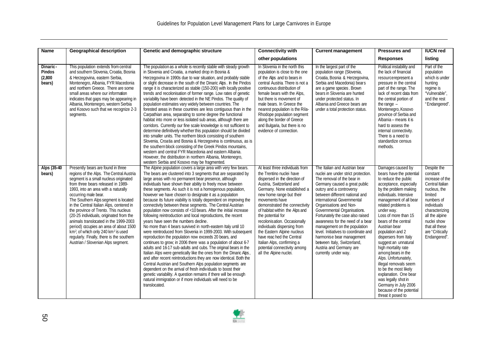| Name                                    | <b>Geographical description</b>                                                                                                                                                                                                                                                                                                                                                                                                                                                                                                                                                                                                          | Genetic and demographic structure                                                                                                                                                                                                                                                                                                                                                                                                                                                                                                                                                                                                                                                                                                                                                                                                                                                                                                                                                                                                                                                                                                                                                                                                                                                                                                                                                                                                                        | <b>Connectivity with</b>                                                                                                                                                                                                                                                                                                                                                                                                                                                                                        | <b>Current management</b>                                                                                                                                                                                                                                                                                                                                                                                                                                                                                                                               | <b>Pressures and</b>                                                                                                                                                                                                                                                                                                                                                                                                                                                                                                                                                                                     | <b>IUCN red</b>                                                                                                                                                                                                               |
|-----------------------------------------|------------------------------------------------------------------------------------------------------------------------------------------------------------------------------------------------------------------------------------------------------------------------------------------------------------------------------------------------------------------------------------------------------------------------------------------------------------------------------------------------------------------------------------------------------------------------------------------------------------------------------------------|----------------------------------------------------------------------------------------------------------------------------------------------------------------------------------------------------------------------------------------------------------------------------------------------------------------------------------------------------------------------------------------------------------------------------------------------------------------------------------------------------------------------------------------------------------------------------------------------------------------------------------------------------------------------------------------------------------------------------------------------------------------------------------------------------------------------------------------------------------------------------------------------------------------------------------------------------------------------------------------------------------------------------------------------------------------------------------------------------------------------------------------------------------------------------------------------------------------------------------------------------------------------------------------------------------------------------------------------------------------------------------------------------------------------------------------------------------|-----------------------------------------------------------------------------------------------------------------------------------------------------------------------------------------------------------------------------------------------------------------------------------------------------------------------------------------------------------------------------------------------------------------------------------------------------------------------------------------------------------------|---------------------------------------------------------------------------------------------------------------------------------------------------------------------------------------------------------------------------------------------------------------------------------------------------------------------------------------------------------------------------------------------------------------------------------------------------------------------------------------------------------------------------------------------------------|----------------------------------------------------------------------------------------------------------------------------------------------------------------------------------------------------------------------------------------------------------------------------------------------------------------------------------------------------------------------------------------------------------------------------------------------------------------------------------------------------------------------------------------------------------------------------------------------------------|-------------------------------------------------------------------------------------------------------------------------------------------------------------------------------------------------------------------------------|
|                                         |                                                                                                                                                                                                                                                                                                                                                                                                                                                                                                                                                                                                                                          |                                                                                                                                                                                                                                                                                                                                                                                                                                                                                                                                                                                                                                                                                                                                                                                                                                                                                                                                                                                                                                                                                                                                                                                                                                                                                                                                                                                                                                                          | other populations                                                                                                                                                                                                                                                                                                                                                                                                                                                                                               |                                                                                                                                                                                                                                                                                                                                                                                                                                                                                                                                                         | <b>Responses</b>                                                                                                                                                                                                                                                                                                                                                                                                                                                                                                                                                                                         | listing                                                                                                                                                                                                                       |
| Dinaric-<br>Pindos<br>(2,800)<br>bears) | This population extends from central<br>and southern Slovenia, Croatia, Bosnia<br>& Herzegovina, eastern Serbia,<br>Montenegro, Albania, FYR Macedonia<br>and northern Greece. There are some<br>small areas where our information<br>indicates that gaps may be appearing in<br>Albania, Montenegro, western Serbia<br>and Kosovo such that we recognize 2-3<br>segments.                                                                                                                                                                                                                                                               | The population as a whole is recently stable with steady growth<br>in Slovenia and Croatia, a marked drop in Bosnia &<br>Herzegovina in 1990s due to war situation, and probably stable<br>or slight decrease in the south of the Dinaric Alps. In the Pindos<br>range it is characterized as stable (150-200) with locally positive<br>trends and recolonisation of former range. Low rates of genetic<br>variability have been detected in the NE Pindos. The quality of<br>population estimates vary widely between countries. The<br>forested areas in these countries are less contiguous than in the<br>Carpathian area, separating to some degree the functional<br>habitat into more or less isolated sub areas, although there are<br>corridors. Currently our fine scale knowledge is not sufficient to<br>determine definitively whether this population should be divided<br>into smaller units. The northern block consisting of southern<br>Slovenia, Croatia and Bosnia & Herzegovina is continuous, as is<br>the southern block consisting of the Greek Pindos mountains,<br>western and central FYR Macedonia and eastern Albania.<br>However, the distribution in northern Albania, Montenegro,<br>western Serbia and Kosovo may be fragmented.                                                                                                                                                                                        | In Slovenia in the north this<br>population is close to the one<br>of the Alps and to bears in<br>central Austria. There is not a<br>continuous distribution of<br>female bears with the Alps,<br>but there is movement of<br>male bears. In Greece the<br>nearest population is the Rila-<br>Rhodope population segment<br>along the border of Greece<br>and Bulgaria, but there is no<br>evidence of connection.                                                                                              | In the largest part of the<br>population range (Slovenia,<br>Croatia, Bosnia & Herzegovina,<br>Serbia and Macedonia) bears<br>are a game species. Brown<br>bears in Slovenia are hunted<br>under protected status. In<br>Albania and Greece bears are<br>under a total protection status.                                                                                                                                                                                                                                                               | Political instability and<br>the lack of financial<br>resourcerepresent a<br>pressure in the central<br>part of the range. The<br>lack of recent data from<br>the central portion of<br>the range $-$<br>Montenegro, Kosovo<br>province of Serbia and<br>Albania - means it is<br>hard to assess the<br>internal connectivity.<br>There is a need to<br>standardize census<br>methods.                                                                                                                                                                                                                   | Part of the<br>population<br>which is under<br>hunting<br>regime is<br>"Vulnerable".<br>and the rest<br>"Endangered".                                                                                                         |
| Alps (35-40<br>bears)                   | Presently bears are found in three<br>regions of the Alps. The Central Austria<br>segment is a small nucleus originated<br>from three bears released in 1989-<br>1993, into an area with a naturally<br>occurring male bear.<br>The Southern Alps segment is located<br>in the Central Italian Alps, centered in<br>the province of Trento. This nucleus<br>(20-25 individuals, originated from the<br>animals translocated in the 1999-2003<br>period) accupies an area of about 1500<br>km <sup>2</sup> , of which only 240 km <sup>2</sup> is used<br>regularly. Finally, there is the southern<br>Austrian / Slovenian Alps segment. | The Alpine population covers a large area with very few bears.<br>The bears are clustered into 3 segments that are separated by<br>large areas with no permanent bear presence, although<br>individuals have shown their ability to freely move between<br>these segments. As such it is not a homogenous population,<br>however we have chosen to designate it as a population<br>because its future viability is totally dependent on improving the<br>connectivity between these segments. The Central Austrian<br>population now consists of <10 bears. After the initial increase<br>following reintroduction and local reproductions, the recent<br>vears have seen the numbers decline.<br>No more than 4 bears survived in north-eastern Italy until 10<br>were reintroduced from Slovenia in 1999-2003. With subsequent<br>reproduction the population now exceeds 20 bears, and<br>continues to grow; in 2006 there was a population of about 6-7<br>adults and 1617 sub-adults and cubs. The original bears in the<br>Italian Alps were genetically like the ones from the Dinaric Alps,<br>and after recent reintroductions they are now identical. Both the<br>Central Austrian and Southern Alps population segments are<br>dependent on the arrival of fresh individuals to boost their<br>genetic variability. A question remains if there will be enough<br>natural immigration or if more individuals will need to be<br>translocated. | At least three individuals from<br>the Trentino nuclei have<br>dispersed in the direction of<br>Austria, Switzerland and<br>Germany. None established a<br>new home range but their<br>movements have<br>demonstrated the connectivity<br>of habitat within the Alps and<br>the potential for<br>recolonis ation. Occasionally<br>individuals dispersing from<br>the Eastern Alpine nucleus<br>have reached the Central<br>Italian Alps, confirming a<br>potential connectivity among<br>all the Alpine nuclei. | The Italian and Austrian bear<br>nuclei are under strict protection.<br>The removal of the bear in<br>Germany caused a great public<br>outcry and a controversy<br>between different national and<br>international Governmental<br>Organisations and Non-<br>Governmental Organisations.<br>Fortunately the case also raised<br>awareness for the need of a bear<br>management on the population<br>level. Initiatives to coordinate and<br>harmonise bear management<br>between Italy, Switzerland,<br>Austria and Germany are<br>currently under way. | Damages caused by<br>bears have the potential<br>to reduce the public<br>acceptance, especially<br>by the problem making<br>individuals. Intensive<br>management of all bear<br>related problems is<br>under way.<br>Loss of more than 15<br>bears of the central<br>Austrian bear<br>population and 2<br>dispersers from Italy<br>suggest an unnatural<br>high mortality rate<br>among bears in the<br>Alps. Unfortunately,<br>illegal removals seem<br>to be the most likely<br>explanation. One bear<br>was legally shot in<br>Germany in July 2006<br>because of the potential<br>threat it posed to | Despite the<br>constant<br>increase of the<br>Central Italian<br>nucleus, the<br>limited<br>numbers of<br>individuals<br>characterizing<br>all the alpine<br>nuclei show<br>that all these<br>are "Critically<br>Endangered". |

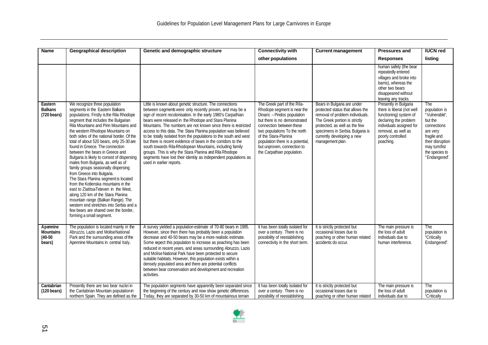| <b>Name</b>                                         | <b>Geographical description</b>                                                                                                                                                                                                                                                                                                                                                                                                                                                                                                                                                                                                                                                                                                                                                                                                                                               | Genetic and demographic structure                                                                                                                                                                                                                                                                                                                                                                                                                                                                                                                                                                                                                                                                                                            | <b>Connectivity with</b>                                                                                                                                                                                                                                                                                       | <b>Current management</b>                                                                                                                                                                                                                                  | <b>Pressures and</b>                                                                                                                                                                        | <b>IUCN red</b>                                                                                                                                                    |
|-----------------------------------------------------|-------------------------------------------------------------------------------------------------------------------------------------------------------------------------------------------------------------------------------------------------------------------------------------------------------------------------------------------------------------------------------------------------------------------------------------------------------------------------------------------------------------------------------------------------------------------------------------------------------------------------------------------------------------------------------------------------------------------------------------------------------------------------------------------------------------------------------------------------------------------------------|----------------------------------------------------------------------------------------------------------------------------------------------------------------------------------------------------------------------------------------------------------------------------------------------------------------------------------------------------------------------------------------------------------------------------------------------------------------------------------------------------------------------------------------------------------------------------------------------------------------------------------------------------------------------------------------------------------------------------------------------|----------------------------------------------------------------------------------------------------------------------------------------------------------------------------------------------------------------------------------------------------------------------------------------------------------------|------------------------------------------------------------------------------------------------------------------------------------------------------------------------------------------------------------------------------------------------------------|---------------------------------------------------------------------------------------------------------------------------------------------------------------------------------------------|--------------------------------------------------------------------------------------------------------------------------------------------------------------------|
|                                                     |                                                                                                                                                                                                                                                                                                                                                                                                                                                                                                                                                                                                                                                                                                                                                                                                                                                                               |                                                                                                                                                                                                                                                                                                                                                                                                                                                                                                                                                                                                                                                                                                                                              | other populations                                                                                                                                                                                                                                                                                              |                                                                                                                                                                                                                                                            | <b>Responses</b>                                                                                                                                                                            | listing                                                                                                                                                            |
|                                                     |                                                                                                                                                                                                                                                                                                                                                                                                                                                                                                                                                                                                                                                                                                                                                                                                                                                                               |                                                                                                                                                                                                                                                                                                                                                                                                                                                                                                                                                                                                                                                                                                                                              |                                                                                                                                                                                                                                                                                                                |                                                                                                                                                                                                                                                            | human safety (the bear<br>repeatedly entered<br>villages and broke into<br>barns), whereas the<br>other two bears<br>disappeared without<br>leaving any tracks.                             |                                                                                                                                                                    |
| Eastern<br><b>Balkans</b><br>$(720 \text{ bears})$  | We recognize three population<br>segments in the Eastern Balkans<br>populations. Firstly is the Rila Rhodope<br>segment that includes the Bulgarian<br>Rila Mountains and Pirin Mountains and<br>the western Rhodope Mountains on<br>both sides of the national border. Of the<br>total of about 520 bears, only 25-30 are<br>found in Greece. The connection<br>between the bears in Greece and<br>Bulgaria is likely to consist of dispersing<br>males from Bulgaria, as well as of<br>family groups seasonally dispersing<br>from Greece into Bulgaria.<br>The Stara Planina segment is located<br>from the Kotlenska mountains in the<br>east to Zlatitsa-Teteven in the West,<br>along 120 km of the Stara Planina<br>mountain range (Balkan Range). The<br>western end stretches into Serbia and a<br>few bears are shared over the border.<br>forming a small segment. | Little is known about genetic structure. The connections<br>between segments were only recently proven, and may be a<br>sign of recent recolonisation. In the early 1980's Carpathian<br>bears were released in the Rhodope and Stara Planina<br>Mountains. The numbers are not known since there is restricted<br>access to this data. The Stara Planina population was believed<br>to be totally isolated from the populations to the south and west<br>but there is recent evidence of bears in the corridors to the<br>south towards Rila-Rhodopean Mountains, including family<br>groups. This is why the Stara Planina and Rila Rhodope<br>segments have lost their identity as independent populations as<br>used in earlier reports. | The Greek part of the Rila-<br>Rhodope segment is near the<br>Dinaric - Pindos population<br>but there is no demonstrated<br>connection between these<br>two populations To the north<br>of the Stara-Planina<br>population there is a potential,<br>but unproven, connection to<br>the Carpathian population. | Bears in Bulgaria are under<br>protected status that allows the<br>removal of problem individuals.<br>The Greek portion is strictly<br>protected, as well as the few<br>specimens in Serbia. Bulgaria is<br>currently developing a new<br>management plan. | Presently in Bulgaria<br>there is liberal (not well<br>functioning) system of<br>declaring the problem<br>individuals assigned for<br>removal, as well as<br>poorly controlled<br>poaching. | The<br>population is<br>"Vulnerable".<br>but the<br>connections<br>are very<br>fragile and<br>their disruption<br>may turn/list<br>the species to<br>"Endangered". |
| Apennine<br><b>Mountains</b><br>$(40-50)$<br>bears) | The population is located mainly in the<br>Abruzzo, Lazio and MoliseNational<br>Park and the surrounding areas of the<br>Apennine Mountains in central Italy.                                                                                                                                                                                                                                                                                                                                                                                                                                                                                                                                                                                                                                                                                                                 | A survey yielded a population estimate of 70-80 bears in 1985.<br>However, since then there has probably been a population<br>decrease and 40-50 bears may be a more realistic estimate.<br>Some expect this population to increase as poaching has been<br>reduced in recent years, and areas surrounding Abruzzo, Lazio<br>and Molise National Park have been protected to secure<br>suitable habitats. However, this population exists within a<br>densely populated area and there are potential conflicts<br>between bear conservation and development and recreation<br>activities.                                                                                                                                                    | It has been totally isolated for<br>over a century. There is no<br>possibility of reestablishing<br>connectivity in the short term.                                                                                                                                                                            | It is strictly protected but<br>occasional losses due to<br>poaching or other human related<br>accidents do occur.                                                                                                                                         | The main pressure is<br>the loss of adult<br>individuals due to<br>human interference.                                                                                                      | The<br>population is<br>"Critically<br>Endangered".                                                                                                                |
| Cantabrian<br>$(120 \text{ bears})$                 | Presently there are two bear nuclei in<br>the Cantabrian Mountain population in<br>northern Spain. They are defined as the                                                                                                                                                                                                                                                                                                                                                                                                                                                                                                                                                                                                                                                                                                                                                    | The population segments have apparently been separated since<br>the beginning of the century and now show genetic differences.<br>Today, they are separated by 30-50 km of mountainous terrain                                                                                                                                                                                                                                                                                                                                                                                                                                                                                                                                               | It has been totally isolated for<br>over a century. There is no<br>possibility of reestablishing                                                                                                                                                                                                               | It is strictly protected but<br>occasional losses due to<br>poaching or other human related                                                                                                                                                                | The main pressure is<br>the loss of adult<br>individuals due to                                                                                                                             | <b>The</b><br>population is<br>"Critically                                                                                                                         |

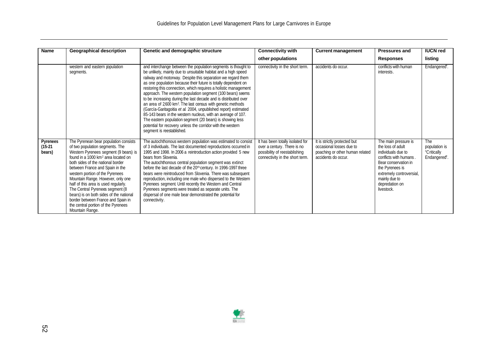| <b>Name</b>                     | <b>Geographical description</b>                                                                                                                                                                                                                                                                                                                                                                                                                                                                                                            | Genetic and demographic structure                                                                                                                                                                                                                                                                                                                                                                                                                                                                                                                                                                                                                                                                                                                                                                                                           | <b>Connectivity with</b>                                                                                                            | <b>Current management</b>                                                                                          | <b>Pressures and</b>                                                                                                                                                                                             | <b>IUCN red</b>                                            |
|---------------------------------|--------------------------------------------------------------------------------------------------------------------------------------------------------------------------------------------------------------------------------------------------------------------------------------------------------------------------------------------------------------------------------------------------------------------------------------------------------------------------------------------------------------------------------------------|---------------------------------------------------------------------------------------------------------------------------------------------------------------------------------------------------------------------------------------------------------------------------------------------------------------------------------------------------------------------------------------------------------------------------------------------------------------------------------------------------------------------------------------------------------------------------------------------------------------------------------------------------------------------------------------------------------------------------------------------------------------------------------------------------------------------------------------------|-------------------------------------------------------------------------------------------------------------------------------------|--------------------------------------------------------------------------------------------------------------------|------------------------------------------------------------------------------------------------------------------------------------------------------------------------------------------------------------------|------------------------------------------------------------|
|                                 |                                                                                                                                                                                                                                                                                                                                                                                                                                                                                                                                            |                                                                                                                                                                                                                                                                                                                                                                                                                                                                                                                                                                                                                                                                                                                                                                                                                                             | other populations                                                                                                                   |                                                                                                                    | <b>Responses</b>                                                                                                                                                                                                 | listing                                                    |
|                                 | western and eastern population<br>segments.                                                                                                                                                                                                                                                                                                                                                                                                                                                                                                | and interchange between the population segments is thought to<br>be unlikely, mainly due to unsuitable habitat and a high speed<br>railway and motorway. Despite this separation we regard them<br>as one population because their future is totally dependent on<br>restoring this connection, which requires a holistic management<br>approach. The western population segment (100 bears) seems<br>to be increasing during the last decade and is distributed over<br>an area of 2600 km <sup>2</sup> . The last census with genetic methods<br>(García-Garitagoitia et al. 2004, unpublished report) estimated<br>85-143 bears in the western nucleus, with an average of 107.<br>The eastern population segment (20 bears) is showing less<br>potential for recovery unless the corridor with the western<br>segment is reestablished. | connectivity in the short term.                                                                                                     | accidents do occur.                                                                                                | conflicts with human<br>interests.                                                                                                                                                                               | Endangered".                                               |
| Pyrenees<br>$(15-21)$<br>bears) | The Pyrenean bear population consists<br>of two population segments. The<br>Western Pyrenees segment (9 bears) is<br>found in a 1000 km <sup>2</sup> area located on<br>both sides of the national border<br>between France and Spain in the<br>western portion of the Pyrenees<br>Mountain Range. However, only one<br>half of this area is used regularly.<br>The Central Pyrenees segment (8<br>bears) is on both sides of the national<br>border between France and Spain in<br>the central portion of the Pyrenees<br>Mountain Range. | The autochthonous western population was estimated to consist<br>of 3 individuals. The last documented reproductions occurred in<br>1995 and 1998. In 2006 a reintroduction action provided 5 new<br>bears from Slovenia.<br>The autochthonous central population segment was extinct<br>before the last decade of the 20 <sup>th</sup> century. In 1996-1997 three<br>bears were reintroduced from Slovenia. There was subsequent<br>reproduction, including one male who dispersed to the Western<br>Pyrenees segment. Until recently the Western and Central<br>Pyrenees segments were treated as separate units. The<br>dispersal of one male bear demonstrated the potential for<br>connectivity.                                                                                                                                      | It has been totally isolated for<br>over a century. There is no<br>possibility of reestablishing<br>connectivity in the short term. | It is strictly protected but<br>occasional losses due to<br>poaching or other human related<br>accidents do occur. | The main pressure is<br>the loss of adult<br>individuals due to<br>conflicts with humans<br>Bear conservation in<br>the Pyrenees is<br>extremely controversial,<br>mainly due to<br>depredation on<br>livestock. | <b>The</b><br>population is<br>"Critically<br>Endangered". |

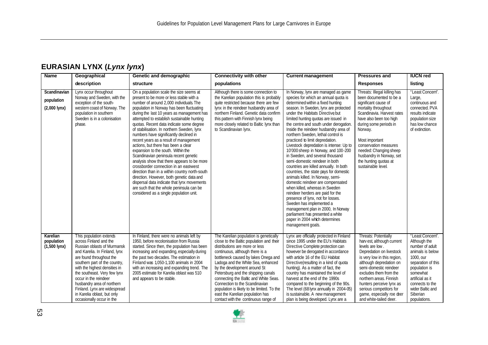### **EURASIAN LYNX (***Lynx lynx***)**

| <b>Name</b>                                  | Geographical                                                                                                                                                                                                                                                                                                                                                                                       | Genetic and demographic                                                                                                                                                                                                                                                                                                                                                                                                                                                                                                                                                                                                                                                                                                                                                                                                                                                                                   | <b>Connectivity with other</b>                                                                                                                                                                                                                                                                                                                                                                                                                                                                                   | <b>Current management</b>                                                                                                                                                                                                                                                                                                                                                                                                                                                                                                                                                                                                                                                                                                                                                                                                                                                                                                                                                                      | <b>Pressures and</b>                                                                                                                                                                                                                                                                                                                                     | <b>IUCN red</b>                                                                                                                                                                                                                |
|----------------------------------------------|----------------------------------------------------------------------------------------------------------------------------------------------------------------------------------------------------------------------------------------------------------------------------------------------------------------------------------------------------------------------------------------------------|-----------------------------------------------------------------------------------------------------------------------------------------------------------------------------------------------------------------------------------------------------------------------------------------------------------------------------------------------------------------------------------------------------------------------------------------------------------------------------------------------------------------------------------------------------------------------------------------------------------------------------------------------------------------------------------------------------------------------------------------------------------------------------------------------------------------------------------------------------------------------------------------------------------|------------------------------------------------------------------------------------------------------------------------------------------------------------------------------------------------------------------------------------------------------------------------------------------------------------------------------------------------------------------------------------------------------------------------------------------------------------------------------------------------------------------|------------------------------------------------------------------------------------------------------------------------------------------------------------------------------------------------------------------------------------------------------------------------------------------------------------------------------------------------------------------------------------------------------------------------------------------------------------------------------------------------------------------------------------------------------------------------------------------------------------------------------------------------------------------------------------------------------------------------------------------------------------------------------------------------------------------------------------------------------------------------------------------------------------------------------------------------------------------------------------------------|----------------------------------------------------------------------------------------------------------------------------------------------------------------------------------------------------------------------------------------------------------------------------------------------------------------------------------------------------------|--------------------------------------------------------------------------------------------------------------------------------------------------------------------------------------------------------------------------------|
|                                              | description                                                                                                                                                                                                                                                                                                                                                                                        | structure                                                                                                                                                                                                                                                                                                                                                                                                                                                                                                                                                                                                                                                                                                                                                                                                                                                                                                 | populations                                                                                                                                                                                                                                                                                                                                                                                                                                                                                                      |                                                                                                                                                                                                                                                                                                                                                                                                                                                                                                                                                                                                                                                                                                                                                                                                                                                                                                                                                                                                | <b>Responses</b>                                                                                                                                                                                                                                                                                                                                         | listing                                                                                                                                                                                                                        |
| Scandinavian<br>population<br>$(2,000$ lynx) | Lynx occur throughout<br>Norway and Sweden, with the<br>exception of the south-<br>western coast of Norway. The<br>population in southern<br>Sweden is in a colonisation<br>phase.                                                                                                                                                                                                                 | On a population scale the size seems at<br>present to be more or less stable with a<br>number of around 2,000 individuals. The<br>population in Norway has been fluctuating<br>during the last 10 years as management has<br>attempted to establish sustainable hunting<br>quotas. Recent data indicate some degree<br>of stabilisation. In northern Sweden, Iynx<br>numbers have significantly declined in<br>recent years as a result of management<br>actions, but there has been a clear<br>expansion to the south. Within the<br>Scandinavian peninsula recent genetic<br>analysis show that there appears to be more<br>crossborder connection in an east-west<br>direction than in a within country north-south<br>direction. However, both genetic data and<br>dispersal data indicate that lynx movements<br>are such that the whole peninsula can be<br>considered as a single population unit. | Although there is some connection to<br>the Karelian population this is probably<br>quite restricted because there are few<br>lynx in the reindeer husbandry area of<br>northern Finland. Genetic data confirm<br>this pattern with Finnish lynx being<br>more closely related to Baltic Iynx than<br>to Scandinavian Iynx.                                                                                                                                                                                      | In Norway, lynx are managed as game<br>species for which an annual quota is<br>determined within a fixed hunting<br>season. In Sweden, lynx are protected<br>under the Habitats Directive but<br>limited hunting quotas are issued in<br>the centre and south under derogation.<br>Inside the reindeer husbandry area of<br>northern Sweden, lethal control is<br>practiced to limit depredation.<br>Livestock depredation is intense: Up to<br>10'000 sheep in Norway, and 100-200<br>in Sweden, and several thousand<br>semi-domestic reindeer in both<br>countries are killed annually. In both<br>countries, the state pays for domestic<br>animals killed. In Norway, semi-<br>domestic reindeer are compensated<br>when killed, whereas in Sweden<br>reindeer herders are paid for the<br>presence of lynx, not for losses.<br>Sweden has implemented a<br>management plan in 2000, In Norway<br>parliament has presented a white<br>paper in 2004 which determines<br>management goals. | Threats: Illegal killing has<br>been documented to be a<br>significant cause of<br>mortality throughout<br>Scandinavia. Harvest rates<br>have also been too high<br>during some periods in<br>Norway.<br>Most important<br>conservation measures<br>needed: Changing sheep<br>husbandry in Norway, set<br>the hunting quotas at<br>sustainable level.    | "Least Concern".<br>Large,<br>continuous and<br>connected. PVA<br>results indicate<br>population size<br>has low chance<br>of extinction.                                                                                      |
| Karelian<br>population<br>$(1,500$ lynx)     | This population extends<br>across Finland and the<br>Russian oblasts of Murmansk<br>and Karelia. In Finland, lynx<br>are found throughout the<br>southern part of the country,<br>with the highest densities in<br>the southeast. Very few lynx<br>occur in the reindeer<br>husbandry area of northern<br>Finland. Lynx are widespread<br>in Karelia oblast, but only<br>occasionally occur in the | In Finland, there were no animals left by<br>1950, before recolonisation from Russia<br>started. Since then, the population has been<br>increasing and expanding, especially during<br>the past two decades. The estimation in<br>Finland was 1.050-1.100 animals in 2004<br>with an increasing and expanding trend. The<br>2005 estimate for Karelia oblast was 510<br>and appears to be stable.                                                                                                                                                                                                                                                                                                                                                                                                                                                                                                         | The Karelian population is genetically<br>close to the Baltic population and their<br>distributions are more or less<br>continuous, although there is a<br>bottleneck caused by lakes Onega and<br>Ladoga and the White Sea, enhanced<br>by the development around St<br>Petersburg and the shipping canals<br>connecting the Baltic and White Seas.<br>Connection to the Scandinavian<br>population is likely to be limited. To the<br>east the Karelian population has<br>contact with the continuous range of | Lynx are officially protected in Finland<br>since 1995 under the EU's Habitats<br>Directive Complete protection can<br>however be derogated in accordance<br>with article 16 of the EU Habitat<br>Directive (resulting in a kind of guota<br>hunting). As a matter of fact, the<br>country has maintained the level of<br>harvest at the end of the 1990s<br>compared to the beginning of the 90s.<br>The level (68 lynx annually in 2004-05)<br>is sustainable. A new management<br>plan is being developed. Lynx are a                                                                                                                                                                                                                                                                                                                                                                                                                                                                       | Threats: Potentially<br>harv est, although current<br>levels are low.<br>Depredation on livestock<br>is very low in this region,<br>although depredation on<br>semi-domestic reindeer<br>excludes them from the<br>northern areas. Finnish<br>hunters perceive lynx as<br>serious competitors for<br>game, especially roe deer<br>and white-tailed deer. | "Least Concern".<br>Although the<br>number of adult<br>animals is below<br>1000, our<br>separation of this<br>population is<br>somewhat<br>artificial as it<br>connects to the<br>wider Baltic and<br>Siberian<br>populations. |

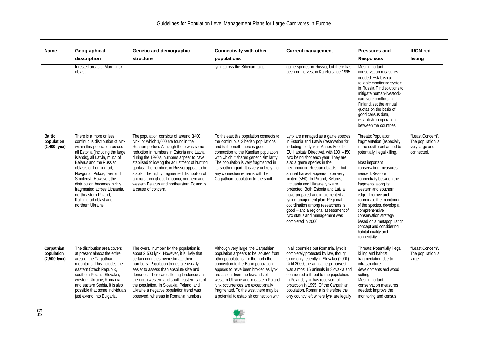| Name                                                  | Geographical                                                                                                                                                                                                                                                                                                                                                                                                       | Genetic and demographic                                                                                                                                                                                                                                                                                                                                                                                                                                                                    | <b>Connectivity with other</b>                                                                                                                                                                                                                                                                                                                                                                            | <b>Current management</b>                                                                                                                                                                                                                                                                                                                                                                                                                                                                                                                                                                                                              | <b>Pressures and</b>                                                                                                                                                                                                                                                                                                                                                                                                                                                            | <b>IUCN red</b>                                                       |
|-------------------------------------------------------|--------------------------------------------------------------------------------------------------------------------------------------------------------------------------------------------------------------------------------------------------------------------------------------------------------------------------------------------------------------------------------------------------------------------|--------------------------------------------------------------------------------------------------------------------------------------------------------------------------------------------------------------------------------------------------------------------------------------------------------------------------------------------------------------------------------------------------------------------------------------------------------------------------------------------|-----------------------------------------------------------------------------------------------------------------------------------------------------------------------------------------------------------------------------------------------------------------------------------------------------------------------------------------------------------------------------------------------------------|----------------------------------------------------------------------------------------------------------------------------------------------------------------------------------------------------------------------------------------------------------------------------------------------------------------------------------------------------------------------------------------------------------------------------------------------------------------------------------------------------------------------------------------------------------------------------------------------------------------------------------------|---------------------------------------------------------------------------------------------------------------------------------------------------------------------------------------------------------------------------------------------------------------------------------------------------------------------------------------------------------------------------------------------------------------------------------------------------------------------------------|-----------------------------------------------------------------------|
|                                                       | description                                                                                                                                                                                                                                                                                                                                                                                                        | structure                                                                                                                                                                                                                                                                                                                                                                                                                                                                                  | populations                                                                                                                                                                                                                                                                                                                                                                                               |                                                                                                                                                                                                                                                                                                                                                                                                                                                                                                                                                                                                                                        | <b>Responses</b>                                                                                                                                                                                                                                                                                                                                                                                                                                                                | listing                                                               |
|                                                       | forested areas of Murmansk<br>oblast.                                                                                                                                                                                                                                                                                                                                                                              |                                                                                                                                                                                                                                                                                                                                                                                                                                                                                            | lynx across the Siberian taiga.                                                                                                                                                                                                                                                                                                                                                                           | game species in Russia, but there has<br>been no harvest in Karelia since 1995.                                                                                                                                                                                                                                                                                                                                                                                                                                                                                                                                                        | Most important<br>conservation measures<br>needed: Establish a<br>reliable monitoring system<br>in Russia. Find solutions to<br>mitigate human-livestock-<br>carnivore conflicts in<br>Finland, set the annual<br>quotas on the basis of<br>good census data,<br>establish co-operation<br>between the countries                                                                                                                                                                |                                                                       |
| <b>Baltic</b><br>population<br>$(3,400 \text{ lynx})$ | There is a more or less<br>continuous distribution of lynx<br>within this population across<br>all Estonia (including the large<br>islands), all Latvia, much of<br>Belarus and the Russian<br>oblasts of Lenningrad,<br>Novgorod, Pskov, Tver and<br>Smolensk. However, the<br>distribution becomes highly<br>fragmented across Lithuania,<br>northeastern Poland.<br>Kaliningrad oblast and<br>northern Ukraine. | The population consists of around 3400<br>lynx, or which 1,600 are found in the<br>Russian portion. Although there was some<br>reduction in numbers in Estonia and Latvia<br>during the 1990's, numbers appear to have<br>stabilised following the adjustment of hunting<br>quotas. The numbers in Russia appear to be<br>stable. The highly fragmented distribution of<br>animals throughout Lithuania, northern and<br>western Belarus and northeastern Poland is<br>a cause of concern. | To the east this population connects to<br>the continuous Siberian populations,<br>and to the north there is good<br>connection to the Karelian population,<br>with which it shares genetic similarity.<br>The population is very fragmented in<br>its southern part. It is very unlikely that<br>any connection remains with the<br>Carpathian population to the south.                                  | Lynx are managed as a game species<br>in Estonia and Latvia (reservation for<br>including the Iynx in Annex IV of the<br>EU Habitats Directive), with 100 - 150<br>lynx being shot each year. They are<br>also a game species in the<br>neighbouring Russian oblasts - but<br>annual harvest appears to be very<br>limited (<50). In Poland, Belarus,<br>Lithuania and Ukraine lynx are<br>protected. Both Estonia and Latvia<br>have prepared and implemented a<br>lynx management plan. Regional<br>coordination among researchers is<br>good - and a regional assessment of<br>lynx status and management was<br>completed in 2006. | Threats: Population<br>fragmentation (especially<br>in the south) enhanced by<br>potentially illegal killing.<br>Most important<br>conservation measures<br>needed: Restore<br>connectivity between the<br>fragments along its<br>western and southern<br>edge. Improve and<br>coordinate the monitoring<br>of the species, develop a<br>comprehensive<br>conservation strategy<br>based on a metapopulation<br>concept and considering<br>habitat quality and<br>connectivity. | "Least Concern".<br>The population is<br>very large and<br>connected. |
| Carpathian<br>population<br>$(2,500$ lynx)            | The distribution area covers<br>at present almost the entire<br>area of the Carpathian<br>mountains. This includes the<br>eastern Czech Republic,<br>southern Poland, Slovakia,<br>western Ukraine, Romania<br>and eastern Serbia. It is also<br>possible that some individuals<br>just extend into Bulgaria                                                                                                       | The overall number for the population is<br>about 2,500 lynx. However, it is likely that<br>certain countries overestimate their<br>numbers. Population trends are usually<br>easier to assess than absolute size and<br>densities. There are differing tendencies in<br>the north-western and south-eastern part of<br>the population. In Slovakia, Poland, and<br>Ukraine a negative population trend was<br>observed, whereas in Romania numbers                                        | Although very large, the Carpathian<br>population appears to be isolated from<br>other populations. To the north the<br>connection to the Baltic population<br>appears to have been brok en as lynx<br>are absent from the lowlands of<br>western Ukraine and in eastern Poland<br>lynx occurrences are exceptionally<br>fragmented. To the west there may be<br>a potential to establish connection with | In all countries but Romania, lynx is<br>completely protected by law, though<br>since only recently in Slovakia (2001).<br>Until 2000, the annual legal harvest<br>was almost 15 animals in Slovakia and<br>considered a threat to the population.<br>In Poland, Iynx has received full<br>protection in 1995. Of the Carpathian<br>population, Romania is therefore the<br>only country left w here lynx are legally                                                                                                                                                                                                                  | Threats: Potentially illegal<br>killing and habitat<br>fragmentation due to<br>infrastructure<br>developments and wood<br>cutting.<br>Most important<br>conservation measures<br>needed: Improve the<br>monitoring and census                                                                                                                                                                                                                                                   | "Least Concern".<br>The population is<br>large.                       |

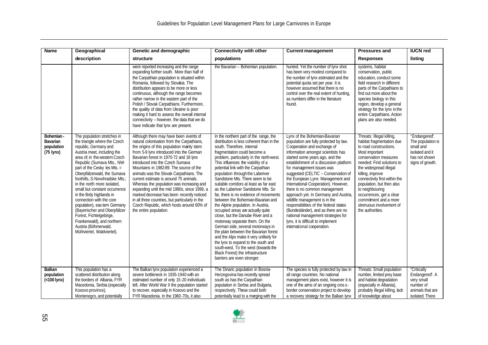| <b>Name</b>                                                 | Geographical                                                                                                                                                                                                                                                                                                                                                                                                                                                                                                                                                                                | Genetic and demographic                                                                                                                                                                                                                                                                                                                                                                                                                                                                                                                                                                                                                                          | <b>Connectivity with other</b>                                                                                                                                                                                                                                                                                                                                                                                                                                                                                                                                                                                                                                                                                                                                                                                                                                                                                                               | <b>Current management</b>                                                                                                                                                                                                                                                                                                                                                                                                                                                                                                                                                                                                                                                        | <b>Pressures and</b>                                                                                                                                                                                                                                                                                                                                                                         | <b>IUCN red</b>                                                                                         |
|-------------------------------------------------------------|---------------------------------------------------------------------------------------------------------------------------------------------------------------------------------------------------------------------------------------------------------------------------------------------------------------------------------------------------------------------------------------------------------------------------------------------------------------------------------------------------------------------------------------------------------------------------------------------|------------------------------------------------------------------------------------------------------------------------------------------------------------------------------------------------------------------------------------------------------------------------------------------------------------------------------------------------------------------------------------------------------------------------------------------------------------------------------------------------------------------------------------------------------------------------------------------------------------------------------------------------------------------|----------------------------------------------------------------------------------------------------------------------------------------------------------------------------------------------------------------------------------------------------------------------------------------------------------------------------------------------------------------------------------------------------------------------------------------------------------------------------------------------------------------------------------------------------------------------------------------------------------------------------------------------------------------------------------------------------------------------------------------------------------------------------------------------------------------------------------------------------------------------------------------------------------------------------------------------|----------------------------------------------------------------------------------------------------------------------------------------------------------------------------------------------------------------------------------------------------------------------------------------------------------------------------------------------------------------------------------------------------------------------------------------------------------------------------------------------------------------------------------------------------------------------------------------------------------------------------------------------------------------------------------|----------------------------------------------------------------------------------------------------------------------------------------------------------------------------------------------------------------------------------------------------------------------------------------------------------------------------------------------------------------------------------------------|---------------------------------------------------------------------------------------------------------|
|                                                             | description                                                                                                                                                                                                                                                                                                                                                                                                                                                                                                                                                                                 | structure                                                                                                                                                                                                                                                                                                                                                                                                                                                                                                                                                                                                                                                        | populations                                                                                                                                                                                                                                                                                                                                                                                                                                                                                                                                                                                                                                                                                                                                                                                                                                                                                                                                  |                                                                                                                                                                                                                                                                                                                                                                                                                                                                                                                                                                                                                                                                                  | <b>Responses</b>                                                                                                                                                                                                                                                                                                                                                                             | listing                                                                                                 |
|                                                             |                                                                                                                                                                                                                                                                                                                                                                                                                                                                                                                                                                                             | were reported increasing and the range<br>expanding further south. More than half of<br>the Carpathian population is situated within<br>Romania, followed by Slovakia. The<br>distribution appears to be more or less<br>continuous, although the range becomes<br>rather narrow in the eastern part of the<br>Polish / Slovak Carpathians. Furthermore,<br>the quality of data from Ukraine is poor<br>making it hard to assess the overall internal<br>connectivity - however, the data that we do<br>have indicate that lynx are present.                                                                                                                     | the Bavarian - Bohemian population.                                                                                                                                                                                                                                                                                                                                                                                                                                                                                                                                                                                                                                                                                                                                                                                                                                                                                                          | hunted. Yet the number of lynx shot<br>has been very modest compared to<br>the number of lynx estimated and the<br>potential quota set per year. It is<br>however assumed that there is no<br>control over the real extent of hunting,<br>as numbers differ in the literature<br>found.                                                                                                                                                                                                                                                                                                                                                                                          | systems, habitat<br>conservation, public<br>education, conduct some<br>field research in different<br>parts of the Carpathians to<br>find out more about the<br>species biology in this<br>region, develop a general<br>strategy for the lynx in the<br>entire Carpathians. Action<br>plans are also needed.                                                                                 |                                                                                                         |
| Bohemian -<br>Bavarian<br>population<br>$(75 \text{ lynx})$ | The population stretches in<br>the triangle where the Czech<br>republic, Germany and<br>Austria meet, including the<br>area of; in the western Czech<br>Republic (Sumava Mts., NW-<br>part of the Cesky les Mts. =<br>Oberpfälzerwald, the Sumava<br>foothills. S-Novohradske Mts.:<br>in the north more isolated.<br>small but constant occurrence<br>in the Brdy highlands in<br>connection with the core<br>population), eas tern Germany<br>(Bayerischer and Oberpfälzer<br>Forest, Fichtelgebirge,<br>Frankenwald), and northern<br>Austria (Böhmerwald,<br>Mühlviertel, Waldviertel). | Although there may have been events of<br>natural colonisation from the Carpathians,<br>the origins of this population mainly stem<br>from 5-9 lynx introduced into the German<br>Bavarian forest in 1970-72 and 18 lynx<br>introduced into the Czech Sumava<br>Mountains in 1982-89. The source of the<br>animals was the Slovak Carpathians. The<br>current estimate is around 75 animals.<br>Whereas the population was increasing and<br>expanding until the mid 1990s, since 1999, a<br>marked decrease has been recently noticed<br>in all three countries, but particularly in the<br>Czech Republic, which hosts around 60% of<br>the entire population. | In the northern part of the range, the<br>distribution is less coherent than in the<br>south. Therefore, internal<br>fragmentation could become a<br>problem, particularly in the north-west.<br>This influences the viability of a<br>potential link with the Carpathian<br>population through the Laberiver<br>Sandstone Mts. There seem to be<br>suitable corridors at least as far east<br>as the Laberiver Sandstone Mts. So<br>far, there is no evidence of movements<br>between the Bohemian-Bavarian and<br>the Alpine population. In Austria,<br>occupied areas are actually quite<br>close, but the Danube River and a<br>motorway separate them. On the<br>German side, several motorways in<br>the plain between the Bavarian forest<br>and the Alps make it very unlikely for<br>the lynx to expand to the south and<br>south-west. To the west (towards the<br>Black Forest) the infrastructure<br>barriers are even stronger. | Lynx of the Bohemian-Bavarian<br>population are fully protected by law.<br>Cooperation and exchange of<br>information amongst scientists has<br>started some years ago, and the<br>establishment of a discussion platform<br>for management issues was<br>suggested (CELTIC - Conservation of<br>the European Lynx: Management and<br>International Cooperation). However,<br>there is no common management<br>approach yet. In Germany and Austria,<br>wildlife management is in the<br>responsibilities of the federal states<br>(Bundesländer), and as there are no<br>national management strategies for<br>lynx, it is difficult to implement<br>international cooperation. | Threats: Illegal killing,<br>habitat fragmentation due<br>to road constructions.<br>Most important<br>conservation measures<br>needed: Find solutions to<br>the widespread illegal<br>killing, improve<br>connectivity first within the<br>population, but then also<br>to neighbouring<br>occurrences, get a clear<br>commitment and a more<br>strenuous involvement of<br>the authorities. | "Endangered".<br>The population is<br>small and<br>isolated and it<br>has not shown<br>signs of growth. |
| <b>Balkan</b><br>population<br>$(<$ 100 lynx)               | This population has a<br>scattered distribution along<br>the borders of Albania, FYR<br>Macedonia, Serbia (especially<br>Kosovo province),<br>Montenegro, and potentially                                                                                                                                                                                                                                                                                                                                                                                                                   | The Balkan lynx population experienced a<br>severe bottleneck in 1935-1940 with an<br>estimated number of only 15-20 individuals<br>left. After World War II the population started<br>to recover, especially in Kosovo and the<br>FYR Macedonia. In the 1960-70s, it also                                                                                                                                                                                                                                                                                                                                                                                       | The Dinaric population in Bosnia-<br>Herzegovina has recently spread<br>south as has the Carpathian<br>population in Serbia and Bulgaria,<br>respectively. These could both<br>potentially lead to a merging with the                                                                                                                                                                                                                                                                                                                                                                                                                                                                                                                                                                                                                                                                                                                        | The species is fully protected by law in<br>all range countries. No national<br>management plans exist, however it is<br>one of the aims of an ongoing cross-<br>border conservation project to develop<br>a recovery strategy for the Balkan lynx                                                                                                                                                                                                                                                                                                                                                                                                                               | Threats: Small population<br>number, limited prey base<br>and habitat degradation<br>(especially in Albania),<br>probably illegal killing, lack<br>of knowledge about                                                                                                                                                                                                                        | "Critically<br>Endangered". A<br>very small<br>number of<br>animals that are<br>isolated. There         |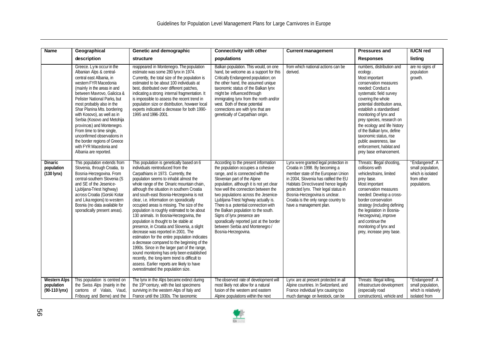| <b>Name</b>                                          | Geographical                                                                                                                                                                                                                                                                                                                                                                                                                                                                                                    | Genetic and demographic                                                                                                                                                                                                                                                                                                                                                                                                                                                                                                                                                                                                                                                                                                                                                                                                                                                                                                                                       | <b>Connectivity with other</b>                                                                                                                                                                                                                                                                                                                                                                                                                                                                                                        | <b>Current management</b>                                                                                                                                                                                                                                                                                                                   | <b>Pressures and</b>                                                                                                                                                                                                                                                                                                                                                                                                                             | <b>IUCN red</b>                                                                         |
|------------------------------------------------------|-----------------------------------------------------------------------------------------------------------------------------------------------------------------------------------------------------------------------------------------------------------------------------------------------------------------------------------------------------------------------------------------------------------------------------------------------------------------------------------------------------------------|---------------------------------------------------------------------------------------------------------------------------------------------------------------------------------------------------------------------------------------------------------------------------------------------------------------------------------------------------------------------------------------------------------------------------------------------------------------------------------------------------------------------------------------------------------------------------------------------------------------------------------------------------------------------------------------------------------------------------------------------------------------------------------------------------------------------------------------------------------------------------------------------------------------------------------------------------------------|---------------------------------------------------------------------------------------------------------------------------------------------------------------------------------------------------------------------------------------------------------------------------------------------------------------------------------------------------------------------------------------------------------------------------------------------------------------------------------------------------------------------------------------|---------------------------------------------------------------------------------------------------------------------------------------------------------------------------------------------------------------------------------------------------------------------------------------------------------------------------------------------|--------------------------------------------------------------------------------------------------------------------------------------------------------------------------------------------------------------------------------------------------------------------------------------------------------------------------------------------------------------------------------------------------------------------------------------------------|-----------------------------------------------------------------------------------------|
|                                                      | description                                                                                                                                                                                                                                                                                                                                                                                                                                                                                                     | structure                                                                                                                                                                                                                                                                                                                                                                                                                                                                                                                                                                                                                                                                                                                                                                                                                                                                                                                                                     | populations                                                                                                                                                                                                                                                                                                                                                                                                                                                                                                                           |                                                                                                                                                                                                                                                                                                                                             | <b>Responses</b>                                                                                                                                                                                                                                                                                                                                                                                                                                 | listing                                                                                 |
|                                                      | Greece. Lynx occur in the<br>Albanian Alps & central-<br>central east Albania, in<br>western FYR Macedonia<br>(mainly in the areas in and<br>between Mavrovo, Galicica &<br>Pelister National Parks, but<br>most probably also in the<br>Shar Planina Mts. bordering<br>with Kosovo), as well as in<br>Serbia (Kosovo and Metohija<br>provinces) and Montenegro.<br>From time to time single,<br>unconfirmed observations in<br>the border regions of Greece<br>with FYR Macedonia and<br>Albania are reported. | reappeared in Montenegro. The population<br>estimate was some 280 lynx in 1974.<br>Currently, the total size of the population is<br>estimated to be about 100 individuals at<br>best, distributed over different patches,<br>indicating a strong internal fragmentation. It<br>is impossible to assess the recent trend in<br>population size or distribution, however local<br>experts indicated a decrease for both 1990-<br>1995 and 1996-2001.                                                                                                                                                                                                                                                                                                                                                                                                                                                                                                           | Balkan population. This would, on one<br>hand, be welcome as a support for this<br>Critically Endangered population; on<br>the other hand, the assumed unique<br>taxonomic status of the Balkan lynx<br>might be influenced through<br>immigrating lynx from the north and/or<br>west. Both of these potential<br>connections are with lynx that are<br>genetically of Carpathian origin.                                                                                                                                             | from which national actions can be<br>derived.                                                                                                                                                                                                                                                                                              | numbers, distribution and<br>ecology.<br>Most important<br>conservation measures<br>needed: Conduct a<br>systematic field survey<br>covering the whole<br>potential distribution area,<br>establish a standardised<br>monitoring of lynx and<br>prey species, research on<br>the ecology and life history<br>of the Balkan Iynx, define<br>taxonomic status, rise<br>public awareness, law<br>enforcement, habitat and<br>prey base enhancement. | are no signs of<br>population<br>growth.                                                |
| <b>Dinaric</b><br>population<br>$(130 \text{ lynx})$ | This population extends from<br>Slovenia, through Croatia, to<br>Bosnia-Herzegovina. From<br>central-southern Slovenia (S<br>and SE of the Jesenice-<br>Ljubljana-Triest highway)<br>across Croatia (Gorski Kotar<br>and Lika regions) to western<br>Bosnia (no data available for<br>sporadically present areas).                                                                                                                                                                                              | This population is genetically based on 6<br>individuals reintroduced from the<br>Carpathians in 1973. Currently, the<br>population seems to inhabit almost the<br>whole range of the Dinaric mountain chain,<br>although the situation in southern Croatia<br>and south-east Bosnia-Herzegovina is not<br>clear, i.e. information on sporadically<br>occupied areas is missing. The size of the<br>population is roughly estimated to be about<br>130 animals. In Bosnia-Herzegovina, the<br>population is thought to be stable at<br>presence, in Croatia and Slovenia, a slight<br>decrease was reported in 2001. The<br>estimation for the entire population indicates<br>a decrease compared to the beginning of the<br>1990s. Since in the larger part of the range,<br>sound monitoring has only been established<br>recently, the long-term trend is difficult to<br>assess. Earlier reports are likely to have<br>overestimated the population size. | According to the present information<br>the population occupies a cohesive<br>range, and is connected with the<br>Slovenian part of the Alpine<br>population, although it is not yet clear<br>how well the connection between the<br>two populations across the Jesenice-<br>Ljubljana-Triest highway actually is.<br>There is a potential connection with<br>the Balkan population to the south.<br>Signs of Iynx presence are<br>sporadically reported just at the border<br>between Serbia and Montenegro /<br>Bosnia-Herzegovina. | Lynx were granted legal protection in<br>Croatia in 1998. By becoming a<br>member state of the European Union<br>in 2004, Slovenia has ratified the EU<br>Habitats Directiveand hence legally<br>protected lynx. Their legal status in<br>Bosnia-Herzegovina is unclear.<br>Croatia is the only range country to<br>have a management plan. | Threats: Illegal shooting,<br>collisions with<br>vehicles/trains, limited<br>prey base.<br>Most important<br>conservation measures<br>needed: Develop a cross-<br>border conservation<br>strategy (including defining<br>the legislation in Bosnia-<br>Herzegovina), improve<br>and continue the<br>monitoring of lynx and<br>prey, increase prey base.                                                                                          | "Endangered". A<br>small population,<br>which is isolated<br>from other<br>populations. |
| <b>Western Alps</b><br>population<br>(90-110 lynx)   | This population is centred on<br>the Swiss Alps (mainly in the<br>cantons of Valais, Vaud,<br>Fribourg and Berne) and the                                                                                                                                                                                                                                                                                                                                                                                       | The Iynx in the Alps became extinct during<br>the 19th century, with the last specimens<br>surviving in the western Alps of Italy and<br>France until the 1930s. The taxonomic                                                                                                                                                                                                                                                                                                                                                                                                                                                                                                                                                                                                                                                                                                                                                                                | The observed rate of development will<br>most likely not allow for a natural<br>fusion of the western and eastern<br>Alpine populations within the next                                                                                                                                                                                                                                                                                                                                                                               | Lynx are at present protected in all<br>Alpine countries. In Switzerland, and<br>France individual lynx causing too<br>much damage on livestock, can be                                                                                                                                                                                     | Threats: Illegal killing,<br>infrastructure development<br>(especially road<br>constructions), vehicle and                                                                                                                                                                                                                                                                                                                                       | "Endangered". A<br>small population,<br>which is relatively<br>isolated from            |

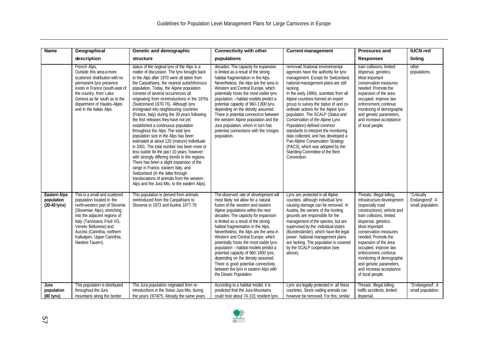| <b>Name</b>                                                 | Geographical                                                                                                                                                                                                                                                                                              | Genetic and demographic                                                                                                                                                                                                                                                                                                                                                                                                                                                                                                                                                                                                                                                                                                                                                                                                                                                                                                                                                                                                                           | <b>Connectivity with other</b>                                                                                                                                                                                                                                                                                                                                                                                                                                                                                                                                                                                                          | <b>Current management</b>                                                                                                                                                                                                                                                                                                                                                                                                                                                                                                                                                                                                                        | <b>Pressures and</b>                                                                                                                                                                                                                                                                                                                                                                                                | <b>IUCN red</b>                                    |
|-------------------------------------------------------------|-----------------------------------------------------------------------------------------------------------------------------------------------------------------------------------------------------------------------------------------------------------------------------------------------------------|---------------------------------------------------------------------------------------------------------------------------------------------------------------------------------------------------------------------------------------------------------------------------------------------------------------------------------------------------------------------------------------------------------------------------------------------------------------------------------------------------------------------------------------------------------------------------------------------------------------------------------------------------------------------------------------------------------------------------------------------------------------------------------------------------------------------------------------------------------------------------------------------------------------------------------------------------------------------------------------------------------------------------------------------------|-----------------------------------------------------------------------------------------------------------------------------------------------------------------------------------------------------------------------------------------------------------------------------------------------------------------------------------------------------------------------------------------------------------------------------------------------------------------------------------------------------------------------------------------------------------------------------------------------------------------------------------------|--------------------------------------------------------------------------------------------------------------------------------------------------------------------------------------------------------------------------------------------------------------------------------------------------------------------------------------------------------------------------------------------------------------------------------------------------------------------------------------------------------------------------------------------------------------------------------------------------------------------------------------------------|---------------------------------------------------------------------------------------------------------------------------------------------------------------------------------------------------------------------------------------------------------------------------------------------------------------------------------------------------------------------------------------------------------------------|----------------------------------------------------|
|                                                             | description                                                                                                                                                                                                                                                                                               | structure                                                                                                                                                                                                                                                                                                                                                                                                                                                                                                                                                                                                                                                                                                                                                                                                                                                                                                                                                                                                                                         | populations                                                                                                                                                                                                                                                                                                                                                                                                                                                                                                                                                                                                                             |                                                                                                                                                                                                                                                                                                                                                                                                                                                                                                                                                                                                                                                  | <b>Responses</b>                                                                                                                                                                                                                                                                                                                                                                                                    | listing                                            |
|                                                             | French Alps,<br>Outside this area a more<br>scattered distribution with no<br>permanent lynx presence<br>exists in France (south-east of<br>the country, from Lake<br>Geneva as far south as to the<br>department of Hautes-Alpes<br>and in the Italian Alps.                                             | status of the original lynx of the Alps is a<br>matter of discussion. The lynx brought back<br>to the Alps after 1970 were all taken from<br>the Carpathians, the nearest autochthonous<br>population. Today, the Alpine population<br>consists of several occurrences all<br>originating from re-introductions in the 1970s<br>(Switzerland 1970-76). Although lynx<br>immigrated into neighbouring countries<br>(France, Italy) during the 30 years following<br>the first releases they have not yet<br>established a continuous population<br>throughout the Alps. The total lynx<br>population size in the Alps has been<br>estimated at about 120 (mature) individuals<br>in 2001. The total number has been more or<br>less stable for the past 10 years, however<br>with strongly differing trends in the regions.<br>There has been a slight expansion of the<br>range in France, eastern Italy, and<br>Switzerland (in the latter through<br>translocations of animals from the western<br>Alps and the Jura Mts. to the eastern Alps). | decades. The capacity for expansion<br>is limited as a result of the strong<br>habitat fragmentation in the Alps.<br>Nevertheless, the Alps are the area in<br>Western and Central Europe, which<br>potentially hosts the most viable lynx<br>population - habitat models predict a<br>potential capacity of 960-1,800 lynx,<br>depending on the density assumed.<br>There is potential connection between<br>the western Alpine population and the<br>Jura population, which in turn has<br>potential connections with the Vosges<br>population.                                                                                       | removed. National environmental<br>agencies have the authority for lynx<br>management. Except for Switzerland<br>national management plans are still<br>lacking.<br>In the early 1990s, scientists from all<br>Alpine countries formed an expert<br>group to survey the status of and co-<br>ordinate actions for the Alpine lynx<br>population. The SCALP (Status and<br>Conservation of the Alpine Lynx<br>Population) defined common<br>standards to interpret the monitoring<br>data collected, and has developed a<br>Pan-Alpine Conservation Strategy<br>(PACS), which was adopted by the<br>Standing Committee of the Bern<br>Convention. | train collisions, limited<br>dispersal, genetics.<br>Most important<br>conservation measures<br>needed: Promote the<br>expansion of the area<br>occupied, improve law<br>enforcement, continue<br>monitoring of demographic<br>and genetic parameters,<br>and increase acceptance<br>of local people.                                                                                                               | other<br>populations.                              |
| <b>Eastern Alps</b><br>population<br>$(30-40 \text{ lynx})$ | This is a small and scattered<br>population located in the<br>north-western part of Slovenia<br>(Slovenian Alps), stretching<br>into the adjacent regions of<br>Italy (Tarvisiano, Friuli VG,<br>Veneto Bellunese) and<br>Austria (Carinthia, northern<br>Kalkalpen, Upper Carinthia,<br>Niedere Tauern). | This population is derived from animals<br>reintroduced from the Carpathians to<br>Slovenia in 1973 and Austria 1977-79                                                                                                                                                                                                                                                                                                                                                                                                                                                                                                                                                                                                                                                                                                                                                                                                                                                                                                                           | The observed rate of development will<br>most likely not allow for a natural<br>fusion of the western and eastern<br>Alpine populations within the next<br>decades. The capacity for expansion<br>is limited as a result of the strong<br>habitat fragmentation in the Alps.<br>Nevertheless, the Alps are the area in<br>Western and Central Europe, which<br>potentially hosts the most viable lynx<br>population - habitat models predict a<br>potential capacity of 960-1800 lynx,<br>depending on the density assumed.<br>There is good potential connectivity<br>between the lynx in eastern Alps with<br>the Dinaric Population. | Lynx are protected in all Alpine<br>counties, although individual lynx<br>causing damage can be removed. In<br>Austria, the owners of the hunting<br>grounds are responsible for the<br>management of the species, but are<br>supervised by the individual states<br>(Bundesländer), which have the legal<br>power. National management plans<br>are lacking. The population is covered<br>by the SCALP cooperation (see<br>above).                                                                                                                                                                                                              | Threats: Illegal killing,<br>infrastructure development<br>(especially road<br>constructions), vehicle and<br>train collisions, limited<br>dispersal, genetics.<br>Most important<br>conservation measures<br>needed: Promote the<br>expansion of the area<br>occupied, improve law<br>enforcement, continue<br>monitoring of demographic<br>and genetic parameters,<br>and increase acceptance<br>of local people. | "Critically<br>Endangered". A<br>small population. |
| Jura<br>population<br>(80 lynx)                             | This population is distributed<br>throughout the Jura<br>mountains along the border                                                                                                                                                                                                                       | The Jura population originated from re-<br>introductions in the Swiss Jura Mts. during<br>the years 1974/75. Already the same years                                                                                                                                                                                                                                                                                                                                                                                                                                                                                                                                                                                                                                                                                                                                                                                                                                                                                                               | According to a habitat model, it is<br>predicted that the Jura Mountains<br>could host about 74-101 resident lynx.                                                                                                                                                                                                                                                                                                                                                                                                                                                                                                                      | Lynx are legally protected in all these<br>countries. Stock-raiding animals can<br>however be removed. For this, similar                                                                                                                                                                                                                                                                                                                                                                                                                                                                                                                         | Threats: Illegal killing,<br>traffic accidents, limited<br>dispersal.                                                                                                                                                                                                                                                                                                                                               | "Endangered". A<br>small population.               |

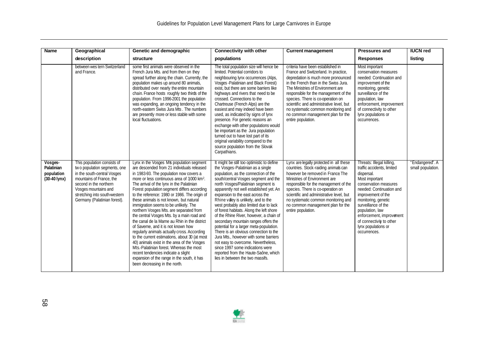| <b>Name</b>                                                   | Geographical                                                                                                                                                                                                                              | Genetic and demographic                                                                                                                                                                                                                                                                                                                                                                                                                                                                                                                                                                                                                                                                                                                                                                                                                                                                                                          | <b>Connectivity with other</b>                                                                                                                                                                                                                                                                                                                                                                                                                                                                                                                                                                                                                                                                                                                                                            | <b>Current management</b>                                                                                                                                                                                                                                                                                                                                                                                                  | <b>Pressures and</b>                                                                                                                                                                                                                                                                                                               | <b>IUCN red</b>                      |
|---------------------------------------------------------------|-------------------------------------------------------------------------------------------------------------------------------------------------------------------------------------------------------------------------------------------|----------------------------------------------------------------------------------------------------------------------------------------------------------------------------------------------------------------------------------------------------------------------------------------------------------------------------------------------------------------------------------------------------------------------------------------------------------------------------------------------------------------------------------------------------------------------------------------------------------------------------------------------------------------------------------------------------------------------------------------------------------------------------------------------------------------------------------------------------------------------------------------------------------------------------------|-------------------------------------------------------------------------------------------------------------------------------------------------------------------------------------------------------------------------------------------------------------------------------------------------------------------------------------------------------------------------------------------------------------------------------------------------------------------------------------------------------------------------------------------------------------------------------------------------------------------------------------------------------------------------------------------------------------------------------------------------------------------------------------------|----------------------------------------------------------------------------------------------------------------------------------------------------------------------------------------------------------------------------------------------------------------------------------------------------------------------------------------------------------------------------------------------------------------------------|------------------------------------------------------------------------------------------------------------------------------------------------------------------------------------------------------------------------------------------------------------------------------------------------------------------------------------|--------------------------------------|
|                                                               | description                                                                                                                                                                                                                               | structure                                                                                                                                                                                                                                                                                                                                                                                                                                                                                                                                                                                                                                                                                                                                                                                                                                                                                                                        | populations                                                                                                                                                                                                                                                                                                                                                                                                                                                                                                                                                                                                                                                                                                                                                                               |                                                                                                                                                                                                                                                                                                                                                                                                                            | <b>Responses</b>                                                                                                                                                                                                                                                                                                                   | listing                              |
|                                                               | between wes tern Switzerland<br>and France.                                                                                                                                                                                               | some first animals were observed in the<br>French Jura Mts. and from then on they<br>spread further along the chain. Currently, the<br>population makes up around 80 animals,<br>distributed over nearly the entire mountain<br>chain. France hosts roughly two thirds of the<br>population. From 1996-2001 the population<br>was expanding, an ongoing tendency in the<br>north-eastern Swiss Jura Mts. The numbers<br>are presently more or less stable with some<br>local fluctuations.                                                                                                                                                                                                                                                                                                                                                                                                                                       | The total population size will hence be<br>limited. Potential corridors to<br>neighbouring lynx occurrences (Alps,<br>Vosges - Palatinian and Black Forest)<br>exist, but there are some barriers like<br>highways and rivers that need to be<br>crossed. Connections to the<br>Chartreuse (French Alps) are the<br>easiest and may indeed have been<br>used, as indicated by signs of lynx<br>presence. For genetic reasons an<br>exchange with other populations would<br>be important as the Jura population<br>turned out to have lost part of its<br>original variability compared to the<br>source population from the Slovak<br>Carpathians.                                                                                                                                       | criteria have been established in<br>France and Switzerland. In practice,<br>depredation is much more pronounced<br>in the French than in the Swiss Jura.<br>The Ministries of Environment are<br>responsible for the management of the<br>species. There is co-operation on<br>scientific and administrative level, but<br>no systematic common monitoring and<br>no common management plan for the<br>entire population. | Most important<br>conservation measures<br>needed: Continuation and<br>improvement of the<br>monitoring, genetic<br>surveillance of the<br>population, law<br>enforcement, improvement<br>of connectivity to other<br>lynx populations or<br>occurrences.                                                                          |                                      |
| Vosges-<br>Palatinian<br>population<br>$(30-40 \text{ lynx})$ | This population consists of<br>two population segments, one<br>in the south-central Vosges<br>mountains of France, the<br>second in the northern<br>Vosges mountains and<br>stretching into south-western<br>Germany (Palatinian forest). | Lynx in the Vosges Mts population segment<br>are descended from 21 individuals released<br>in 1983-93. The population now covers a<br>more or less continuous area of 3000 km <sup>2</sup> .<br>The arrival of the lynx in the Palatinian<br>Forest population segment differs according<br>to the reference: 1980 or 1986. The origin of<br>these animals is not known, but natural<br>immigration seems to be unlikely. The<br>northern Vosges Mts. are separated from<br>the central Vosges Mts. by a main road and<br>the canal de la Marne au Rhin in the district<br>of Saverne, and it is not known how<br>regularly animals actually cross. According<br>to the current estimations, about 30 (at most<br>40) animals exist in the area of the Vosges<br>Mts.-Palatinian forest. Whereas the most<br>recent tendencies indicate a slight<br>expansion of the range in the south, it has<br>been decreasing in the north. | It might be still too optimistic to define<br>the Vosges-Palatinian as a single<br>population, as the connection of the<br>south/central Vosges segment and the<br>north Vosges/Palatinian segment is<br>apparently not well established yet. An<br>expansion to the east across the<br>Rhine valley is unlikely, and to the<br>west probably also limited due to lack<br>of forest habitats. Along the left shore<br>of the Rhine River, however, a chain of<br>secondary mountain ranges offers the<br>potential for a larger meta-population.<br>There is an obvious connection to the<br>Jura Mts., however with some barriers<br>not easy to overcome. Nevertheless,<br>since 1997 some indications were<br>reported from the Haute-Saône, which<br>lies in between the two massifs. | Lynx are legally protected in all these<br>countries. Stock-raiding animals can<br>however be removed in France The<br>Ministries of Environment are<br>responsible for the management of the<br>species. There is co-operation on<br>scientific and administrative level, but<br>no systematic common monitoring and<br>no common management plan for the<br>entire population.                                           | Threats: Illegal killing,<br>traffic accidents, limited<br>dispersal.<br>Most important<br>conservation measures<br>needed: Continuation and<br>improvement of the<br>monitoring, genetic<br>surveillance of the<br>population, law<br>enforcement, improvement<br>of connectivity to other<br>lynx populations or<br>occurrences. | "Endangered". A<br>small population. |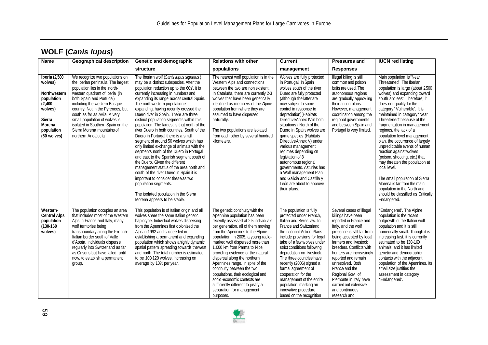| <b>Name</b>                                                                                                                           | <b>Geographical description</b>                                                                                                                                                                                                                                                                                                                                                                       | Genetic and demographic                                                                                                                                                                                                                                                                                                                                                                                                                                                                                                                                                                                                                                                                                                                                                                                                                                                                                                                                                | <b>Relations with other</b>                                                                                                                                                                                                                                                                                                                                                                                                                                                                                                                                                             | <b>Current</b>                                                                                                                                                                                                                                                                                                                                                                                                                                                                                                                                                                               | <b>Pressures and</b>                                                                                                                                                                                                                                                                                                                                                                                            | <b>IUCN red listing</b>                                                                                                                                                                                                                                                                                                                                                                                                                                                                                                                                                                                                                                                                                           |
|---------------------------------------------------------------------------------------------------------------------------------------|-------------------------------------------------------------------------------------------------------------------------------------------------------------------------------------------------------------------------------------------------------------------------------------------------------------------------------------------------------------------------------------------------------|------------------------------------------------------------------------------------------------------------------------------------------------------------------------------------------------------------------------------------------------------------------------------------------------------------------------------------------------------------------------------------------------------------------------------------------------------------------------------------------------------------------------------------------------------------------------------------------------------------------------------------------------------------------------------------------------------------------------------------------------------------------------------------------------------------------------------------------------------------------------------------------------------------------------------------------------------------------------|-----------------------------------------------------------------------------------------------------------------------------------------------------------------------------------------------------------------------------------------------------------------------------------------------------------------------------------------------------------------------------------------------------------------------------------------------------------------------------------------------------------------------------------------------------------------------------------------|----------------------------------------------------------------------------------------------------------------------------------------------------------------------------------------------------------------------------------------------------------------------------------------------------------------------------------------------------------------------------------------------------------------------------------------------------------------------------------------------------------------------------------------------------------------------------------------------|-----------------------------------------------------------------------------------------------------------------------------------------------------------------------------------------------------------------------------------------------------------------------------------------------------------------------------------------------------------------------------------------------------------------|-------------------------------------------------------------------------------------------------------------------------------------------------------------------------------------------------------------------------------------------------------------------------------------------------------------------------------------------------------------------------------------------------------------------------------------------------------------------------------------------------------------------------------------------------------------------------------------------------------------------------------------------------------------------------------------------------------------------|
|                                                                                                                                       |                                                                                                                                                                                                                                                                                                                                                                                                       | structure                                                                                                                                                                                                                                                                                                                                                                                                                                                                                                                                                                                                                                                                                                                                                                                                                                                                                                                                                              | populations                                                                                                                                                                                                                                                                                                                                                                                                                                                                                                                                                                             | management                                                                                                                                                                                                                                                                                                                                                                                                                                                                                                                                                                                   | <b>Responses</b>                                                                                                                                                                                                                                                                                                                                                                                                |                                                                                                                                                                                                                                                                                                                                                                                                                                                                                                                                                                                                                                                                                                                   |
| Iberia (2,500<br>wolves)<br><b>Northwestern</b><br>population<br>(2, 400)<br>wolves)<br>Sierra<br>Morena<br>population<br>(50 wolves) | We recognize two populations on<br>the Iberian peninsula. The largest<br>population lies in the north-<br>western quadrant of Iberia (in<br>both Spain and Portugal)<br>including the western Basque<br>country. Not in the Pyrenees, but<br>south as far as Ávila. A very<br>small population of wolves is<br>isolated in Southern Spain on the<br>Sierra Morena mountains of<br>northern Andalucia. | The Iberian wolf (Canis lupus signatus)<br>may be a distinct subspecies. After the<br>population reduction up to the 60s', it is<br>currently increasing in numbers and<br>expanding its range across central Spain.<br>The northwestern population is<br>expanding, having recently crossed the<br>Duero river in Spain. There are three<br>distinct population segments within this<br>population. The largest is that north of the<br>river Duero in both countries. South of the<br>Duero in Portugal there is a small<br>segment of around 50 wolves which has<br>only limited exchange of animals with the<br>segments north of the Duero in Portugal<br>and east to the Spanish segment south of<br>the Duero. Given the different<br>management status of the area north and<br>south of the river Duero in Spain it is<br>important to consider these as two<br>population segments.<br>The isolated population in the Sierra<br>Morena appears to be stable. | The nearest wolf population is in the<br>Western Alps and connections<br>between the two are non existent.<br>In Cataluña, there are currently 2-3<br>wolves that have been genetically<br>identified as members of the Alpine<br>population from where they are<br>assumed to have dispersed<br>naturally.<br>The two populations are isolated<br>from each other by several hundred<br>kilometers.                                                                                                                                                                                    | Wolves are fully protected<br>in Portugal. In Spain<br>wolves south of the river<br>Duero are fully protected<br>(although the latter are<br>now subject to some<br>control in response to<br>depredation) (Habitats<br>DirectiveAnnex IV in both<br>situations). North of the<br>Duero in Spain, wolves are<br>game species (Habitats<br>DirectiveAnnex V) under<br>various management<br>regimes depending on<br>legislation of 8<br>autonomous regional<br>governments. Asturias has<br>a Wolf management Plan<br>and Galicia and Castilla y<br>León are about to approve<br>their plans. | Illegal killing is still<br>common and poison<br>baits are used. The<br>autonomous regions<br>are gradually approv ing<br>their action plans.<br>However, management<br>coordination among the<br>regional governments<br>and between Spain and<br>Portugal is very limited.                                                                                                                                    | Main population is "Near<br>Threatened". The Iberian<br>population is large (about 2500<br>wolves) and expanding toward<br>south and east. Therefore, it<br>does not qualify for the<br>category "Vulnerable". It is<br>maintained in category "Near<br>Threatened" because of the<br>fragmentation in management<br>regimes, the lack of a<br>population level management<br>plan, the occurrence of largely<br>unpredictable events of human<br>reaction against wolves<br>(poison, shooting, etc.) that<br>may threaten the population at<br>local level.<br>The small population of Sierra<br>Morena is far from the main<br>population in the North and<br>should be classified as Critically<br>Endangered. |
| Western-<br><b>Central Alps</b><br>population<br>$(130 - 160)$<br>wolves)                                                             | The population occupies an area<br>that includes most of the Western<br>Alps in France and Italy, many<br>wolf territories being<br>transboundary along the French-<br>Italian border south of Valle<br>d'Aosta. Individuals disperse<br>regularly into Switzerland as far<br>as Grisons but have failed, until<br>now, to establish a permanent<br>group.                                            | This population is of Italian origin and all<br>wolves share the same Italian genetic<br>haplotype. Individual wolves dispersing<br>from the Apennines first colonized the<br>Alps in 1992 and succeeded in<br>establishing a permanent and expanding<br>population which shows ahighly dynamic<br>spatial pattern spreading towards the west<br>and north. The total number is estimated<br>to be 100-120 wolves, increasing on<br>average by 10% per year.                                                                                                                                                                                                                                                                                                                                                                                                                                                                                                           | The genetic continuity with the<br>Apennine population has been<br>recently assessed at 2.5 individuals<br>per generation, all of them moving<br>from the Apennines to the Alpine<br>population. In 2005, a young radio-<br>marked wolf dispersed more than<br>1,000 km from Parma to Nice,<br>providing evidence of the natural<br>dispersal along the northern<br>Apennines range. In spite of the<br>continuity between the two<br>populations, their ecological and<br>socio-economic contexts are<br>sufficiently different to justify a<br>separation for management<br>purposes. | The population is fully<br>protected under French,<br>Italian and Swiss law. In<br>France and Switzerland<br>the national Action Plans<br>include provisions for legal<br>take of a few wolves under<br>strict conditions following<br>depredation on livestock.<br>The three countries have<br>recently (2006) signed a<br>formal agreement of<br>cooperation for the<br>management of the entire<br>population, marking an<br>innovative procedure<br>based on the recognition                                                                                                             | Several cases of illegal<br>killings have been<br>reported in France and<br>Italy, and the wolf<br>presence is still far from<br>being accepted by local<br>farmers and livestock<br>breeders. Conflicts with<br>hunters are increasingly<br>reported and remain<br>unresolved. Both<br>France and the<br>Regional Gov. of<br>Piemonte in Italy have<br>carried out extensive<br>and continuous<br>research and | "Endangered". The Alpine<br>population is the recent<br>outgrowth of the Italian wolf<br>population and it is still<br>numerically small. Though it is<br>increasing fast, it is currently<br>estimated to be 130-160<br>animals, and it has limited<br>genetic and demographic<br>contacts with the adjacent<br>population of the Apennines. Its<br>small size justifies the<br>assessment in category<br>"Endangered".                                                                                                                                                                                                                                                                                          |

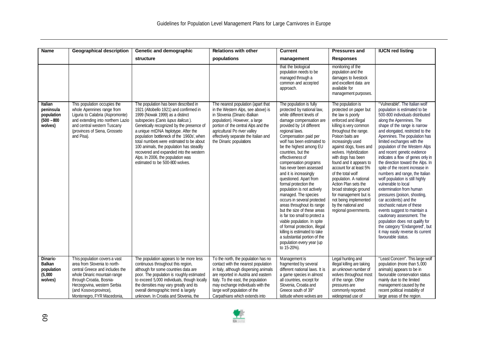| <b>Name</b>                                                    | <b>Geographical description</b>                                                                                                                                                                                                                     | Genetic and demographic                                                                                                                                                                                                                                                                                                                                                                                                                                                                             | <b>Relations with other</b>                                                                                                                                                                                                                                                                             | <b>Current</b>                                                                                                                                                                                                                                                                                                                                                                                                                                                                                                                                                                                                                                                                                                                                                                          | <b>Pressures and</b>                                                                                                                                                                                                                                                                                                                                                                                                                                                                                                    | <b>IUCN red listing</b>                                                                                                                                                                                                                                                                                                                                                                                                                                                                                                                                                                                                                                                                                                                                                                                                                                       |
|----------------------------------------------------------------|-----------------------------------------------------------------------------------------------------------------------------------------------------------------------------------------------------------------------------------------------------|-----------------------------------------------------------------------------------------------------------------------------------------------------------------------------------------------------------------------------------------------------------------------------------------------------------------------------------------------------------------------------------------------------------------------------------------------------------------------------------------------------|---------------------------------------------------------------------------------------------------------------------------------------------------------------------------------------------------------------------------------------------------------------------------------------------------------|-----------------------------------------------------------------------------------------------------------------------------------------------------------------------------------------------------------------------------------------------------------------------------------------------------------------------------------------------------------------------------------------------------------------------------------------------------------------------------------------------------------------------------------------------------------------------------------------------------------------------------------------------------------------------------------------------------------------------------------------------------------------------------------------|-------------------------------------------------------------------------------------------------------------------------------------------------------------------------------------------------------------------------------------------------------------------------------------------------------------------------------------------------------------------------------------------------------------------------------------------------------------------------------------------------------------------------|---------------------------------------------------------------------------------------------------------------------------------------------------------------------------------------------------------------------------------------------------------------------------------------------------------------------------------------------------------------------------------------------------------------------------------------------------------------------------------------------------------------------------------------------------------------------------------------------------------------------------------------------------------------------------------------------------------------------------------------------------------------------------------------------------------------------------------------------------------------|
|                                                                |                                                                                                                                                                                                                                                     | structure                                                                                                                                                                                                                                                                                                                                                                                                                                                                                           | populations                                                                                                                                                                                                                                                                                             | management                                                                                                                                                                                                                                                                                                                                                                                                                                                                                                                                                                                                                                                                                                                                                                              | <b>Responses</b>                                                                                                                                                                                                                                                                                                                                                                                                                                                                                                        |                                                                                                                                                                                                                                                                                                                                                                                                                                                                                                                                                                                                                                                                                                                                                                                                                                                               |
|                                                                |                                                                                                                                                                                                                                                     |                                                                                                                                                                                                                                                                                                                                                                                                                                                                                                     |                                                                                                                                                                                                                                                                                                         | that the biological<br>population needs to be<br>managed through a<br>common and accepted<br>approach.                                                                                                                                                                                                                                                                                                                                                                                                                                                                                                                                                                                                                                                                                  | monitoring of the<br>population and the<br>damages to livestock<br>and excellent data are<br>available for<br>management purposes.                                                                                                                                                                                                                                                                                                                                                                                      |                                                                                                                                                                                                                                                                                                                                                                                                                                                                                                                                                                                                                                                                                                                                                                                                                                                               |
| Italian<br>peninsula<br>population<br>$(500 - 800)$<br>wolves) | This population occupies the<br>whole Apennines range from<br>Liguria to Calabria (Aspromonte)<br>and extending into northern Lazio<br>and central western Tuscany<br>(provinces of Siena, Grosseto<br>and Pisa).                                   | The population has been described in<br>1921 (Altobello 1921) and confirmed in<br>1999 (Nowak 1999) as a distinct<br>subspecies (Canis lupus italicus).<br>Genetically recognized by the presence of<br>a unique mtDNA haplotype. After the<br>population bottleneck of the 1960s', when<br>total numbers were estimated to be about<br>100 animals, the population has steadily<br>recovered and expanded into the western<br>Alps. In 2006, the population was<br>estimated to be 500-800 wolves. | The nearest population (apart that<br>in the Western Alps, see above) is<br>in Slovenia (Dinaric-Balkan<br>population). However, a large<br>portion of the central Alps and the<br>agricultural Po river valley<br>effectively separate the Italian and<br>the Dinaric populations                      | The population is fully<br>protected by national law,<br>while different levels of<br>damage compensation are<br>provided by 14 different<br>regional laws.<br>Compensation paid per<br>wolf has been estimated to<br>be the highest among EU<br>countries, but the<br>effectiveness of<br>compensation programs<br>has never been assessed<br>and it is increasingly<br>questioned. Apart from<br>formal protection the<br>population is not actively<br>managed. The species<br>occurs in several protected<br>areas throughout its range<br>but the size of these areas<br>is far too small to protect a<br>viable population. In spite<br>of formal protection, illegal<br>killing is estimated to take<br>a substantial portion of the<br>population every year (up<br>to 15-20%). | The population is<br>protected on paper but<br>the law is poorly<br>enforced and illegal<br>killing is very common<br>throughout the range.<br>Poison baits are<br>increasingly used<br>against dogs, foxes and<br>wolves. Hybridization<br>with dogs has been<br>found and it appears to<br>account for at least 5%<br>of the total wolf<br>population. A national<br>Action Plan sets the<br>broad strategic ground<br>for management but is<br>not being implemented<br>by the national and<br>regional governments. | "Vulnerable". The Italian wolf<br>population is estimated to be<br>500-800 individuals distributed<br>along the Apennines. The<br>shape of the range is narrow<br>and elongated, restricted to the<br>Apennines. The population has<br>limited exchanges with the<br>population of the Western Alps<br>and recent genetic evidence<br>indicates a flow of genes only in<br>the direction toward the Alps. In<br>spite of the recent increase in<br>numbers and range, the Italian<br>wolf population is still highly<br>vulnerable to local<br>extermination from human<br>pressures (poison, shooting,<br>car accidents) and the<br>stochastic nature of these<br>events suggest to maintain a<br>cautionary assessment. The<br>population does not qualify for<br>the category "Endangered", but<br>it may easily reverse its current<br>favourable status. |
| Dinaric-<br><b>Balkan</b><br>population<br>(5,000)<br>wolves)  | This population covers a vast<br>area from Slovenia to north-<br>central Greece and includes the<br>whole Dinaric mountain range<br>through Croatia, Bosnia-<br>Herzegovina, western Serbia<br>(and Kosovo province),<br>Montenegro, FYR Macedonia, | The population appears to be more less<br>continuous throughout this region,<br>although for some countries data are<br>poor. The population is roughly estimated<br>to exceed 5,000 individuals, though locally<br>the densities may vary greatly and its<br>overall demographic trend is largely<br>unknown. In Croatia and Slovenia, the                                                                                                                                                         | To the north, the population has no<br>contact with the nearest population<br>in Italy, although dispersing animals<br>are reported in Austria and eastern<br>Italy. To the east, the population<br>may exchange individuals with the<br>large wolf population of the<br>Carpathians which extends into | Management is<br>fragmented by several<br>different national laws. It is<br>a game species in almost<br>all countries, except for<br>Slovenia, Croatia and<br>Greece south of 39°<br>latitude where wolves are                                                                                                                                                                                                                                                                                                                                                                                                                                                                                                                                                                          | Legal hunting and<br>illegal killing are taking<br>an unknown number of<br>wolves throughout most<br>of the range. Other<br>pressures are<br>commonly reported:<br>widespread use of                                                                                                                                                                                                                                                                                                                                    | "Least Concern". This large wolf<br>population (more than 5,000<br>animals) appears to be in<br>favourable conservation status<br>mainly due to the limited<br>management caused by the<br>recent political instability of<br>large areas of the region.                                                                                                                                                                                                                                                                                                                                                                                                                                                                                                                                                                                                      |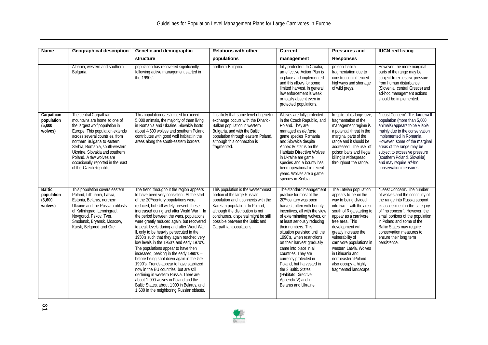| <b>Name</b>                                       | <b>Geographical description</b>                                                                                                                                                                                                                                                                                                                              | Genetic and demographic                                                                                                                                                                                                                                                                                                                                                                                                                                                                                                                                                                                                                                                                                                                                                                                                                                                                                          | <b>Relations with other</b>                                                                                                                                                                                                                                                            | <b>Current</b>                                                                                                                                                                                                                                                                                                                                                                                                                                                                                                                              | <b>Pressures and</b>                                                                                                                                                                                                                                                                                                                                                                          | <b>IUCN red listing</b>                                                                                                                                                                                                                                                                                                                         |
|---------------------------------------------------|--------------------------------------------------------------------------------------------------------------------------------------------------------------------------------------------------------------------------------------------------------------------------------------------------------------------------------------------------------------|------------------------------------------------------------------------------------------------------------------------------------------------------------------------------------------------------------------------------------------------------------------------------------------------------------------------------------------------------------------------------------------------------------------------------------------------------------------------------------------------------------------------------------------------------------------------------------------------------------------------------------------------------------------------------------------------------------------------------------------------------------------------------------------------------------------------------------------------------------------------------------------------------------------|----------------------------------------------------------------------------------------------------------------------------------------------------------------------------------------------------------------------------------------------------------------------------------------|---------------------------------------------------------------------------------------------------------------------------------------------------------------------------------------------------------------------------------------------------------------------------------------------------------------------------------------------------------------------------------------------------------------------------------------------------------------------------------------------------------------------------------------------|-----------------------------------------------------------------------------------------------------------------------------------------------------------------------------------------------------------------------------------------------------------------------------------------------------------------------------------------------------------------------------------------------|-------------------------------------------------------------------------------------------------------------------------------------------------------------------------------------------------------------------------------------------------------------------------------------------------------------------------------------------------|
|                                                   |                                                                                                                                                                                                                                                                                                                                                              | structure                                                                                                                                                                                                                                                                                                                                                                                                                                                                                                                                                                                                                                                                                                                                                                                                                                                                                                        | populations                                                                                                                                                                                                                                                                            | management                                                                                                                                                                                                                                                                                                                                                                                                                                                                                                                                  | <b>Responses</b>                                                                                                                                                                                                                                                                                                                                                                              |                                                                                                                                                                                                                                                                                                                                                 |
|                                                   | Albania, western and southern<br>Bulgaria.                                                                                                                                                                                                                                                                                                                   | population has recovered significantly<br>following active management started in<br>the 1990s'.                                                                                                                                                                                                                                                                                                                                                                                                                                                                                                                                                                                                                                                                                                                                                                                                                  | northern Bulgaria.                                                                                                                                                                                                                                                                     | fully protected. In Croatia,<br>an effective Action Plan is<br>in place and implemented,<br>and this allows for some<br>limited harvest. In general,<br>law enforcement is weak<br>or totally absent even in<br>protected populations.                                                                                                                                                                                                                                                                                                      | poison, habitat<br>fragmentation due to<br>construction of fenced<br>highways and shortage<br>of wild preys.                                                                                                                                                                                                                                                                                  | However, the more marginal<br>parts of the range may be<br>subject to excessive pressure<br>from human disturbance<br>(Slovenia, central Greece) and<br>ad-hoc management actions<br>should be implemented.                                                                                                                                     |
| Carpathian<br>population<br>(5,000)<br>wolves)    | The central Carpathian<br>mountains are home to one of<br>the largest wolf population in<br>Europe. This population extends<br>across several countries, from<br>northern Bulgaria to eastern<br>Serbia, Romania, south-western<br>Ukraine. Slovakia and southern<br>Poland. A few wolves are<br>occasionally reported in the east<br>of the Czech Republic. | This population is estimated to exceed<br>5,000 animals, the majority of them living<br>in Romania and Ukraine. Slovakia hosts<br>about 4-500 wolves and southern Poland<br>contributes with good wolf habitat in the<br>areas along the south-eastern borders                                                                                                                                                                                                                                                                                                                                                                                                                                                                                                                                                                                                                                                   | It is likely that some level of genetic<br>exchange occurs with the Dinaric-<br>Balkan population in western<br>Bulgaria, and with the Baltic<br>population through eastern Poland,<br>although this connection is<br>fragmented.                                                      | Wolves are fully protected<br>in the Czech Republic, and<br>Poland. They are<br>managed as de facto<br>game species Romania<br>and Slovakia despite<br>Annex IV status on the<br><b>Habitats Directive Wolves</b><br>in Ukraine are game<br>species and a bounty has<br>been operational in recent<br>years. Wolves are a game<br>species in Serbia.                                                                                                                                                                                        | In spite of its large size,<br>fragmentation of the<br>management regime is<br>a potential threat in the<br>marginal parts of the<br>range and it should be<br>addressed. The use of<br>poison baits and illegal<br>killing is widespread<br>throughout the range.                                                                                                                            | "Least Concern". This large wolf<br>population (more than 5,000<br>animals) appears to be viable<br>mainly due to the conservation<br>implemented in Romania.<br>However, some of the marginal<br>areas of the range may be<br>subject to excessive pressure<br>(southern Poland, Slovakia)<br>and may require ad-hoc<br>conservation measures. |
| <b>Baltic</b><br>population<br>(3,600)<br>wolves) | This population covers eastern<br>Poland, Lithuania, Latvia,<br>Estonia, Belarus, northern<br>Ukraine and the Russian oblasts<br>of Kaliningrad, Lenningrad,<br>Novgorod, Pskov, Tver,<br>Smolensk, Bryansk, Moscow,<br>Kursk, Belgorod and Orel.                                                                                                            | The trend throughout the region appears<br>to have been very consistent. At the start<br>of the 20 <sup>th</sup> century populations were<br>reduced, but still widely present, these<br>increased during and after World War I. In<br>the period between the wars, populations<br>were greatly reduced again, but recovered<br>to peak levels during and after Word War<br>II, only to be heavily persecuted in the<br>1950's such that they again reached very<br>low levels in the 1960's and early 1970's.<br>The populations appear to have then<br>increased, peaking in the early 1990's -<br>before being shot down again in the late<br>1990's. Trends appear to have stabilized<br>now in the EU countries, but are still<br>declining in western Russia. There are<br>about 1,000 wolves in Poland and the<br>Baltic States, about 1,000 in Belarus, and<br>1,600 in the neighboring Russian oblasts. | This population is the westernmost<br>portion of the large Russian<br>population and it connects with the<br>Karelian population. In Poland,<br>although the distribution is not<br>continuous, dispersal might be still<br>possible between the Baltic and<br>Carpathian populations. | The standard management<br>practice for most of the<br>20 <sup>th</sup> century was open<br>harvest, often with bounty<br>incentives, all with the view<br>of exterminating wolves, or<br>at least seriously reducing<br>their numbers. This<br>situation persisted until the<br>1990's, when restrictions<br>on their harvest gradually<br>came into place in all<br>countries. They are<br>currently protected in<br>Poland, but harvested in<br>the 3 Baltic States<br>(Habitats Directive<br>Appendix V) and in<br>Belarus and Ukraine. | The Latvian population<br>appears to be on the<br>way to being divided<br>into two - with the area<br>south of Riga starting to<br>appear as a carnivore<br>free area. This<br>development will<br>greatly increase the<br>vulnerability of<br>carnivore populations in<br>western Latvia. Wolves<br>in Lithuania and<br>northeastern Poland<br>also occupy a highly<br>fragmented landscape. | "Least Concern". The number<br>of wolves and the continuity of<br>the range into Russia support<br>its assessment in the category<br>of "no concern". However, the<br>small portions of the population<br>in Poland and some of the<br>Baltic States may require<br>conservation measures to<br>ensure their long term<br>persistence.          |

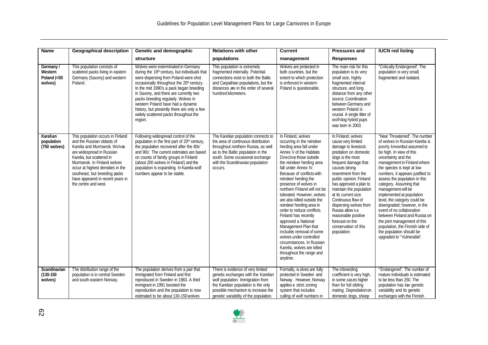| <b>Name</b>                                    | <b>Geographical description</b>                                                                                                                                                                                                                                                                                            | Genetic and demographic                                                                                                                                                                                                                                                                                                                                                                                                                                   | <b>Relations with other</b>                                                                                                                                                                                                               | <b>Current</b>                                                                                                                                                                                                                                                                                                                                                                                                                                                                                                                                                                                                                                              | <b>Pressures and</b>                                                                                                                                                                                                                                                                                                                                                                                                                      | <b>IUCN red listing</b>                                                                                                                                                                                                                                                                                                                                                                                                                                                                                                                                                                                                    |
|------------------------------------------------|----------------------------------------------------------------------------------------------------------------------------------------------------------------------------------------------------------------------------------------------------------------------------------------------------------------------------|-----------------------------------------------------------------------------------------------------------------------------------------------------------------------------------------------------------------------------------------------------------------------------------------------------------------------------------------------------------------------------------------------------------------------------------------------------------|-------------------------------------------------------------------------------------------------------------------------------------------------------------------------------------------------------------------------------------------|-------------------------------------------------------------------------------------------------------------------------------------------------------------------------------------------------------------------------------------------------------------------------------------------------------------------------------------------------------------------------------------------------------------------------------------------------------------------------------------------------------------------------------------------------------------------------------------------------------------------------------------------------------------|-------------------------------------------------------------------------------------------------------------------------------------------------------------------------------------------------------------------------------------------------------------------------------------------------------------------------------------------------------------------------------------------------------------------------------------------|----------------------------------------------------------------------------------------------------------------------------------------------------------------------------------------------------------------------------------------------------------------------------------------------------------------------------------------------------------------------------------------------------------------------------------------------------------------------------------------------------------------------------------------------------------------------------------------------------------------------------|
|                                                |                                                                                                                                                                                                                                                                                                                            | structure                                                                                                                                                                                                                                                                                                                                                                                                                                                 | populations                                                                                                                                                                                                                               | management                                                                                                                                                                                                                                                                                                                                                                                                                                                                                                                                                                                                                                                  | <b>Responses</b>                                                                                                                                                                                                                                                                                                                                                                                                                          |                                                                                                                                                                                                                                                                                                                                                                                                                                                                                                                                                                                                                            |
| Germany /<br>Western<br>Poland (<50<br>wolves) | This population consists of<br>scattered packs living in eastern<br>Germany (Saxony) and western<br>Poland.                                                                                                                                                                                                                | Wolves were exterminated in Germany<br>during the 19th century, but individuals that<br>were dispersing from Poland were shot<br>occasionally throughout the 20 <sup>h</sup> century.<br>In the mid 1990's a pack began breeding<br>in Saxony, and there are currently two<br>packs breeding regularly. Wolves in<br>western Poland have had a dynamic<br>history, but presently there are only a few<br>widely scattered packs throughout the<br>region. | This population is extremely<br>fragmented internally. Potential<br>connections exist to both the Baltic<br>and Carpathian populations, but the<br>distances are in the order of several<br>hundred kilometers.                           | Wolves are protected in<br>both countries, but the<br>extent to which protection<br>is enforced in western<br>Poland is questionable.                                                                                                                                                                                                                                                                                                                                                                                                                                                                                                                       | The main risk for this<br>population is its very<br>small size, highly<br>fragmented internal<br>structure, and long<br>distance from any other<br>source. Coordination<br>between Germany and<br>western Poland is<br>crucial. A single litter of<br>wolf-dog hybrid pups<br>was born in 2003.                                                                                                                                           | "Critically Endangered". The<br>population is very small,<br>fragmented and isolated.                                                                                                                                                                                                                                                                                                                                                                                                                                                                                                                                      |
| Karelian<br>population<br>(750 wolves)         | This population occurs in Finland<br>and the Russian oblasts of<br>Karelia and Murmansk, Wolves<br>are widespread in Russian<br>Karelia, but scattered in<br>Murmansk. In Finland wolves<br>occur at highest densities in the<br>southeast, but breeding packs<br>have appeared in recent years in<br>the centre and west. | Following widespread control of the<br>population in the first part of 20 <sup>th</sup> century,<br>the population recovered after the 80s'<br>and 90s'. The current estimates are based<br>on counts of family groups in Finland<br>(about 200 wolves in Finland) and the<br>population is expanding. In Karelia wolf<br>numbers appear to be stable.                                                                                                    | The Karelian population connects to<br>the area of continuous distribution<br>throughout northern Russia, as well<br>as to the Baltic population in the<br>south. Some occasional exchange<br>with the Scandinavian population<br>occurs. | In Finland, wolves<br>occurring in the reindeer<br>herding area fall under<br>Annex V of the Habitats<br>Directive those outside<br>the reindeer herding area<br>fall under Annex IV.<br>Because of conflicts with<br>reindeer herding the<br>presence of wolves in<br>northern Finland will not be<br>tolerated. However, wolves<br>are also killed outside the<br>reindeer herding area in<br>order to reduce conflicts.<br>Finland has recently<br>approved a National<br>Management Plan that<br>includes removal of some<br>wolves under controlled<br>circumstances. In Russian<br>Karelia, wolves are killed<br>throughout the range and<br>anytime. | In Finland, wolves<br>cause very limited<br>damage to livestock;<br>predation on domestic<br>dogs is the most<br>frequent damage that<br>causes strong<br>resentment from the<br>public opinion. Finland<br>has approved a plan to<br>maintain the population<br>at its current size.<br>Continuous flow of<br>dispersing wolves from<br>Russia allows a<br>reasonable positive<br>forecast on the<br>conservation of this<br>population. | "Near Threatened". The number<br>of wolves in Russian Karelia is<br>poorly knownbut assumed to<br>be high. In view of this<br>uncertainty and the<br>management in Finland where<br>the species is kept at low<br>numbers, it appears justified to<br>assess the population in this<br>category. Assuming that<br>management will be<br>implemented at population<br>level, the category could be<br>downgraded; however, in the<br>event of no collaboration<br>between Finland and Russia on<br>the joint management of this<br>population, the Finnish side of<br>the population should be<br>upgraded to "Vulnerable". |
| Scandinavian<br>$(130 - 150)$<br>wolves)       | The distribution range of the<br>population is in central Sweden<br>and south-eastern Norway.                                                                                                                                                                                                                              | The population derives from a pair that<br>immigrated from Finland and first<br>reproduced in Sweden in 1983. A third<br>immigrant in 1991 boosted the<br>reproduction and the population is now<br>estimated to be about 130-150 wolves                                                                                                                                                                                                                  | There is evidence of very limited<br>genetic exchanges with the Karelian<br>wolf population. Immigration from<br>the Karelian population is the only<br>possible mechanism to increase the<br>genetic variability of the population.      | Formally, w olves are fully<br>protected in Sweden and<br>Norway. However, Norway<br>applies a strict zoning<br>system that includes<br>culling of wolf numbers in                                                                                                                                                                                                                                                                                                                                                                                                                                                                                          | The inbreeding<br>coefficient is very high,<br>in some cases higher<br>than for full sibling<br>mating. Depredation on<br>domestic dogs, sheep                                                                                                                                                                                                                                                                                            | "Endangered". The number of<br>mature individuals is estimated<br>to be less than 250. The<br>population has low genetic<br>variability and its genetic<br>exchanges with the Finnish                                                                                                                                                                                                                                                                                                                                                                                                                                      |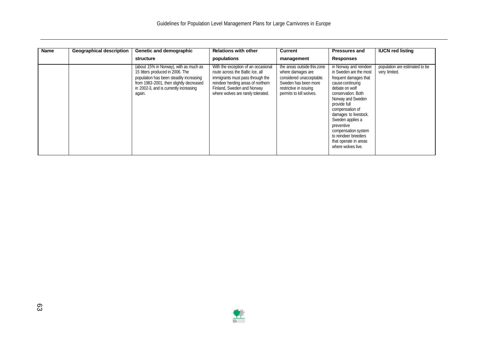| <b>Geographical description</b> | Genetic and demographic                                                                                                                                                                                              | <b>Relations with other</b>                                                                                                                                                                                           | Current                                                                                                                                                   | <b>Pressures and</b>                                                                                                                                                                                                                                                                                                                                   | <b>IUCN red listing</b>                         |
|---------------------------------|----------------------------------------------------------------------------------------------------------------------------------------------------------------------------------------------------------------------|-----------------------------------------------------------------------------------------------------------------------------------------------------------------------------------------------------------------------|-----------------------------------------------------------------------------------------------------------------------------------------------------------|--------------------------------------------------------------------------------------------------------------------------------------------------------------------------------------------------------------------------------------------------------------------------------------------------------------------------------------------------------|-------------------------------------------------|
| Name                            | structure                                                                                                                                                                                                            | populations                                                                                                                                                                                                           | management                                                                                                                                                | <b>Responses</b>                                                                                                                                                                                                                                                                                                                                       |                                                 |
|                                 | (about 15% in Norway), with as much as<br>15 litters produced in 2006. The<br>population has been steadily increasing<br>from 1983-2001, then slightly decreased<br>in 2002-3, and is currently increasing<br>again. | With the exception of an occasional<br>route across the Baltic Ice, all<br>immigrants must pass through the<br>reindeer herding areas of northern<br>Finland, Sweden and Norway<br>where wolves are rarely tolerated. | the areas outside this zone<br>where damages are<br>considered unacceptable.<br>Sweden has been more<br>restrictive in issuing<br>permits to kill wolves. | in Norway and reindeer<br>in Sweden are the most<br>frequent damages that<br>cause continuing<br>debate on wolf<br>conservation. Both<br>Norway and Sweden<br>provide full<br>compensation of<br>damages to livestock.<br>Sweden applies a<br>preventive<br>compensation system<br>to reindeer breeders<br>that operate in areas<br>where wolves live. | population are estimated to be<br>very limited. |

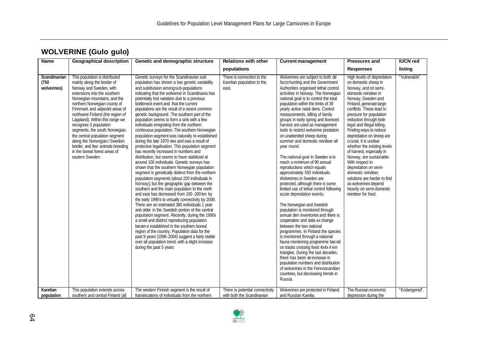| <b>WOLVERINE (Gulo gulo)</b> |  |  |
|------------------------------|--|--|
|------------------------------|--|--|

| <b>Name</b>                          | <b>Geographical description</b>                                                                                                                                                                                                                                                                                                                                                                                                                                                                                         | Genetic and demographic structure                                                                                                                                                                                                                                                                                                                                                                                                                                                                                                                                                                                                                                                                                                                                                                                                                                                                                                                                                                                                                                                                                                                                                                                                                                                                                                                                                                                                                                                                                                                                                                                                 | <b>Relations with other</b>                                       | <b>Current management</b>                                                                                                                                                                                                                                                                                                                                                                                                                                                                                                                                                                                                                                                                                                                                                                                                                                                                                                                                                                                                                                                                                                                                                                                                                                                                                                   | <b>Pressures and</b>                                                                                                                                                                                                                                                                                                                                                                                                                                                                                                                                                                                                  | <b>IUCN red</b> |
|--------------------------------------|-------------------------------------------------------------------------------------------------------------------------------------------------------------------------------------------------------------------------------------------------------------------------------------------------------------------------------------------------------------------------------------------------------------------------------------------------------------------------------------------------------------------------|-----------------------------------------------------------------------------------------------------------------------------------------------------------------------------------------------------------------------------------------------------------------------------------------------------------------------------------------------------------------------------------------------------------------------------------------------------------------------------------------------------------------------------------------------------------------------------------------------------------------------------------------------------------------------------------------------------------------------------------------------------------------------------------------------------------------------------------------------------------------------------------------------------------------------------------------------------------------------------------------------------------------------------------------------------------------------------------------------------------------------------------------------------------------------------------------------------------------------------------------------------------------------------------------------------------------------------------------------------------------------------------------------------------------------------------------------------------------------------------------------------------------------------------------------------------------------------------------------------------------------------------|-------------------------------------------------------------------|-----------------------------------------------------------------------------------------------------------------------------------------------------------------------------------------------------------------------------------------------------------------------------------------------------------------------------------------------------------------------------------------------------------------------------------------------------------------------------------------------------------------------------------------------------------------------------------------------------------------------------------------------------------------------------------------------------------------------------------------------------------------------------------------------------------------------------------------------------------------------------------------------------------------------------------------------------------------------------------------------------------------------------------------------------------------------------------------------------------------------------------------------------------------------------------------------------------------------------------------------------------------------------------------------------------------------------|-----------------------------------------------------------------------------------------------------------------------------------------------------------------------------------------------------------------------------------------------------------------------------------------------------------------------------------------------------------------------------------------------------------------------------------------------------------------------------------------------------------------------------------------------------------------------------------------------------------------------|-----------------|
|                                      |                                                                                                                                                                                                                                                                                                                                                                                                                                                                                                                         |                                                                                                                                                                                                                                                                                                                                                                                                                                                                                                                                                                                                                                                                                                                                                                                                                                                                                                                                                                                                                                                                                                                                                                                                                                                                                                                                                                                                                                                                                                                                                                                                                                   | populations                                                       |                                                                                                                                                                                                                                                                                                                                                                                                                                                                                                                                                                                                                                                                                                                                                                                                                                                                                                                                                                                                                                                                                                                                                                                                                                                                                                                             | <b>Responses</b>                                                                                                                                                                                                                                                                                                                                                                                                                                                                                                                                                                                                      | listing         |
| Scandinavian<br>(750)<br>wolverines) | This population is distributed<br>mainly along the border of<br>Norway and Sweden, with<br>extensions into the southern<br>Norwegian mountains, and the<br>northern Norwegian county of<br>Finnmark and adjacent areas of<br>northwest Finland (the region of<br>Lappland). Within this range we<br>recognise 3 population<br>segments, the south Norwegian,<br>the central population segment<br>along the Norwegian / Swedish<br>border, and few animals breeding<br>in the boreal forest areas of<br>eastern Sweden. | Genetic surveys for the Scandinavian sub-<br>population has shown a low genetic variability<br>and subdivision among sub-populations<br>indicating that the wolverine in Scandinavia has<br>potentially lost variation due to a previous<br>bottleneck event and that the current<br>populations are the result of a recent common<br>genetic background. The southern part of the<br>population seems to form a sink with a few<br>individuals emigrating from the northern<br>continuous population. The southern Norwegian<br>population segment was naturally re-established<br>during the late 1970-ties and was a result of<br>protective legalisation. This population segment<br>has recently increased in numbers and<br>distribution, but seems to have stabilized at<br>around 100 individuals. Genetic surveys has<br>shown that the southern Norwegian population<br>segment is genetically distinct from the northern<br>population segments (about 220 individuals in<br>Norway), but the geographic gap between the<br>southern and the main population to the north<br>and east has decreased from 100 -200 km by<br>the early 1990s to virtually connectivity by 2006.<br>There are an estimated 380 individuals 1 year<br>and older in the Swedish portion of the central<br>population segment. Recently, during the 1990s<br>a small and distinct reproducing population<br>becam e established in the southern boreal<br>region of the country. Population data for the<br>past 9 years (1996-2004) suggest a fairly stable<br>over all population trend, with a slight increase<br>during the past 5 years | There is connection to the<br>Karelian population to the<br>east. | Wolverines are subject to both de<br>factohunting and the Government<br>Authorities organised lethal control<br>activities in Norway. The Norwegian<br>national goal is to control the total<br>population within the limits of 39<br>yearly active natal dens. Control<br>measurements, killing of family<br>groups in early spring and licensed<br>harvest are used as management<br>tools to restrict wolverine predation<br>on unattended sheep during<br>summer and domestic reindeer all<br>year round.<br>The national goal in Sweden is to<br>reach a minimum of 90 annual<br>reproductions which equals<br>approximately 550 individuals.<br>Wolverines in Sweden are<br>protected, although there is some<br>limited use of lethal control following<br>acute depredation events.<br>The Norwegian and Swedish<br>population is monitored through<br>annual den inventories and there is<br>cooperation and data ex change<br>between the two national<br>programmes. In Finland the species<br>is monitored through a national<br>fauna monitoring programme bas ed<br>on tracks crossing fixed 4x4x 4 km<br>triangles. During the last decades,<br>there has been an increase in<br>population numbers and distribution<br>of wolverines in the Fennoscandian<br>countries, but decreasing trends in<br>Russia. | High levels of depredation<br>on domestic sheep in<br>Norway, and on semi-<br>domestic reindeer in<br>Norway, Sweden and<br>Finland, generate large<br>conflicts. These lead to<br>pressure for population<br>reduction through both<br>legal and illegal killing.<br>Finding ways to reduce<br>depredation on sheep are<br>crucial. It is unclear<br>whether the existing levels<br>of harvest, especially in<br>Norway, are sustainable.<br>With respect to<br>depredation on semi-<br>domestic reindeer,<br>solutions are harder to find<br>as wolverines depend<br>heavily on semi-domestic<br>reindeer for food. | "Vulnerable".   |
| Karelian<br>population               | This population extends across<br>southern and central Finland (all                                                                                                                                                                                                                                                                                                                                                                                                                                                     | The western Finnish segment is the result of<br>translocations of individuals from the northern                                                                                                                                                                                                                                                                                                                                                                                                                                                                                                                                                                                                                                                                                                                                                                                                                                                                                                                                                                                                                                                                                                                                                                                                                                                                                                                                                                                                                                                                                                                                   | There is potential connectivity<br>with both the Scandinavian     | Wolverines are protected in Finland<br>and Russian Karelia.                                                                                                                                                                                                                                                                                                                                                                                                                                                                                                                                                                                                                                                                                                                                                                                                                                                                                                                                                                                                                                                                                                                                                                                                                                                                 | The Russian economic<br>depression during the                                                                                                                                                                                                                                                                                                                                                                                                                                                                                                                                                                         | "Endangered".   |

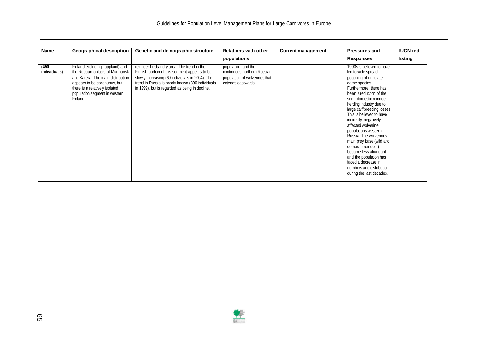| Name                  | <b>Geographical description</b>                                                                                                                                                                                          | Genetic and demographic structure                                                                                                                                                                                                                   | <b>Relations with other</b>                                                                               | <b>Current management</b> | <b>Pressures and</b>                                                                                                                                                                                                                                                                                                                                                                                                                                                                                                                            | <b>IUCN red</b> |
|-----------------------|--------------------------------------------------------------------------------------------------------------------------------------------------------------------------------------------------------------------------|-----------------------------------------------------------------------------------------------------------------------------------------------------------------------------------------------------------------------------------------------------|-----------------------------------------------------------------------------------------------------------|---------------------------|-------------------------------------------------------------------------------------------------------------------------------------------------------------------------------------------------------------------------------------------------------------------------------------------------------------------------------------------------------------------------------------------------------------------------------------------------------------------------------------------------------------------------------------------------|-----------------|
|                       |                                                                                                                                                                                                                          |                                                                                                                                                                                                                                                     | populations                                                                                               |                           | <b>Responses</b>                                                                                                                                                                                                                                                                                                                                                                                                                                                                                                                                | listing         |
| (450)<br>individuals) | Finland excluding Lappland) and<br>the Russian oblasts of Murmansk<br>and Karelia. The main distribution<br>appears to be continuous, but<br>there is a relatively isolated<br>population segment in western<br>Finland. | reindeer husbandry area. The trend in the<br>Finnish portion of this segment appears to be<br>slowly increasing (60 individuals in 2004). The<br>trend in Russia is poorly known (390 individuals<br>in 1999), but is regarded as being in decline. | population, and the<br>continuous northern Russian<br>population of wolverines that<br>extends eastwards. |                           | 1990s is believed to have<br>led to wide spread<br>poaching of ungulate<br>game species.<br>Furthermore, there has<br>been areduction of the<br>semi-domestic reindeer<br>herding industry due to<br>large calf/breeding losses.<br>This is believed to have<br>indirectly negatively<br>affected wolverine<br>populations western<br>Russia. The wolverines<br>main prey base (wild and<br>domestic reindeer)<br>became less abundant<br>and the population has<br>faced a decrease in<br>numbers and distribution<br>during the last decades. |                 |

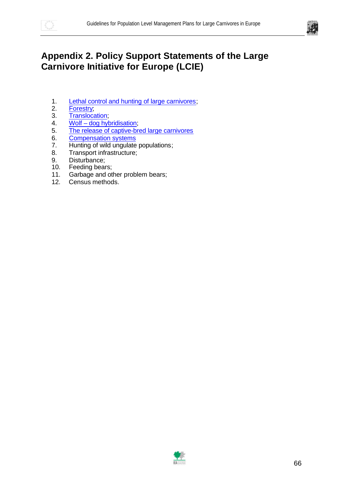



## **Appendix 2. Policy Support Statements of the Large Carnivore Initiative for Europe (LCIE)**

- 1. Lethal control and hunting of large carnivores;
- 2. Forestry;
- 3. Translocation;
- 4. Wolf dog hybridisation;
- 5. The release of captive-bred large carnivores
- 6. Compensation systems
- 7. Hunting of wild ungulate populations;
- 8. Transport infrastructure;
- 9. Disturbance;
- 10. Feeding bears;
- 11. Garbage and other problem bears;
- 12. Census methods.

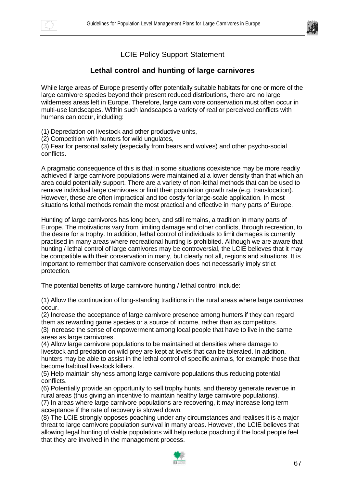



### LCIE Policy Support Statement

#### **Lethal control and hunting of large carnivores**

While large areas of Europe presently offer potentially suitable habitats for one or more of the large carnivore species beyond their present reduced distributions, there are no large wilderness areas left in Europe. Therefore, large carnivore conservation must often occur in multi-use landscapes. Within such landscapes a variety of real or perceived conflicts with humans can occur, including:

(1) Depredation on livestock and other productive units,

(2) Competition with hunters for wild ungulates,

(3) Fear for personal safety (especially from bears and wolves) and other psycho-social conflicts.

A pragmatic consequence of this is that in some situations coexistence may be more readily achieved if large carnivore populations were maintained at a lower density than that which an area could potentially support. There are a variety of non-lethal methods that can be used to remove individual large carnivores or limit their population growth rate (e.g. translocation). However, these are often impractical and too costly for large-scale application. In most situations lethal methods remain the most practical and effective in many parts of Europe.

Hunting of large carnivores has long been, and still remains, a tradition in many parts of Europe. The motivations vary from limiting damage and other conflicts, through recreation, to the desire for a trophy. In addition, lethal control of individuals to limit damages is currently practised in many areas where recreational hunting is prohibited. Although we are aware that hunting / lethal control of large carnivores may be controversial, the LCIE believes that it may be compatible with their conservation in many, but clearly not all, regions and situations. It is important to remember that carnivore conservation does not necessarily imply strict protection.

The potential benefits of large carnivore hunting / lethal control include:

(1) Allow the continuation of long-standing traditions in the rural areas where large carnivores occur.

(2) Increase the acceptance of large carnivore presence among hunters if they can regard them as rewarding game species or a source of income, rather than as competitors*.*

(3) Increase the sense of empowerment among local people that have to live in the same areas as large carnivores.

(4) Allow large carnivore populations to be maintained at densities where damage to livestock and predation on wild prey are kept at levels that can be tolerated. In addition, hunters may be able to assist in the lethal control of specific animals, for example those that become habitual livestock killers.

(5) Help maintain shyness among large carnivore populations thus reducing potential conflicts.

(6) Potentially provide an opportunity to sell trophy hunts, and thereby generate revenue in rural areas (thus giving an incentive to maintain healthy large carnivore populations).

(7) In areas where large carnivore populations are recovering, it may increase long term acceptance if the rate of recovery is slowed down.

(8) The LCIE strongly opposes poaching under any circumstances and realises it is a major threat to large carnivore population survival in many areas. However, the LCIE believes that allowing legal hunting of viable populations will help reduce poaching if the local people feel that they are involved in the management process.

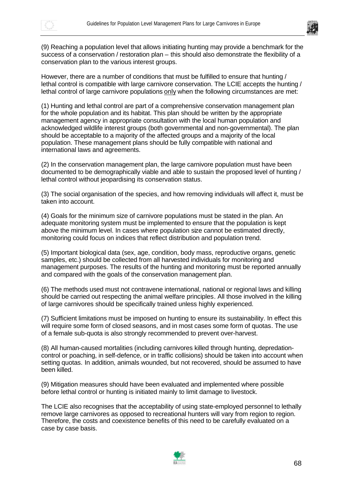



(9) Reaching a population level that allows initiating hunting may provide a benchmark for the success of a conservation / restoration plan – this should also demonstrate the flexibility of a conservation plan to the various interest groups.

However, there are a number of conditions that must be fulfilled to ensure that hunting / lethal control is compatible with large carnivore conservation. The LCIE accepts the hunting / lethal control of large carnivore populations only when the following circumstances are met:

(1) Hunting and lethal control are part of a comprehensive conservation management plan for the whole population and its habitat. This plan should be written by the appropriate management agency in appropriate consultation with the local human population and acknowledged wildlife interest groups (both governmental and non-governmental). The plan should be acceptable to a majority of the affected groups and a majority of the local population. These management plans should be fully compatible with national and international laws and agreements.

(2) In the conservation management plan, the large carnivore population must have been documented to be demographically viable and able to sustain the proposed level of hunting / lethal control without jeopardising its conservation status.

(3) The social organisation of the species, and how removing individuals will affect it, must be taken into account.

(4) Goals for the minimum size of carnivore populations must be stated in the plan. An adequate monitoring system must be implemented to ensure that the population is kept above the minimum level. In cases where population size cannot be estimated directly, monitoring could focus on indices that reflect distribution and population trend.

(5) Important biological data (sex, age, condition, body mass, reproductive organs, genetic samples, etc.) should be collected from all harvested individuals for monitoring and management purposes. The results of the hunting and monitoring must be reported annually and compared with the goals of the conservation management plan.

(6) The methods used must not contravene international, national or regional laws and killing should be carried out respecting the animal welfare principles. All those involved in the killing of large carnivores should be specifically trained unless highly experienced.

(7) Sufficient limitations must be imposed on hunting to ensure its sustainability. In effect this will require some form of closed seasons, and in most cases some form of quotas. The use of a female sub-quota is also strongly recommended to prevent over-harvest.

(8) All human-caused mortalities (including carnivores killed through hunting, depredationcontrol or poaching, in self-defence, or in traffic collisions) should be taken into account when setting quotas. In addition, animals wounded, but not recovered, should be assumed to have been killed.

(9) Mitigation measures should have been evaluated and implemented where possible before lethal control or hunting is initiated mainly to limit damage to livestock.

The LCIE also recognises that the acceptability of using state-employed personnel to lethally remove large carnivores as opposed to recreational hunters will vary from region to region. Therefore, the costs and coexistence benefits of this need to be carefully evaluated on a case by case basis.

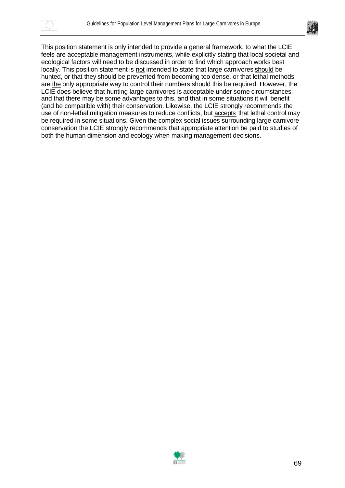



This position statement is only intended to provide a general framework, to what the LCIE feels are acceptable management instruments, while explicitly stating that local societal and ecological factors will need to be discussed in order to find which approach works best locally. This position statement is not intended to state that large carnivores should be hunted, or that they should be prevented from becoming too dense, or that lethal methods are the only appropriate way to control their numbers should this be required. However, the LCIE does believe that hunting large carnivores is acceptable under some circumstances, and that there may be some advantages to this, and that in some situations it will benefit (and be compatible with) their conservation. Likewise, the LCIE strongly recommends the use of non-lethal mitigation measures to reduce conflicts, but accepts that lethal control may be required in some situations. Given the complex social issues surrounding large carnivore conservation the LCIE strongly recommends that appropriate attention be paid to studies of both the human dimension and ecology when making management decisions.

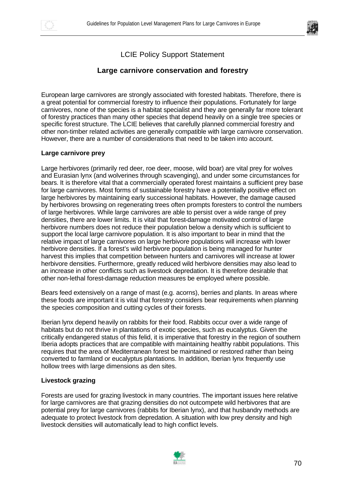



### LCIE Policy Support Statement

#### **Large carnivore conservation and forestry**

European large carnivores are strongly associated with forested habitats. Therefore, there is a great potential for commercial forestry to influence their populations. Fortunately for large carnivores, none of the species is a habitat specialist and they are generally far more tolerant of forestry practices than many other species that depend heavily on a single tree species or specific forest structure. The LCIE believes that carefully planned commercial forestry and other non-timber related activities are generally compatible with large carnivore conservation. However, there are a number of considerations that need to be taken into account.

#### **Large carnivore prey**

Large herbivores (primarily red deer, roe deer, moose, wild boar) are vital prey for wolves and Eurasian lynx (and wolverines through scavenging), and under some circumstances for bears. It is therefore vital that a commercially operated forest maintains a sufficient prey base for large carnivores. Most forms of sustainable forestry have a potentially positive effect on large herbivores by maintaining early successional habitats. However, the damage caused by herbivores browsing on regenerating trees often prompts foresters to control the numbers of large herbivores. While large carnivores are able to persist over a wide range of prey densities, there are lower limits. It is vital that forest-damage motivated control of large herbivore numbers does not reduce their population below a density which is sufficient to support the local large carnivore population. It is also important to bear in mind that the relative impact of large carnivores on large herbivore populations will increase with lower herbivore densities. If a forest's wild herbivore population is being managed for hunter harvest this implies that competition between hunters and carnivores will increase at lower herbivore densities. Furthermore, greatly reduced wild herbivore densities may also lead to an increase in other conflicts such as livestock depredation. It is therefore desirable that other non-lethal forest-damage reduction measures be employed where possible.

Bears feed extensively on a range of mast (e.g. acorns), berries and plants. In areas where these foods are important it is vital that forestry considers bear requirements when planning the species composition and cutting cycles of their forests.

Iberian lynx depend heavily on rabbits for their food. Rabbits occur over a wide range of habitats but do not thrive in plantations of exotic species, such as eucalyptus. Given the critically endangered status of this felid, it is imperative that forestry in the region of southern Iberia adopts practices that are compatible with maintaining healthy rabbit populations. This requires that the area of Mediterranean forest be maintained or restored rather than being converted to farmland or eucalyptus plantations. In addition, Iberian lynx frequently use hollow trees with large dimensions as den sites.

#### **Livestock grazing**

Forests are used for grazing livestock in many countries. The important issues here relative for large carnivores are that grazing densities do not outcompete wild herbivores that are potential prey for large carnivores (rabbits for Iberian lynx), and that husbandry methods are adequate to protect livestock from depredation. A situation with low prey density and high livestock densities will automatically lead to high conflict levels.

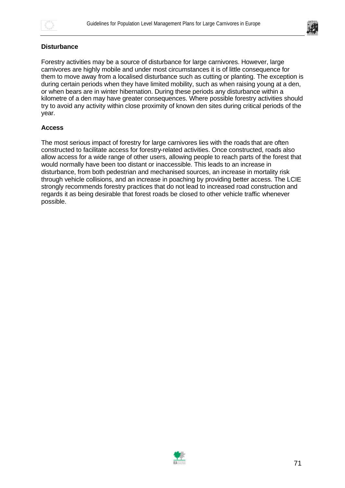



#### **Disturbance**

Forestry activities may be a source of disturbance for large carnivores. However, large carnivores are highly mobile and under most circumstances it is of little consequence for them to move away from a localised disturbance such as cutting or planting. The exception is during certain periods when they have limited mobility, such as when raising young at a den, or when bears are in winter hibernation. During these periods any disturbance within a kilometre of a den may have greater consequences. Where possible forestry activities should try to avoid any activity within close proximity of known den sites during critical periods of the year.

#### **Access**

The most serious impact of forestry for large carnivores lies with the roads that are often constructed to facilitate access for forestry-related activities. Once constructed, roads also allow access for a wide range of other users, allowing people to reach parts of the forest that would normally have been too distant or inaccessible. This leads to an increase in disturbance, from both pedestrian and mechanised sources, an increase in mortality risk through vehicle collisions, and an increase in poaching by providing better access. The LCIE strongly recommends forestry practices that do not lead to increased road construction and regards it as being desirable that forest roads be closed to other vehicle traffic whenever possible.

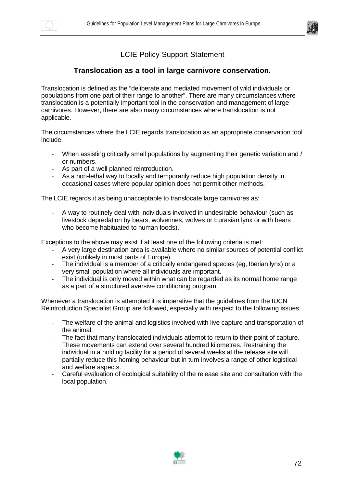



### LCIE Policy Support Statement

#### **Translocation as a tool in large carnivore conservation.**

Translocation is defined as the "deliberate and mediated movement of wild individuals or populations from one part of their range to another". There are many circumstances where translocation is a potentially important tool in the conservation and management of large carnivores. However, there are also many circumstances where translocation is not applicable.

The circumstances where the LCIE regards translocation as an appropriate conservation tool include:

- When assisting critically small populations by augmenting their genetic variation and / or numbers.
- As part of a well planned reintroduction.
- As a non-lethal way to locally and temporarily reduce high population density in occasional cases where popular opinion does not permit other methods.

The LCIE regards it as being unacceptable to translocate large carnivores as:

- A way to routinely deal with individuals involved in undesirable behaviour (such as livestock depredation by bears, wolverines, wolves or Eurasian lynx or with bears who become habituated to human foods).

Exceptions to the above may exist if at least one of the following criteria is met:

- A very large destination area is available where no similar sources of potential conflict exist (unlikely in most parts of Europe).
- The individual is a member of a critically endangered species (eg, Iberian lynx) or a very small population where all individuals are important.
- The individual is only moved within what can be regarded as its normal home range as a part of a structured aversive conditioning program.

Whenever a translocation is attempted it is imperative that the guidelines from the IUCN Reintroduction Specialist Group are followed, especially with respect to the following issues:

- The welfare of the animal and logistics involved with live capture and transportation of the animal.
- The fact that many translocated individuals attempt to return to their point of capture. These movements can extend over several hundred kilometres. Restraining the individual in a holding facility for a period of several weeks at the release site will partially reduce this homing behaviour but in turn involves a range of other logistical and welfare aspects.
- Careful evaluation of ecological suitability of the release site and consultation with the local population.

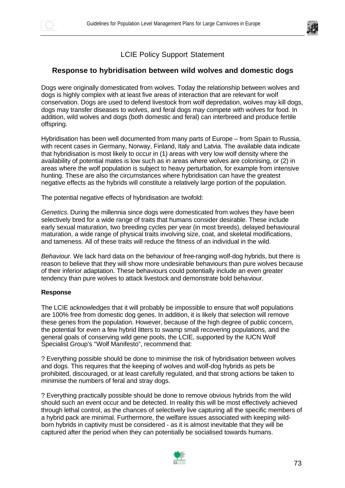



# LCIE Policy Support Statement

### **Response to hybridisation between wild wolves and domestic dogs**

Dogs were originally domesticated from wolves. Today the relationship between wolves and dogs is highly complex with at least five areas of interaction that are relevant for wolf conservation. Dogs are used to defend livestock from wolf depredation, wolves may kill dogs, dogs may transfer diseases to wolves, and feral dogs may compete with wolves for food. In addition, wild wolves and dogs (both domestic and feral) can interbreed and produce fertile offspring.

Hybridisation has been well documented from many parts of Europe – from Spain to Russia, with recent cases in Germany, Norway, Finland, Italy and Latvia. The available data indicate that hybridisation is most likely to occur in (1) areas with very low wolf density where the availability of potential mates is low such as in areas where wolves are colonising, or (2) in areas where the wolf population is subject to heavy perturbation, for example from intensive hunting. These are also the circumstances where hybridisation can have the greatest negative effects as the hybrids will constitute a relatively large portion of the population.

The potential negative effects of hybridisation are twofold:

*Genetics.* During the millennia since dogs were domesticated from wolves they have been selectively bred for a wide range of traits that humans consider desirable. These include early sexual maturation, two breeding cycles per year (in most breeds), delayed behavioural maturation, a wide range of physical traits involving size, coat, and skeletal modifications, and tameness. All of these traits will reduce the fitness of an individual in the wild.

*Behaviour.* We lack hard data on the behaviour of free-ranging wolf-dog hybrids, but there is reason to believe that they will show more undesirable behaviours than pure wolves because of their inferior adaptation. These behaviours could potentially include an even greater tendency than pure wolves to attack livestock and demonstrate bold behaviour.

#### **Response**

The LCIE acknowledges that it will probably be impossible to ensure that wolf populations are 100% free from domestic dog genes. In addition, it is likely that selection will remove these genes from the population. However, because of the high degree of public concern, the potential for even a few hybrid litters to swamp small recovering populations, and the general goals of conserving wild gene pools, the LCIE, supported by the IUCN Wolf Specialist Group's "Wolf Manifesto", recommend that:

? Everything possible should be done to minimise the risk of hybridisation between wolves and dogs. This requires that the keeping of wolves and wolf-dog hybrids as pets be prohibited, discouraged, or at least carefully regulated, and that strong actions be taken to minimise the numbers of feral and stray dogs.

? Everything practically possible should be done to remove obvious hybrids from the wild should such an event occur and be detected. In reality this will be most effectively achieved through lethal control, as the chances of selectively live capturing all the specific members of a hybrid pack are minimal. Furthermore, the welfare issues associated with keeping wildborn hybrids in captivity must be considered - as it is almost inevitable that they will be captured after the period when they can potentially be socialised towards humans.

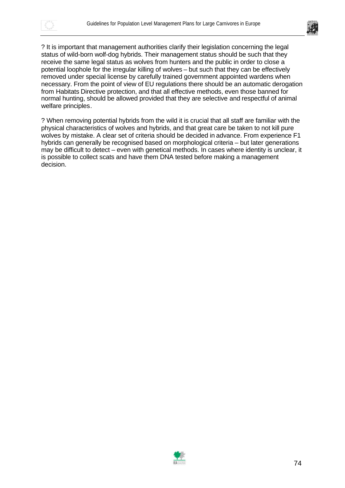



? It is important that management authorities clarify their legislation concerning the legal status of wild-born wolf-dog hybrids. Their management status should be such that they receive the same legal status as wolves from hunters and the public in order to close a potential loophole for the irregular killing of wolves – but such that they can be effectively removed under special license by carefully trained government appointed wardens when necessary. From the point of view of EU regulations there should be an automatic derogation from Habitats Directive protection, and that all effective methods, even those banned for normal hunting, should be allowed provided that they are selective and respectful of animal welfare principles.

? When removing potential hybrids from the wild it is crucial that all staff are familiar with the physical characteristics of wolves and hybrids, and that great care be taken to not kill pure wolves by mistake. A clear set of criteria should be decided in advance. From experience F1 hybrids can generally be recognised based on morphological criteria – but later generations may be difficult to detect – even with genetical methods. In cases where identity is unclear, it is possible to collect scats and have them DNA tested before making a management decision.

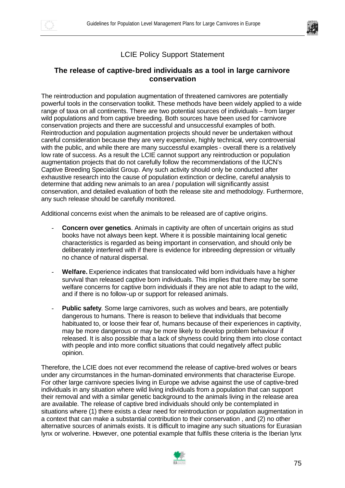



# LCIE Policy Support Statement

## **The release of captive-bred individuals as a tool in large carnivore conservation**

The reintroduction and population augmentation of threatened carnivores are potentially powerful tools in the conservation toolkit. These methods have been widely applied to a wide range of taxa on all continents. There are two potential sources of individuals – from larger wild populations and from captive breeding. Both sources have been used for carnivore conservation projects and there are successful and unsuccessful examples of both. Reintroduction and population augmentation projects should never be undertaken without careful consideration because they are very expensive, highly technical, very controversial with the public, and while there are many successful examples - overall there is a relatively low rate of success. As a result the LCIE cannot support any reintroduction or population augmentation projects that do not carefully follow the recommendations of the IUCN's Captive Breeding Specialist Group. Any such activity should only be conducted after exhaustive research into the cause of population extinction or decline, careful analysis to determine that adding new animals to an area / population will significantly assist conservation, and detailed evaluation of both the release site and methodology. Furthermore, any such release should be carefully monitored.

Additional concerns exist when the animals to be released are of captive origins.

- **Concern over genetics**. Animals in captivity are often of uncertain origins as stud books have not always been kept. Where it is possible maintaining local genetic characteristics is regarded as being important in conservation, and should only be deliberately interfered with if there is evidence for inbreeding depression or virtually no chance of natural dispersal.
- Welfare. Experience indicates that translocated wild born individuals have a higher survival than released captive born individuals. This implies that there may be some welfare concerns for captive born individuals if they are not able to adapt to the wild, and if there is no follow-up or support for released animals.
- **Public safety.** Some large carnivores, such as wolves and bears, are potentially dangerous to humans. There is reason to believe that individuals that become habituated to, or loose their fear of, humans because of their experiences in captivity, may be more dangerous or may be more likely to develop problem behaviour if released. It is also possible that a lack of shyness could bring them into close contact with people and into more conflict situations that could negatively affect public opinion.

Therefore, the LCIE does not ever recommend the release of captive-bred wolves or bears under any circumstances in the human-dominated environments that characterise Europe. For other large carnivore species living in Europe we advise against the use of captive-bred individuals in any situation where wild living individuals from a population that can support their removal and with a similar genetic background to the animals living in the release area are available. The release of captive bred individuals should only be contemplated in situations where (1) there exists a clear need for reintroduction or population augmentation in a context that can make a substantial contribution to their conservation , and (2) no other alternative sources of animals exists. It is difficult to imagine any such situations for Eurasian lynx or wolverine. However, one potential example that fulfils these criteria is the Iberian lynx

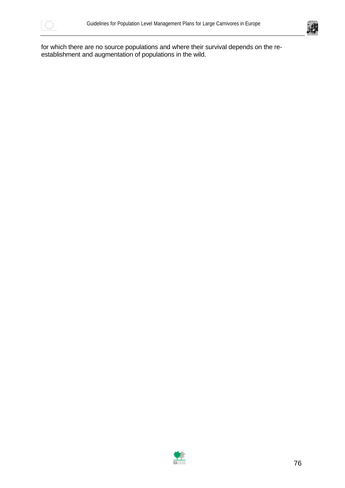



for which there are no source populations and where their survival depends on the reestablishment and augmentation of populations in the wild.

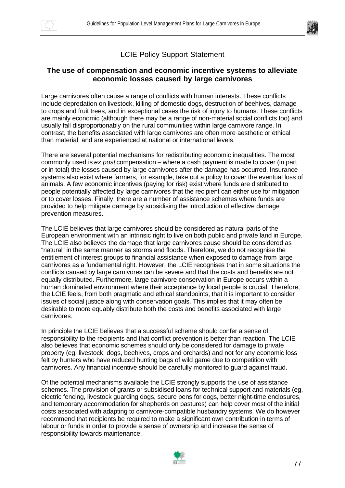



## LCIE Policy Support Statement

### **The use of compensation and economic incentive systems to alleviate economic losses caused by large carnivores**

Large carnivores often cause a range of conflicts with human interests. These conflicts include depredation on livestock, killing of domestic dogs, destruction of beehives, damage to crops and fruit trees, and in exceptional cases the risk of injury to humans. These conflicts are mainly economic (although there may be a range of non-material social conflicts too) and usually fall disproportionably on the rural communities within large carnivore range. In contrast, the benefits associated with large carnivores are often more aesthetic or ethical than material, and are experienced at national or international levels.

There are several potential mechanisms for redistributing economic inequalities. The most commonly used is *ex post* compensation – where a cash payment is made to cover (in part or in total) the losses caused by large carnivores after the damage has occurred. Insurance systems also exist where farmers, for example, take out a policy to cover the eventual loss of animals. A few economic incentives (paying for risk) exist where funds are distributed to people potentially affected by large carnivores that the recipient can either use for mitigation or to cover losses. Finally, there are a number of assistance schemes where funds are provided to help mitigate damage by subsidising the introduction of effective damage prevention measures.

The LCIE believes that large carnivores should be considered as natural parts of the European environment with an intrinsic right to live on both public and private land in Europe. The LCIE also believes the damage that large carnivores cause should be considered as "natural" in the same manner as storms and floods. Therefore, we do not recognise the entitlement of interest groups to financial assistance when exposed to damage from large carnivores as a fundamental right. However, the LCIE recognises that in some situations the conflicts caused by large carnivores can be severe and that the costs and benefits are not equally distributed. Furthermore, large carnivore conservation in Europe occurs within a human dominated environment where their acceptance by local people is crucial. Therefore, the LCIE feels, from both pragmatic and ethical standpoints, that it is important to consider issues of social justice along with conservation goals. This implies that it may often be desirable to more equably distribute both the costs and benefits associated with large carnivores.

In principle the LCIE believes that a successful scheme should confer a sense of responsibility to the recipients and that conflict prevention is better than reaction. The LCIE also believes that economic schemes should only be considered for damage to private property (eg, livestock, dogs, beehives, crops and orchards) and not for any economic loss felt by hunters who have reduced hunting bags of wild game due to competition with carnivores. Any financial incentive should be carefully monitored to guard against fraud.

Of the potential mechanisms available the LCIE strongly supports the use of assistance schemes. The provision of grants or subsidised loans for technical support and materials (eg, electric fencing, livestock guarding dogs, secure pens for dogs, better night-time enclosures, and temporary accommodation for shepherds on pastures) can help cover most of the initial costs associated with adapting to carnivore-compatible husbandry systems. We do however recommend that recipients be required to make a significant own contribution in terms of labour or funds in order to provide a sense of ownership and increase the sense of responsibility towards maintenance.